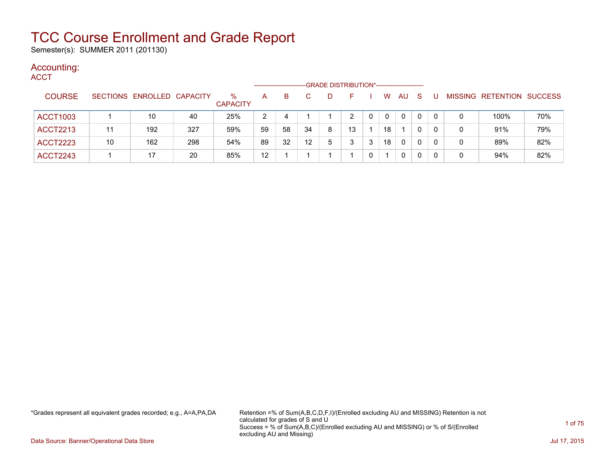Semester(s): SUMMER 2011 (201130)

### Accounting:

| <b>ACCT</b>     |    |                            |     |                         | ----------------- |    |                   |    | -GRADE DISTRIBUTION*----------------------- |   |              |    |    |              |   |                           |     |
|-----------------|----|----------------------------|-----|-------------------------|-------------------|----|-------------------|----|---------------------------------------------|---|--------------|----|----|--------------|---|---------------------------|-----|
| <b>COURSE</b>   |    | SECTIONS ENROLLED CAPACITY |     | $\%$<br><b>CAPACITY</b> | A                 | B  |                   | D. | н.                                          |   | W            | AU | -S | U            |   | MISSING RETENTION SUCCESS |     |
| <b>ACCT1003</b> |    | 10                         | 40  | 25%                     | 2                 | 4  |                   |    | 2                                           |   | $\mathbf{0}$ | 0  | 0  | $\mathbf{0}$ | 0 | 100%                      | 70% |
| <b>ACCT2213</b> | 11 | 192                        | 327 | 59%                     | 59                | 58 | 34                | 8  | 13                                          |   | 18           |    | 0  | $\mathbf{0}$ | 0 | 91%                       | 79% |
| <b>ACCT2223</b> | 10 | 162                        | 298 | 54%                     | 89                | 32 | $12 \overline{ }$ | 5  | 3                                           | 3 | 18           | 0  | 0  | $\Omega$     | 0 | 89%                       | 82% |
| <b>ACCT2243</b> |    | 17                         | 20  | 85%                     | $12 \overline{ }$ |    |                   |    |                                             |   |              | 0  | 0  | 0            | 0 | 94%                       | 82% |

\*Grades represent all equivalent grades recorded; e.g., A=A,PA,DA Retention =% of Sum(A,B,C,D,F,I)/(Enrolled excluding AU and MISSING) Retention is not calculated for grades of S and U Success = % of Sum(A,B,C)/(Enrolled excluding AU and MISSING) or % of S/(Enrolled excluding AU and Missing)

Data Source: Banner/Operational Data Store Jul 17, 2015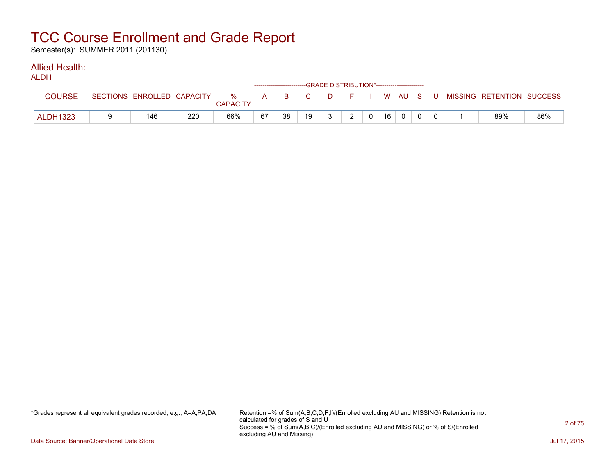Semester(s): SUMMER 2011 (201130)

### Allied Health:

| ALDH            |                            |     |                      |    |    | ------------------------GRADE DISTRIBUTION*----------------------- |    |               |              |    |          |          |                                          |     |
|-----------------|----------------------------|-----|----------------------|----|----|--------------------------------------------------------------------|----|---------------|--------------|----|----------|----------|------------------------------------------|-----|
| <b>COURSE</b>   | SECTIONS ENROLLED CAPACITY |     | %<br><b>CAPACITY</b> |    |    | A B C                                                              |    |               |              |    |          |          | D F I W AU S U MISSING RETENTION SUCCESS |     |
| <b>ALDH1323</b> | 146                        | 220 | 66%                  | 67 | 38 | 19                                                                 | ્ર | $\mathcal{D}$ | $\mathbf{0}$ | 16 | $\Omega$ | $\Omega$ | 89%                                      | 86% |

\*Grades represent all equivalent grades recorded; e.g., A=A,PA,DA Retention =% of Sum(A,B,C,D,F,I)/(Enrolled excluding AU and MISSING) Retention is not calculated for grades of S and U Success = % of Sum(A,B,C)/(Enrolled excluding AU and MISSING) or % of S/(Enrolled excluding AU and Missing)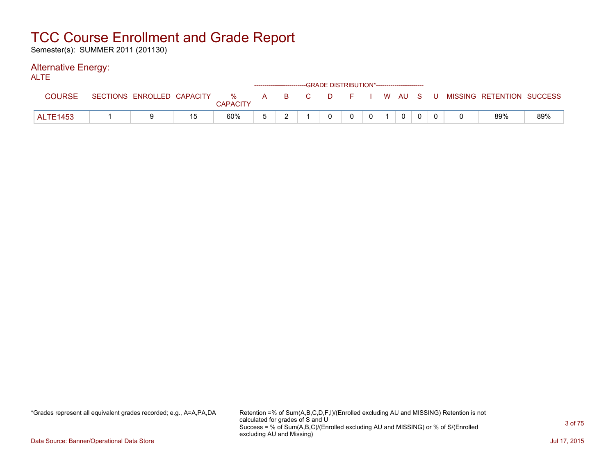Semester(s): SUMMER 2011 (201130)

#### Alternative Energy: ALTE

| ᄉᄂᆘᆮ            |                            |    |                      |       |          | ------------------------GRADE DISTRIBUTION*----------------------- |                |           |  |                           |     |
|-----------------|----------------------------|----|----------------------|-------|----------|--------------------------------------------------------------------|----------------|-----------|--|---------------------------|-----|
| <b>COURSE</b>   | SECTIONS ENROLLED CAPACITY |    | %<br><b>CAPACITY</b> | A B C | $\Box$ D |                                                                    |                | F I WAUSU |  | MISSING RETENTION SUCCESS |     |
| <b>ALTE1453</b> |                            | 15 | 60%                  |       |          | $\Omega$                                                           | 0 <sup>1</sup> | $\Omega$  |  | 89%                       | 89% |

\*Grades represent all equivalent grades recorded; e.g., A=A,PA,DA Retention =% of Sum(A,B,C,D,F,I)/(Enrolled excluding AU and MISSING) Retention is not calculated for grades of S and U Success = % of Sum(A,B,C)/(Enrolled excluding AU and MISSING) or % of S/(Enrolled excluding AU and Missing)

Data Source: Banner/Operational Data Store Jul 17, 2015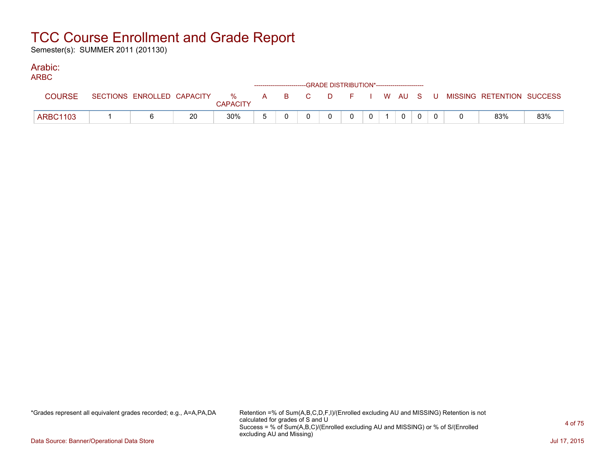Semester(s): SUMMER 2011 (201130)

#### Arabic: ARBC

| ARBC            |  |    |                 |  | ------------------------GRADE DISTRIBUTION*----------------------- |          |          |                |                |  |                                                                             |     |
|-----------------|--|----|-----------------|--|--------------------------------------------------------------------|----------|----------|----------------|----------------|--|-----------------------------------------------------------------------------|-----|
| <b>COURSE</b>   |  |    | <b>CAPACITY</b> |  |                                                                    |          |          |                |                |  | SECTIONS ENROLLED CAPACITY % A B C D F I W AU S U MISSING RETENTION SUCCESS |     |
| <b>ARBC1103</b> |  | 20 | 30%             |  |                                                                    | $\Omega$ | $\Omega$ | $\overline{0}$ | $\overline{0}$ |  | 83%                                                                         | 83% |

\*Grades represent all equivalent grades recorded; e.g., A=A,PA,DA Retention =% of Sum(A,B,C,D,F,I)/(Enrolled excluding AU and MISSING) Retention is not calculated for grades of S and U Success = % of Sum(A,B,C)/(Enrolled excluding AU and MISSING) or % of S/(Enrolled excluding AU and Missing)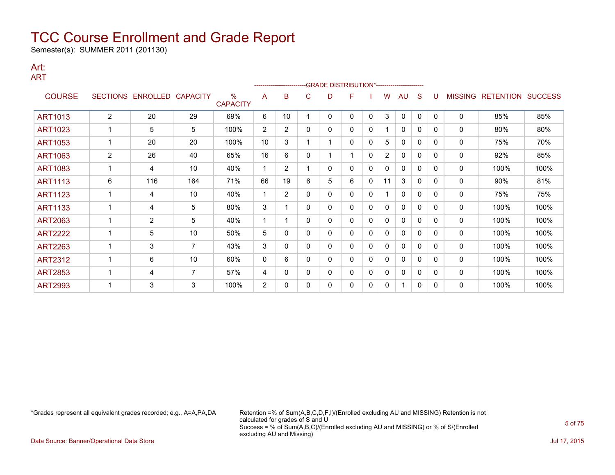Semester(s): SUMMER 2011 (201130)

#### Art: ART

|                |                 |                 |                 |                                  |                |                |   | -GRADE DISTRIBUTION*----------------------- |   |              |                |              |              |          |                |                  |                |
|----------------|-----------------|-----------------|-----------------|----------------------------------|----------------|----------------|---|---------------------------------------------|---|--------------|----------------|--------------|--------------|----------|----------------|------------------|----------------|
| <b>COURSE</b>  | <b>SECTIONS</b> | <b>ENROLLED</b> | <b>CAPACITY</b> | $\frac{0}{0}$<br><b>CAPACITY</b> | A              | B              | С | D                                           | F |              | w              | AU           | S            |          | <b>MISSING</b> | <b>RETENTION</b> | <b>SUCCESS</b> |
| <b>ART1013</b> | 2               | 20              | 29              | 69%                              | 6              | 10             |   | 0                                           | 0 | $\mathbf{0}$ | 3              | $\mathbf{0}$ | $\mathbf{0}$ | $\Omega$ | $\mathbf 0$    | 85%              | 85%            |
| <b>ART1023</b> |                 | 5               | 5               | 100%                             | $\overline{2}$ | $\overline{2}$ | 0 | 0                                           | 0 | 0            |                | 0            | 0            | $\Omega$ | $\Omega$       | 80%              | 80%            |
| <b>ART1053</b> |                 | 20              | 20              | 100%                             | 10             | 3              |   |                                             | 0 | 0            | 5              | $\Omega$     | 0            | $\Omega$ | 0              | 75%              | 70%            |
| <b>ART1063</b> | $\overline{2}$  | 26              | 40              | 65%                              | 16             | 6              | 0 |                                             | 1 | $\mathbf{0}$ | $\overline{2}$ | $\mathbf{0}$ | 0            | $\Omega$ | $\mathbf 0$    | 92%              | 85%            |
| <b>ART1083</b> | 1               | 4               | 10              | 40%                              | 1              | $\overline{2}$ |   | 0                                           | 0 | 0            | 0              | 0            | 0            | $\Omega$ | $\mathbf 0$    | 100%             | 100%           |
| <b>ART1113</b> | 6               | 116             | 164             | 71%                              | 66             | 19             | 6 | 5                                           | 6 | 0            | 11             | 3            | 0            | $\Omega$ | 0              | 90%              | 81%            |
| <b>ART1123</b> |                 | 4               | 10              | 40%                              |                | $\overline{2}$ | 0 | 0                                           | 0 | $\mathbf{0}$ |                | $\mathbf{0}$ | 0            | $\Omega$ | $\Omega$       | 75%              | 75%            |
| <b>ART1133</b> |                 | 4               | 5               | 80%                              | 3              |                | 0 | 0                                           | 0 | 0            | 0              | 0            | $\mathbf{0}$ | $\Omega$ | 0              | 100%             | 100%           |
| <b>ART2063</b> |                 | 2               | 5               | 40%                              | 1              |                | 0 | 0                                           | 0 | $\mathbf{0}$ | 0              | $\mathbf{0}$ | 0            | $\Omega$ | 0              | 100%             | 100%           |
| <b>ART2222</b> |                 | 5               | 10              | 50%                              | 5              | 0              | 0 | 0                                           | 0 | 0            | 0              | $\mathbf{0}$ | 0            | $\Omega$ | $\Omega$       | 100%             | 100%           |
| <b>ART2263</b> |                 | 3               | $\overline{7}$  | 43%                              | 3              | 0              | 0 | 0                                           | 0 | 0            | 0              | 0            | $\mathbf{0}$ | $\Omega$ | 0              | 100%             | 100%           |
| <b>ART2312</b> |                 | 6               | 10              | 60%                              | 0              | 6              | 0 | 0                                           | 0 | $\mathbf{0}$ | 0              | 0            | 0            | $\Omega$ | 0              | 100%             | 100%           |
| <b>ART2853</b> |                 | 4               | $\overline{7}$  | 57%                              | 4              | 0              | 0 | 0                                           | 0 | 0            | 0              | $\mathbf{0}$ | 0            | $\Omega$ | 0              | 100%             | 100%           |
| <b>ART2993</b> |                 | 3               | 3               | 100%                             | $\overline{2}$ | 0              | 0 | 0                                           | 0 | 0            | 0              | 1            | 0            | 0        | 0              | 100%             | 100%           |

\*Grades represent all equivalent grades recorded; e.g., A=A,PA,DA Retention =% of Sum(A,B,C,D,F,I)/(Enrolled excluding AU and MISSING) Retention is not calculated for grades of S and U Success = % of Sum(A,B,C)/(Enrolled excluding AU and MISSING) or % of S/(Enrolled excluding AU and Missing)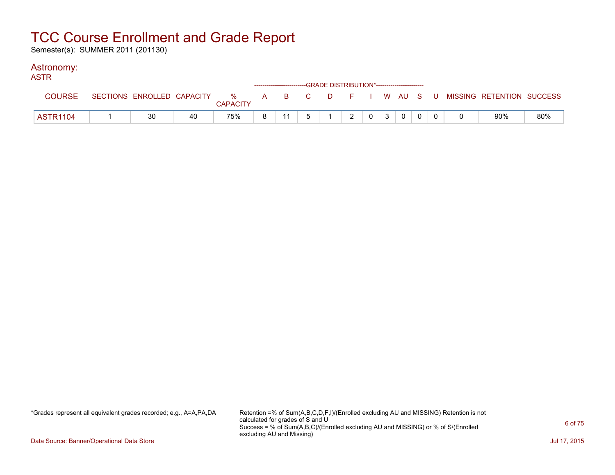Semester(s): SUMMER 2011 (201130)

### Astronomy:

| <b>ASTR</b>     |    |    |                 |    |  | ------------------------GRADE DISTRIBUTION*----------------------- |               |   |             |  |                                                                             |     |
|-----------------|----|----|-----------------|----|--|--------------------------------------------------------------------|---------------|---|-------------|--|-----------------------------------------------------------------------------|-----|
| <b>COURSE</b>   |    |    | <b>CAPACITY</b> |    |  |                                                                    |               |   |             |  | SECTIONS ENROLLED CAPACITY % A B C D F I W AU S U MISSING RETENTION SUCCESS |     |
| <b>ASTR1104</b> | 30 | 40 | 75%             | 8. |  |                                                                    | $\mathcal{P}$ | 0 | $\mathbf 0$ |  | 90%                                                                         | 80% |

\*Grades represent all equivalent grades recorded; e.g., A=A,PA,DA Retention =% of Sum(A,B,C,D,F,I)/(Enrolled excluding AU and MISSING) Retention is not calculated for grades of S and U Success = % of Sum(A,B,C)/(Enrolled excluding AU and MISSING) or % of S/(Enrolled excluding AU and Missing)

Data Source: Banner/Operational Data Store Jul 17, 2015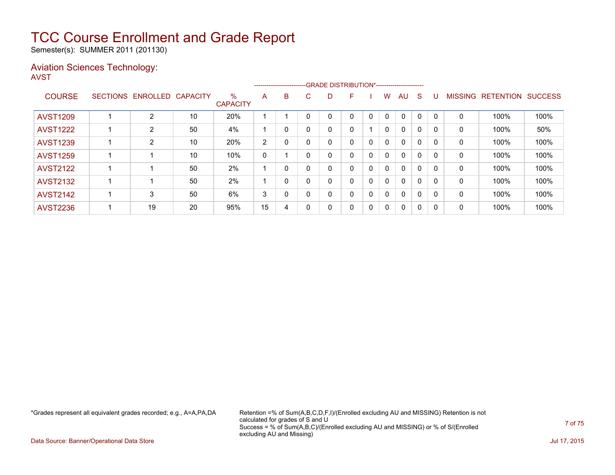Semester(s): SUMMER 2011 (201130)

### Aviation Sciences Technology: AVST

|                 |                   |                 |                         |    |          | --------------------------GRADE DISTRIBUTION*----------------------- |    |   |   |              |              |              |          |                |                  |                |
|-----------------|-------------------|-----------------|-------------------------|----|----------|----------------------------------------------------------------------|----|---|---|--------------|--------------|--------------|----------|----------------|------------------|----------------|
| <b>COURSE</b>   | SECTIONS ENROLLED | <b>CAPACITY</b> | $\%$<br><b>CAPACITY</b> | A  | B        | C.                                                                   | D. | F |   | W            | AU           | <sub>S</sub> |          | <b>MISSING</b> | <b>RETENTION</b> | <b>SUCCESS</b> |
| <b>AVST1209</b> | $\overline{2}$    | 10              | 20%                     |    |          |                                                                      |    | 0 | 0 | $\Omega$     | $\Omega$     | 0            | $\Omega$ | 0              | 100%             | 100%           |
| <b>AVST1222</b> | $\overline{2}$    | 50              | 4%                      |    | 0        |                                                                      | 0  | 0 |   | $\mathbf{0}$ | $\mathbf{0}$ | $\Omega$     | $\Omega$ | $\Omega$       | 100%             | 50%            |
| <b>AVST1239</b> | $\overline{2}$    | 10              | 20%                     | 2  | 0        |                                                                      | 0  | 0 | 0 | $\mathbf{0}$ | $\mathbf{0}$ | $\mathbf{0}$ | $\Omega$ | 0              | 100%             | 100%           |
| <b>AVST1259</b> |                   | 10              | 10%                     | 0  |          |                                                                      | 0  | 0 | 0 | $\mathbf{0}$ | $\mathbf{0}$ | $\mathbf{0}$ |          | 0              | 100%             | 100%           |
| <b>AVST2122</b> |                   | 50              | 2%                      |    | 0        |                                                                      | 0  | 0 | 0 | 0            | $\mathbf{0}$ | 0            | $\Omega$ | 0              | 100%             | 100%           |
| <b>AVST2132</b> |                   | 50              | 2%                      |    | 0        |                                                                      |    | 0 | 0 | $\mathbf{0}$ | $\mathbf{0}$ | $\Omega$     |          | 0              | 100%             | 100%           |
| <b>AVST2142</b> | 3                 | 50              | 6%                      | 3  | $\Omega$ |                                                                      | 0  | 0 | 0 | $\mathbf{0}$ | $\mathbf{0}$ | $\Omega$     | $\Omega$ | 0              | 100%             | 100%           |
| <b>AVST2236</b> | 19                | 20              | 95%                     | 15 | 4        |                                                                      | 0  | 0 | 0 | 0            | $\mathbf{0}$ | 0            | -0       | 0              | 100%             | 100%           |

\*Grades represent all equivalent grades recorded; e.g., A=A,PA,DA Retention =% of Sum(A,B,C,D,F,I)/(Enrolled excluding AU and MISSING) Retention is not calculated for grades of S and U Success = % of Sum(A,B,C)/(Enrolled excluding AU and MISSING) or % of S/(Enrolled excluding AU and Missing)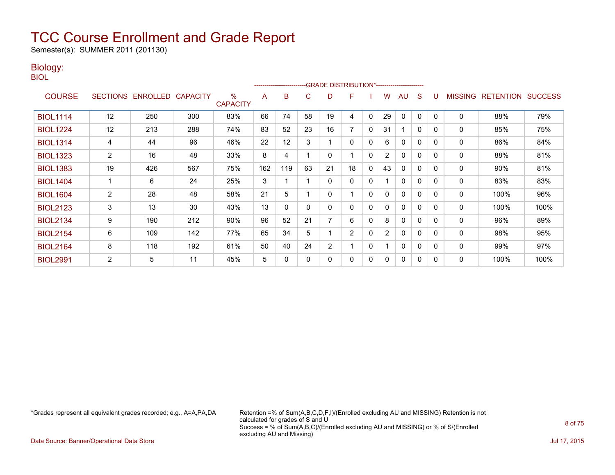Semester(s): SUMMER 2011 (201130)

### Biology:

BIOL

|                 |                 |          |                 |                                  |     | -------------------------- |    | -GRADE DISTRIBUTION*---------------------- |                |              |                |              |              |          |                |                  |                |
|-----------------|-----------------|----------|-----------------|----------------------------------|-----|----------------------------|----|--------------------------------------------|----------------|--------------|----------------|--------------|--------------|----------|----------------|------------------|----------------|
| <b>COURSE</b>   | <b>SECTIONS</b> | ENROLLED | <b>CAPACITY</b> | $\frac{0}{0}$<br><b>CAPACITY</b> | A   | B                          | С  | D                                          | F              |              | W              | AU           | <sub>S</sub> |          | <b>MISSING</b> | <b>RETENTION</b> | <b>SUCCESS</b> |
| <b>BIOL1114</b> | 12              | 250      | 300             | 83%                              | 66  | 74                         | 58 | 19                                         | 4              | $\mathbf{0}$ | 29             | 0            | 0            | $\Omega$ | 0              | 88%              | 79%            |
| <b>BIOL1224</b> | 12              | 213      | 288             | 74%                              | 83  | 52                         | 23 | 16                                         | 7              | $\mathbf{0}$ | 31             | 1            | $\mathbf{0}$ | $\Omega$ | 0              | 85%              | 75%            |
| <b>BIOL1314</b> | 4               | 44       | 96              | 46%                              | 22  | 12                         | 3  |                                            | 0              | 0            | 6              | 0            | $\mathbf{0}$ | $\Omega$ | 0              | 86%              | 84%            |
| <b>BIOL1323</b> | $\overline{2}$  | 16       | 48              | 33%                              | 8   | 4                          |    | 0                                          |                | $\mathbf{0}$ | $\overline{2}$ | $\mathbf{0}$ | $\mathbf 0$  | $\Omega$ | 0              | 88%              | 81%            |
| <b>BIOL1383</b> | 19              | 426      | 567             | 75%                              | 162 | 119                        | 63 | 21                                         | 18             | 0            | 43             | 0            | 0            | $\Omega$ | 0              | 90%              | 81%            |
| <b>BIOL1404</b> |                 | 6        | 24              | 25%                              | 3   |                            |    | 0                                          | 0              | 0            |                | $\mathbf{0}$ | $\mathbf{0}$ | $\Omega$ | 0              | 83%              | 83%            |
| <b>BIOL1604</b> | $\overline{2}$  | 28       | 48              | 58%                              | 21  | 5                          |    | 0                                          |                | $\mathbf{0}$ | 0              | $\mathbf{0}$ | $\mathbf 0$  | $\Omega$ | 0              | 100%             | 96%            |
| <b>BIOL2123</b> | 3               | 13       | 30              | 43%                              | 13  | 0                          | 0  | 0                                          | 0              | 0            | 0              | $\mathbf{0}$ | 0            | $\Omega$ | 0              | 100%             | 100%           |
| <b>BIOL2134</b> | 9               | 190      | 212             | 90%                              | 96  | 52                         | 21 | 7                                          | 6              | $\Omega$     | 8              | $\mathbf{0}$ | $\mathbf{0}$ | $\Omega$ | 0              | 96%              | 89%            |
| <b>BIOL2154</b> | 6               | 109      | 142             | 77%                              | 65  | 34                         | 5  |                                            | $\overline{2}$ | 0            | $\overline{2}$ | $\mathbf{0}$ | $\mathbf 0$  | $\Omega$ | 0              | 98%              | 95%            |
| <b>BIOL2164</b> | 8               | 118      | 192             | 61%                              | 50  | 40                         | 24 | 2                                          |                | $\mathbf{0}$ |                | $\mathbf{0}$ | 0            | $\Omega$ | 0              | 99%              | 97%            |
| <b>BIOL2991</b> | $\overline{2}$  | 5        | 11              | 45%                              | 5   | 0                          | 0  | 0                                          | 0              | $\mathbf{0}$ | 0              | $\mathbf{0}$ | 0            | $\Omega$ | 0              | 100%             | 100%           |

\*Grades represent all equivalent grades recorded; e.g., A=A,PA,DA Retention =% of Sum(A,B,C,D,F,I)/(Enrolled excluding AU and MISSING) Retention is not calculated for grades of S and U Success = % of Sum(A,B,C)/(Enrolled excluding AU and MISSING) or % of S/(Enrolled excluding AU and Missing)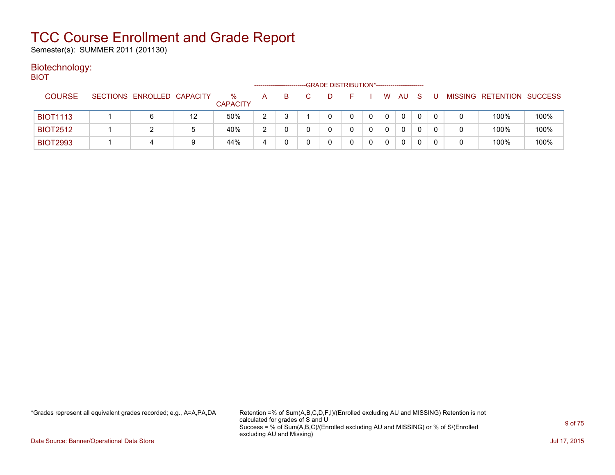Semester(s): SUMMER 2011 (201130)

#### Biotechnology: **BIOT**

| ו שוכ           |                            |    |                         |   |   | -GRADE DISTRIBUTION*----------------------- |  |          |    |     |   |   |                           |      |
|-----------------|----------------------------|----|-------------------------|---|---|---------------------------------------------|--|----------|----|-----|---|---|---------------------------|------|
| <b>COURSE</b>   | SECTIONS ENROLLED CAPACITY |    | $\%$<br><b>CAPACITY</b> | A | в |                                             |  | W        | AU | - S |   |   | MISSING RETENTION SUCCESS |      |
| <b>BIOT1113</b> | 6                          | 12 | 50%                     | 2 |   |                                             |  | $\Omega$ | 0  | 0   | 0 |   | 100%                      | 100% |
| <b>BIOT2512</b> |                            | 5  | 40%                     | 2 |   |                                             |  | $\Omega$ | 0  |     |   | 0 | 100%                      | 100% |
| <b>BIOT2993</b> | 4                          | 9  | 44%                     | 4 |   |                                             |  | $\Omega$ | 0  |     |   | 0 | 100%                      | 100% |

\*Grades represent all equivalent grades recorded; e.g., A=A,PA,DA Retention =% of Sum(A,B,C,D,F,I)/(Enrolled excluding AU and MISSING) Retention is not calculated for grades of S and U Success = % of Sum(A,B,C)/(Enrolled excluding AU and MISSING) or % of S/(Enrolled excluding AU and Missing)

Data Source: Banner/Operational Data Store Jul 17, 2015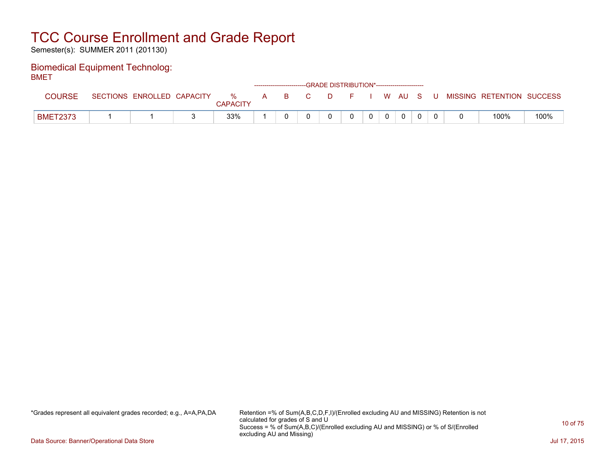Semester(s): SUMMER 2011 (201130)

### Biomedical Equipment Technolog: BMET

| -----           |                            |                      |              |    |          | ------------------------GRADE DISTRIBUTION*----------------------- |  |       |  |                           |      |
|-----------------|----------------------------|----------------------|--------------|----|----------|--------------------------------------------------------------------|--|-------|--|---------------------------|------|
| <b>COURSE</b>   | SECTIONS ENROLLED CAPACITY | %<br><b>CAPACITY</b> | $\mathsf{A}$ | B. | <b>C</b> | D                                                                  |  | WAUS. |  | MISSING RETENTION SUCCESS |      |
| <b>BMET2373</b> |                            | 33%                  |              |    |          |                                                                    |  |       |  | 100%                      | 100% |

\*Grades represent all equivalent grades recorded; e.g., A=A,PA,DA Retention =% of Sum(A,B,C,D,F,I)/(Enrolled excluding AU and MISSING) Retention is not calculated for grades of S and U Success = % of Sum(A,B,C)/(Enrolled excluding AU and MISSING) or % of S/(Enrolled excluding AU and Missing)

Data Source: Banner/Operational Data Store Jul 17, 2015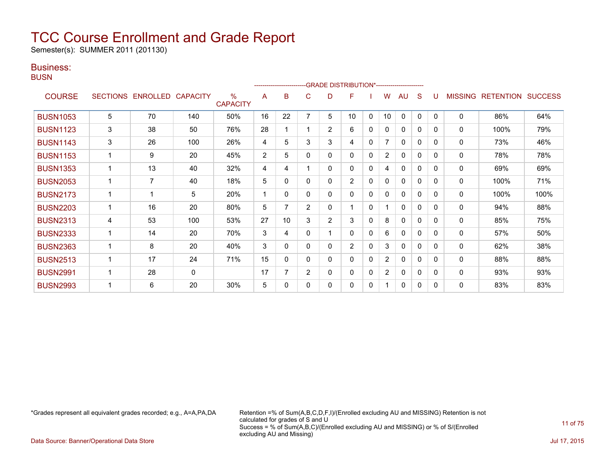Semester(s): SUMMER 2011 (201130)

### Business:

**BUSN** 

|                 |   |                   |                 |                         |                | ------------------------ |                |                | -GRADE DISTRIBUTION*---------------------- |              |                |              |              |              |                |                  |                |
|-----------------|---|-------------------|-----------------|-------------------------|----------------|--------------------------|----------------|----------------|--------------------------------------------|--------------|----------------|--------------|--------------|--------------|----------------|------------------|----------------|
| <b>COURSE</b>   |   | SECTIONS ENROLLED | <b>CAPACITY</b> | $\%$<br><b>CAPACITY</b> | A              | в                        | C              | D              | F                                          |              | W              | AU           | S            |              | <b>MISSING</b> | <b>RETENTION</b> | <b>SUCCESS</b> |
| <b>BUSN1053</b> | 5 | 70                | 140             | 50%                     | 16             | 22                       | 7              | 5              | 10                                         | $\mathbf{0}$ | 10             | $\mathbf{0}$ | $\mathbf{0}$ | $\Omega$     | $\mathbf 0$    | 86%              | 64%            |
| <b>BUSN1123</b> | 3 | 38                | 50              | 76%                     | 28             |                          |                | $\overline{2}$ | 6                                          | 0            | 0              | $\mathbf{0}$ | 0            | 0            | 0              | 100%             | 79%            |
| <b>BUSN1143</b> | 3 | 26                | 100             | 26%                     | 4              | 5                        | 3              | 3              | 4                                          | $\mathbf{0}$ | 7              | $\mathbf{0}$ | $\mathbf{0}$ | $\Omega$     | $\mathbf 0$    | 73%              | 46%            |
| <b>BUSN1153</b> |   | 9                 | 20              | 45%                     | $\overline{2}$ | 5                        | 0              | 0              | 0                                          | 0            | $\overline{2}$ | $\mathbf{0}$ | 0            | $\Omega$     | $\mathbf 0$    | 78%              | 78%            |
| <b>BUSN1353</b> |   | 13                | 40              | 32%                     | 4              | 4                        |                | 0              | 0                                          | $\mathbf{0}$ | 4              | $\mathbf{0}$ | $\mathbf{0}$ | $\Omega$     | $\mathbf 0$    | 69%              | 69%            |
| <b>BUSN2053</b> |   | $\overline{7}$    | 40              | 18%                     | 5              | 0                        | 0              | 0              | $\overline{2}$                             | 0            | 0              | $\mathbf{0}$ | $\Omega$     | $\Omega$     | 0              | 100%             | 71%            |
| <b>BUSN2173</b> |   | 1                 | 5               | 20%                     |                | $\Omega$                 | 0              | 0              | 0                                          | 0            | 0              | $\mathbf{0}$ | 0            | $\Omega$     | 0              | 100%             | 100%           |
| <b>BUSN2203</b> |   | 16                | 20              | 80%                     | 5              |                          | $\overline{2}$ | 0              |                                            | 0            |                | $\mathbf{0}$ | $\mathbf{0}$ | $\Omega$     | $\mathbf 0$    | 94%              | 88%            |
| <b>BUSN2313</b> | 4 | 53                | 100             | 53%                     | 27             | 10                       | 3              | $\overline{2}$ | 3                                          | $\Omega$     | 8              | $\Omega$     | $\Omega$     | $\Omega$     | 0              | 85%              | 75%            |
| <b>BUSN2333</b> |   | 14                | 20              | 70%                     | 3              | 4                        | 0              |                | 0                                          | $\mathbf{0}$ | 6              | $\mathbf{0}$ | $\Omega$     | 0            | 0              | 57%              | 50%            |
| <b>BUSN2363</b> |   | 8                 | 20              | 40%                     | 3              | $\Omega$                 | $\Omega$       | 0              | $\overline{2}$                             | $\Omega$     | 3              | 0            | $\Omega$     | $\Omega$     | 0              | 62%              | 38%            |
| <b>BUSN2513</b> |   | 17                | 24              | 71%                     | 15             | $\mathbf{0}$             | 0              | 0              | 0                                          | 0            | $\overline{2}$ | $\mathbf{0}$ | 0            | <sup>0</sup> | $\mathbf 0$    | 88%              | 88%            |
| <b>BUSN2991</b> |   | 28                | 0               |                         | 17             | 7                        | $\overline{2}$ | 0              | 0                                          | 0            | 2              | 0            | $\Omega$     | 0            | 0              | 93%              | 93%            |
| <b>BUSN2993</b> |   | 6                 | 20              | 30%                     | 5              | $\Omega$                 | 0              | 0              | 0                                          | 0            |                | $\Omega$     | $\Omega$     | $\Omega$     | $\mathbf 0$    | 83%              | 83%            |

\*Grades represent all equivalent grades recorded; e.g., A=A,PA,DA Retention =% of Sum(A,B,C,D,F,I)/(Enrolled excluding AU and MISSING) Retention is not calculated for grades of S and U Success = % of Sum(A,B,C)/(Enrolled excluding AU and MISSING) or % of S/(Enrolled excluding AU and Missing)

Data Source: Banner/Operational Data Store **July 17, 2015**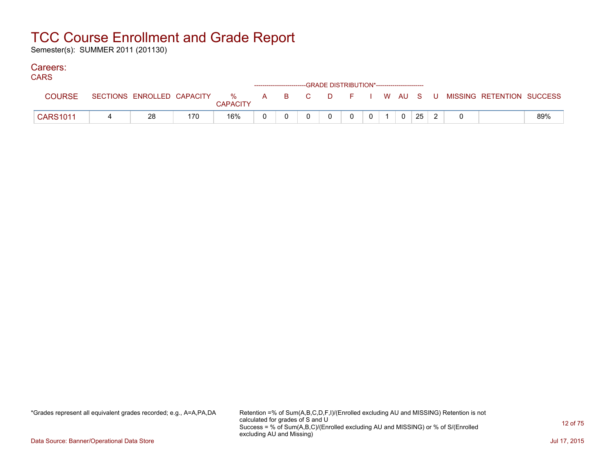Semester(s): SUMMER 2011 (201130)

### Careers:

| טורוי           |                            |     |                      |  |  | ------------------------GRADE DISTRIBUTION*----------------------- |  |    |  |                                                |     |
|-----------------|----------------------------|-----|----------------------|--|--|--------------------------------------------------------------------|--|----|--|------------------------------------------------|-----|
| <b>COURSE</b>   | SECTIONS ENROLLED CAPACITY |     | %<br><b>CAPACITY</b> |  |  |                                                                    |  |    |  | A B C D F I W AU S U MISSING RETENTION SUCCESS |     |
| <b>CARS1011</b> | 28                         | 170 | 16%                  |  |  |                                                                    |  | 25 |  |                                                | 89% |

\*Grades represent all equivalent grades recorded; e.g., A=A,PA,DA Retention =% of Sum(A,B,C,D,F,I)/(Enrolled excluding AU and MISSING) Retention is not calculated for grades of S and U Success = % of Sum(A,B,C)/(Enrolled excluding AU and MISSING) or % of S/(Enrolled excluding AU and Missing)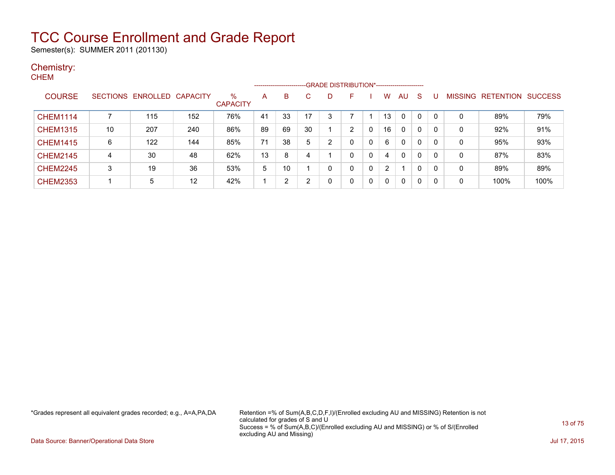Semester(s): SUMMER 2011 (201130)

### Chemistry: **CHEM**

|                 |    |                            |     |                      |    | ---------------------- |              |   | -GRADE DISTRIBUTION*----------------------- |          |              |    |   |   |         |                  |                |
|-----------------|----|----------------------------|-----|----------------------|----|------------------------|--------------|---|---------------------------------------------|----------|--------------|----|---|---|---------|------------------|----------------|
| <b>COURSE</b>   |    | SECTIONS ENROLLED CAPACITY |     | ℅<br><b>CAPACITY</b> | А  | B                      | $\mathbf{C}$ |   | F                                           |          | w            | AU | S |   | MISSING | <b>RETENTION</b> | <b>SUCCESS</b> |
| <b>CHEM1114</b> |    | 115                        | 152 | 76%                  | 41 | 33                     | 17           | 3 |                                             |          | 13           | 0  | 0 | 0 | 0       | 89%              | 79%            |
| <b>CHEM1315</b> | 10 | 207                        | 240 | 86%                  | 89 | 69                     | 30           |   | 2                                           | $\Omega$ | 16           | 0  | 0 | 0 | 0       | 92%              | 91%            |
| <b>CHEM1415</b> | 6  | 122                        | 144 | 85%                  | 71 | 38                     | 5            | 2 |                                             | 0        | 6            | 0  | 0 | 0 | 0       | 95%              | 93%            |
| <b>CHEM2145</b> | 4  | 30                         | 48  | 62%                  | 13 | 8                      | 4            |   | n                                           | 0        | 4            | 0  | 0 | 0 | 0       | 87%              | 83%            |
| <b>CHEM2245</b> | 3  | 19                         | 36  | 53%                  | 5  | 10                     |              |   |                                             | $\Omega$ | 2            |    | 0 | 0 | 0       | 89%              | 89%            |
| <b>CHEM2353</b> |    | 5                          | 12  | 42%                  | и  | ົ                      | າ            |   |                                             | 0        | <sup>0</sup> | 0  | 0 | 0 | 0       | 100%             | 100%           |

\*Grades represent all equivalent grades recorded; e.g., A=A,PA,DA Retention =% of Sum(A,B,C,D,F,I)/(Enrolled excluding AU and MISSING) Retention is not calculated for grades of S and U Success = % of Sum(A,B,C)/(Enrolled excluding AU and MISSING) or % of S/(Enrolled excluding AU and Missing)

Data Source: Banner/Operational Data Store Jul 17, 2015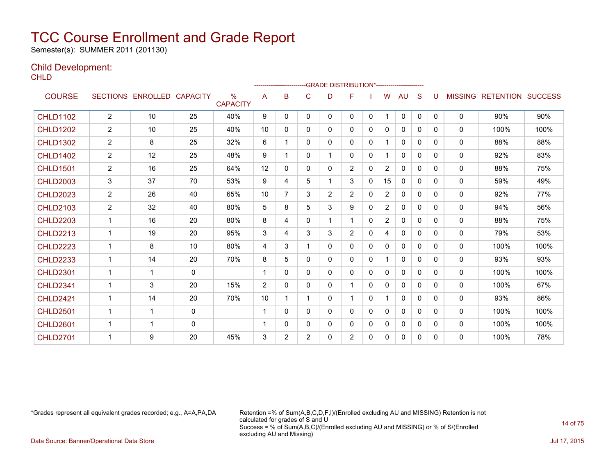Semester(s): SUMMER 2011 (201130)

### Child Development:

**CHLD** 

|                 |                |                            |              |                         |                |                |                |                | -------------------------GRADE                DISTRIBUTION*--------------------- |          |                |              |              |          |                |                  |                |
|-----------------|----------------|----------------------------|--------------|-------------------------|----------------|----------------|----------------|----------------|----------------------------------------------------------------------------------|----------|----------------|--------------|--------------|----------|----------------|------------------|----------------|
| <b>COURSE</b>   |                | SECTIONS ENROLLED CAPACITY |              | $\%$<br><b>CAPACITY</b> | A              | B              | C              | D              | F                                                                                |          | W              | <b>AU</b>    | S            |          | <b>MISSING</b> | <b>RETENTION</b> | <b>SUCCESS</b> |
| <b>CHLD1102</b> | $\overline{2}$ | 10                         | 25           | 40%                     | 9              | 0              | 0              | 0              | $\mathbf{0}$                                                                     | 0        | $\mathbf 1$    | $\Omega$     | $\mathbf{0}$ | $\Omega$ | $\mathbf{0}$   | 90%              | 90%            |
| <b>CHLD1202</b> | 2              | 10                         | 25           | 40%                     | 10             | 0              | $\Omega$       | 0              | $\Omega$                                                                         | 0        | 0              | $\mathbf{0}$ | 0            | 0        | $\mathbf{0}$   | 100%             | 100%           |
| <b>CHLD1302</b> | $\overline{2}$ | 8                          | 25           | 32%                     | 6              |                | 0              | 0              | 0                                                                                | 0        |                | 0            | $\Omega$     | 0        | $\mathbf{0}$   | 88%              | 88%            |
| <b>CHLD1402</b> | $\overline{2}$ | 12                         | 25           | 48%                     | 9              |                | 0              | 1              | 0                                                                                | 0        |                | 0            | $\Omega$     | 0        | 0              | 92%              | 83%            |
| <b>CHLD1501</b> | $\overline{2}$ | 16                         | 25           | 64%                     | 12             | 0              | 0              | 0              | $\overline{2}$                                                                   | 0        | $\overline{2}$ | $\mathbf{0}$ | 0            | 0        | 0              | 88%              | 75%            |
| <b>CHLD2003</b> | 3              | 37                         | 70           | 53%                     | 9              | 4              | 5              | 1              | 3                                                                                | 0        | 15             | $\mathbf{0}$ | $\Omega$     | $\Omega$ | $\mathbf{0}$   | 59%              | 49%            |
| <b>CHLD2023</b> | $\overline{2}$ | 26                         | 40           | 65%                     | 10             | 7              | 3              | $\overline{2}$ | $\overline{2}$                                                                   | $\Omega$ | $\overline{2}$ | $\mathbf{0}$ | $\Omega$     | $\Omega$ | 0              | 92%              | 77%            |
| <b>CHLD2103</b> | $\overline{2}$ | 32                         | 40           | 80%                     | 5              | 8              | 5              | 3              | 9                                                                                | 0        | $\overline{2}$ | 0            | $\Omega$     | 0        | 0              | 94%              | 56%            |
| <b>CHLD2203</b> | $\mathbf{1}$   | 16                         | 20           | 80%                     | 8              | 4              | 0              | $\mathbf{1}$   | 1                                                                                | 0        | $\overline{2}$ | $\Omega$     | 0            | 0        | 0              | 88%              | 75%            |
| <b>CHLD2213</b> | 1              | 19                         | 20           | 95%                     | 3              | 4              | 3              | 3              | $\overline{2}$                                                                   | 0        | 4              | $\mathbf{0}$ | $\Omega$     | 0        | 0              | 79%              | 53%            |
| <b>CHLD2223</b> | 1              | 8                          | 10           | 80%                     | 4              | 3              |                | 0              | 0                                                                                | 0        | 0              | 0            | $\Omega$     | 0        | $\mathbf{0}$   | 100%             | 100%           |
| <b>CHLD2233</b> | $\mathbf{1}$   | 14                         | 20           | 70%                     | 8              | 5              | $\Omega$       | 0              | $\Omega$                                                                         | 0        |                | $\mathbf{0}$ | $\Omega$     | 0        | $\mathbf{0}$   | 93%              | 93%            |
| <b>CHLD2301</b> | $\mathbf{1}$   | $\mathbf{1}$               | $\mathbf{0}$ |                         | 1              | 0              | $\Omega$       | 0              | 0                                                                                | 0        | 0              | 0            | 0            | 0        | 0              | 100%             | 100%           |
| <b>CHLD2341</b> | 1              | 3                          | 20           | 15%                     | $\overline{2}$ | $\Omega$       | $\mathbf 0$    | 0              | 1                                                                                | 0        | 0              | $\mathbf{0}$ | $\Omega$     | $\Omega$ | $\mathbf{0}$   | 100%             | 67%            |
| <b>CHLD2421</b> | 1              | 14                         | 20           | 70%                     | 10             |                |                | 0              | 1                                                                                | $\Omega$ |                | $\mathbf{0}$ | $\Omega$     | $\Omega$ | $\mathbf{0}$   | 93%              | 86%            |
| <b>CHLD2501</b> | $\mathbf{1}$   |                            | 0            |                         | 1              | 0              | $\Omega$       | 0              | $\Omega$                                                                         | $\Omega$ | 0              | $\mathbf 0$  | $\Omega$     | 0        | $\mathbf 0$    | 100%             | 100%           |
| <b>CHLD2601</b> | 1              |                            | $\mathbf 0$  |                         | 1              | 0              | 0              | 0              | 0                                                                                | 0        | 0              | 0            | $\Omega$     | 0        | 0              | 100%             | 100%           |
| <b>CHLD2701</b> | 1              | 9                          | 20           | 45%                     | 3              | $\overline{2}$ | $\overline{2}$ | 0              | 2                                                                                | 0        | 0              | 0            | 0            | $\Omega$ | $\mathbf{0}$   | 100%             | 78%            |

\*Grades represent all equivalent grades recorded; e.g., A=A,PA,DA Retention =% of Sum(A,B,C,D,F,I)/(Enrolled excluding AU and MISSING) Retention is not calculated for grades of S and U Success = % of Sum(A,B,C)/(Enrolled excluding AU and MISSING) or % of S/(Enrolled excluding AU and Missing) Data Source: Banner/Operational Data Store Jul 17, 2015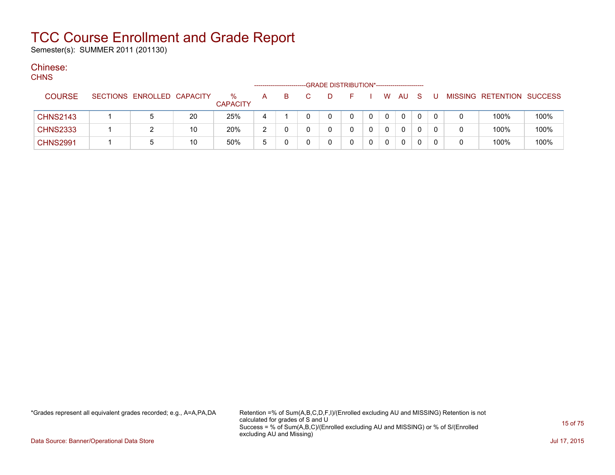Semester(s): SUMMER 2011 (201130)

#### Chinese:  $C$

| <b>CHNS</b>     |                            |    |                         |   |    | -GRADE DISTRIBUTION*----------------------- |   |              |             |          |              |  |                           |      |
|-----------------|----------------------------|----|-------------------------|---|----|---------------------------------------------|---|--------------|-------------|----------|--------------|--|---------------------------|------|
| <b>COURSE</b>   | SECTIONS ENROLLED CAPACITY |    | $\%$<br><b>CAPACITY</b> | A | B. |                                             |   |              | W           | AU       | <sub>S</sub> |  | MISSING RETENTION SUCCESS |      |
| <b>CHNS2143</b> |                            | 20 | 25%                     | 4 |    | 0                                           | 0 | $\mathbf{0}$ | $\Omega$    | $\Omega$ | 0            |  | 100%                      | 100% |
| <b>CHNS2333</b> |                            | 10 | 20%                     | າ |    |                                             |   |              | 0           | $\Omega$ |              |  | 100%                      | 100% |
| <b>CHNS2991</b> |                            | 10 | 50%                     | 5 |    |                                             |   |              | $\mathbf 0$ | 0        |              |  | 100%                      | 100% |

\*Grades represent all equivalent grades recorded; e.g., A=A,PA,DA Retention =% of Sum(A,B,C,D,F,I)/(Enrolled excluding AU and MISSING) Retention is not calculated for grades of S and U Success = % of Sum(A,B,C)/(Enrolled excluding AU and MISSING) or % of S/(Enrolled excluding AU and Missing)

Data Source: Banner/Operational Data Store Jul 17, 2015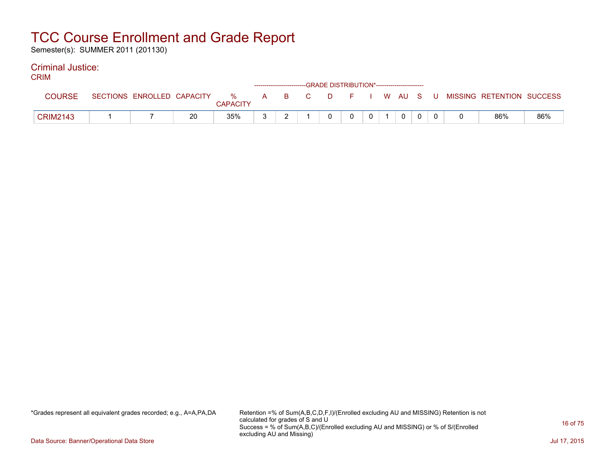Semester(s): SUMMER 2011 (201130)

#### Criminal Justice: CRIM

| UNIM            |                            |    |                 |  |  | ------------------------GRADE DISTRIBUTION*----------------------- |                |              |  |                                                  |     |
|-----------------|----------------------------|----|-----------------|--|--|--------------------------------------------------------------------|----------------|--------------|--|--------------------------------------------------|-----|
|                 | SECTIONS ENROLLED CAPACITY |    | <b>CAPACITY</b> |  |  |                                                                    |                |              |  | % A B C D F I W AU S U MISSING RETENTION SUCCESS |     |
| <b>CRIM2143</b> |                            | 20 | 35%             |  |  | $\Omega$                                                           | 0 <sup>1</sup> | $\mathbf{0}$ |  | 86%                                              | 86% |

\*Grades represent all equivalent grades recorded; e.g., A=A,PA,DA Retention =% of Sum(A,B,C,D,F,I)/(Enrolled excluding AU and MISSING) Retention is not calculated for grades of S and U Success = % of Sum(A,B,C)/(Enrolled excluding AU and MISSING) or % of S/(Enrolled excluding AU and Missing)

Data Source: Banner/Operational Data Store Jul 17, 2015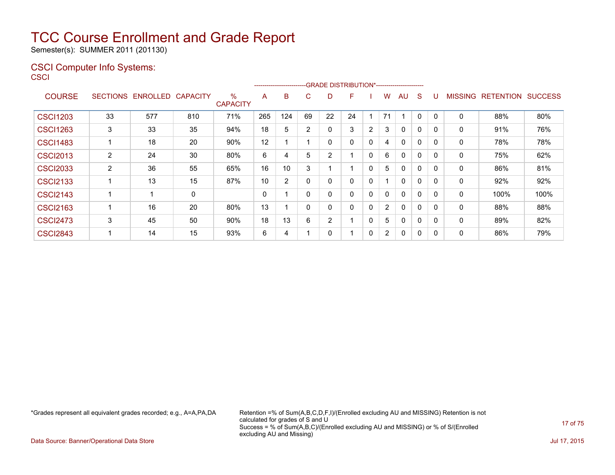Semester(s): SUMMER 2011 (201130)

### CSCI Computer Info Systems: **CSCI**

|                 |                 |          |                 |                         |     | ------------------------ |                |                | -GRADE DISTRIBUTION*---------------------- |                |                |              |              |              |                |                  |                |
|-----------------|-----------------|----------|-----------------|-------------------------|-----|--------------------------|----------------|----------------|--------------------------------------------|----------------|----------------|--------------|--------------|--------------|----------------|------------------|----------------|
| <b>COURSE</b>   | <b>SECTIONS</b> | ENROLLED | <b>CAPACITY</b> | $\%$<br><b>CAPACITY</b> | A   | B                        | C.             | D              | F                                          |                | w              | AU           | S            |              | <b>MISSING</b> | <b>RETENTION</b> | <b>SUCCESS</b> |
| <b>CSCI1203</b> | 33              | 577      | 810             | 71%                     | 265 | 124                      | 69             | 22             | 24                                         |                | 71             |              | 0            | 0            | 0              | 88%              | 80%            |
| <b>CSCI1263</b> | 3               | 33       | 35              | 94%                     | 18  | 5                        | $\overline{2}$ | 0              | 3                                          | $\overline{2}$ | 3              | $\Omega$     | 0            | $\mathbf{0}$ | 0              | 91%              | 76%            |
| <b>CSCI1483</b> |                 | 18       | 20              | 90%                     | 12  |                          |                |                | 0                                          | 0              | 4              | $\Omega$     | $\mathbf{0}$ | $\Omega$     | 0              | 78%              | 78%            |
| <b>CSCI2013</b> | 2               | 24       | 30              | 80%                     | 6   | 4                        | 5              | $\overline{2}$ |                                            | $\mathbf 0$    | 6              | 0            | 0            | 0            | 0              | 75%              | 62%            |
| <b>CSCI2033</b> | 2               | 36       | 55              | 65%                     | 16  | 10                       | 3              |                |                                            | 0              | 5              | 0            | 0            | $\Omega$     | 0              | 86%              | 81%            |
| <b>CSCI2133</b> |                 | 13       | 15              | 87%                     | 10  | 2                        | $\mathbf{0}$   | 0              | 0                                          | 0              |                | $\mathbf{0}$ | 0            | $\Omega$     | 0              | 92%              | 92%            |
| <b>CSCI2143</b> |                 | 1        | 0               |                         | 0   |                          | $\mathbf{0}$   | 0              | 0                                          | $\Omega$       | 0              | $\mathbf{0}$ | 0            | 0            | 0              | 100%             | 100%           |
| <b>CSCI2163</b> |                 | 16       | 20              | 80%                     | 13  |                          | 0              | 0              | 0                                          | $\Omega$       | $\overline{2}$ | $\mathbf{0}$ | 0            | $\Omega$     | 0              | 88%              | 88%            |
| <b>CSCI2473</b> | 3               | 45       | 50              | 90%                     | 18  | 13                       | 6              | $\overline{2}$ |                                            | $\Omega$       | 5              | $\mathbf{0}$ | 0            | 0            | 0              | 89%              | 82%            |
| <b>CSCI2843</b> |                 | 14       | 15              | 93%                     | 6   | 4                        |                |                |                                            | 0              | $\overline{2}$ | 0            | 0            |              | 0              | 86%              | 79%            |

\*Grades represent all equivalent grades recorded; e.g., A=A,PA,DA Retention =% of Sum(A,B,C,D,F,I)/(Enrolled excluding AU and MISSING) Retention is not calculated for grades of S and U Success = % of Sum(A,B,C)/(Enrolled excluding AU and MISSING) or % of S/(Enrolled excluding AU and Missing)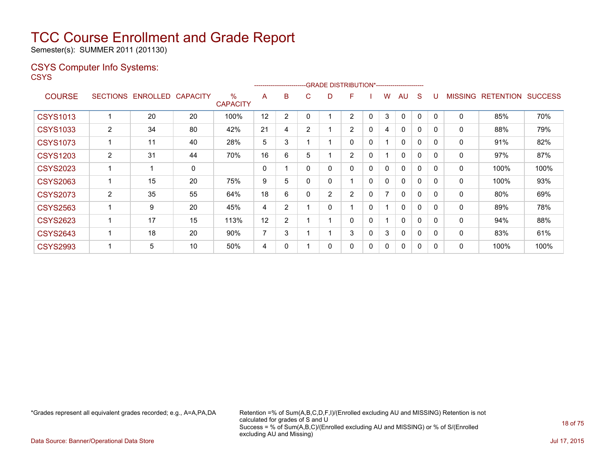Semester(s): SUMMER 2011 (201130)

### CSYS Computer Info Systems:

**CSYS** 

|                 |                 |                 |                 |                         |    | --------------------- |                | -GRADE DISTRIBUTION*---------------------- |                |              |                          |              |          |              |                |                  |                |
|-----------------|-----------------|-----------------|-----------------|-------------------------|----|-----------------------|----------------|--------------------------------------------|----------------|--------------|--------------------------|--------------|----------|--------------|----------------|------------------|----------------|
| <b>COURSE</b>   | <b>SECTIONS</b> | <b>ENROLLED</b> | <b>CAPACITY</b> | $\%$<br><b>CAPACITY</b> | A  | B                     | C              | D                                          | F              |              | W                        | AU           | S        |              | <b>MISSING</b> | <b>RETENTION</b> | <b>SUCCESS</b> |
| <b>CSYS1013</b> |                 | 20              | 20              | 100%                    | 12 | 2                     |                |                                            | 2              | 0            | 3                        | 0            | $\Omega$ | $\mathbf{0}$ | 0              | 85%              | 70%            |
| <b>CSYS1033</b> | $\overline{2}$  | 34              | 80              | 42%                     | 21 | 4                     | $\overline{2}$ |                                            | $\overline{2}$ | $\Omega$     | 4                        | 0            | $\Omega$ | $\Omega$     | $\mathbf 0$    | 88%              | 79%            |
| <b>CSYS1073</b> |                 | 11              | 40              | 28%                     | 5  | 3                     |                |                                            | 0              | 0            |                          | $\mathbf{0}$ | 0        | 0            | 0              | 91%              | 82%            |
| <b>CSYS1203</b> | $\overline{2}$  | 31              | 44              | 70%                     | 16 | 6                     | 5              |                                            | $\overline{2}$ | 0            |                          | 0            | 0        | $\mathbf{0}$ | 0              | 97%              | 87%            |
| <b>CSYS2023</b> |                 |                 | 0               |                         | 0  |                       | 0              | 0                                          | 0              | 0            | 0                        | $\mathbf{0}$ | 0        | $\Omega$     | 0              | 100%             | 100%           |
| <b>CSYS2063</b> |                 | 15              | 20              | 75%                     | 9  | 5                     | 0              | 0                                          |                | $\mathbf{0}$ | 0                        | $\Omega$     | 0        | 0            | 0              | 100%             | 93%            |
| <b>CSYS2073</b> | $\overline{2}$  | 35              | 55              | 64%                     | 18 | 6                     | 0              | 2                                          | $\overline{2}$ | 0            | $\overline{\phantom{a}}$ | $\Omega$     | 0        | 0            | 0              | 80%              | 69%            |
| <b>CSYS2563</b> |                 | 9               | 20              | 45%                     | 4  | $\overline{2}$        |                | 0                                          |                | 0            |                          | $\Omega$     | 0        | $\Omega$     | 0              | 89%              | 78%            |
| <b>CSYS2623</b> |                 | 17              | 15              | 113%                    | 12 | $\overline{2}$        |                |                                            | 0              | $\mathbf{0}$ |                          | $\mathbf{0}$ | 0        | $\Omega$     | 0              | 94%              | 88%            |
| <b>CSYS2643</b> |                 | 18              | 20              | 90%                     | 7  | 3                     |                |                                            | 3              | 0            | 3                        | $\mathbf{0}$ | 0        | $\Omega$     | 0              | 83%              | 61%            |
| <b>CSYS2993</b> |                 | 5               | 10              | 50%                     | 4  | 0                     |                | 0                                          | 0              | 0            | 0                        | 0            | 0        | 0            | 0              | 100%             | 100%           |

\*Grades represent all equivalent grades recorded; e.g., A=A,PA,DA Retention =% of Sum(A,B,C,D,F,I)/(Enrolled excluding AU and MISSING) Retention is not calculated for grades of S and U Success = % of Sum(A,B,C)/(Enrolled excluding AU and MISSING) or % of S/(Enrolled excluding AU and Missing)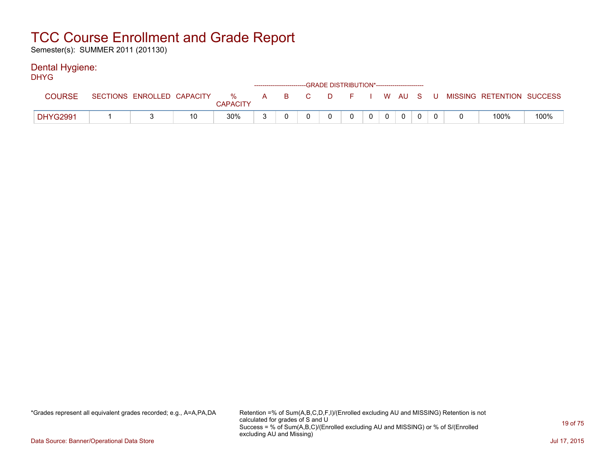Semester(s): SUMMER 2011 (201130)

### Dental Hygiene:

| <b>DHYG</b>     |  |    |                 | ------------------------GRADE DISTRIBUTION*----------------------- |          |              |                 |              |  |                                                                               |      |
|-----------------|--|----|-----------------|--------------------------------------------------------------------|----------|--------------|-----------------|--------------|--|-------------------------------------------------------------------------------|------|
| <b>COURSE</b>   |  |    | <b>CAPACITY</b> |                                                                    |          |              |                 |              |  | SECTIONS ENROLLED CAPACITY 3 % A B C D F I W AU S U MISSING RETENTION SUCCESS |      |
| <b>DHYG2991</b> |  | 10 | $30\%$          |                                                                    | $\Omega$ | $\mathbf{0}$ | $0 \mid 0 \mid$ | $\mathbf{0}$ |  | 100%                                                                          | 100% |

\*Grades represent all equivalent grades recorded; e.g., A=A,PA,DA Retention =% of Sum(A,B,C,D,F,I)/(Enrolled excluding AU and MISSING) Retention is not calculated for grades of S and U Success = % of Sum(A,B,C)/(Enrolled excluding AU and MISSING) or % of S/(Enrolled excluding AU and Missing)

Data Source: Banner/Operational Data Store Jul 17, 2015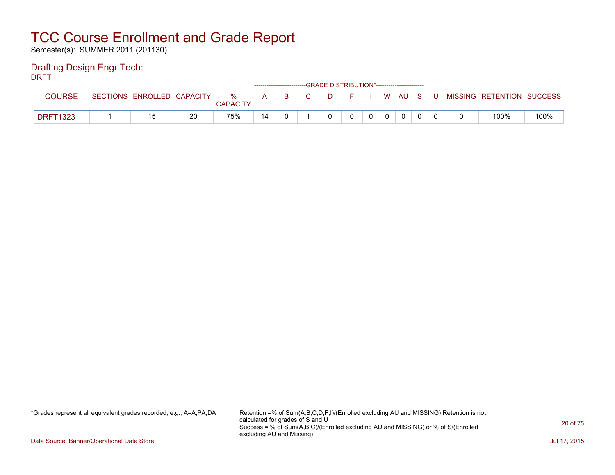Semester(s): SUMMER 2011 (201130)

### Drafting Design Engr Tech:

DRFT

|                 |                            |    |                      |    |     | ------------------------GRADE DISTRIBUTION*----------------------- |         |  |  |       |                           |      |
|-----------------|----------------------------|----|----------------------|----|-----|--------------------------------------------------------------------|---------|--|--|-------|---------------------------|------|
| <b>COURSE</b>   | SECTIONS ENROLLED CAPACITY |    | %<br><b>CAPACITY</b> | A  | B C |                                                                    | DFIWAUS |  |  | . U " | MISSING RETENTION SUCCESS |      |
| <b>DRFT1323</b> |                            | 20 | 75%                  | 14 |     |                                                                    |         |  |  |       | 100%                      | 100% |

\*Grades represent all equivalent grades recorded; e.g., A=A,PA,DA Retention =% of Sum(A,B,C,D,F,I)/(Enrolled excluding AU and MISSING) Retention is not calculated for grades of S and U Success = % of Sum(A,B,C)/(Enrolled excluding AU and MISSING) or % of S/(Enrolled excluding AU and Missing)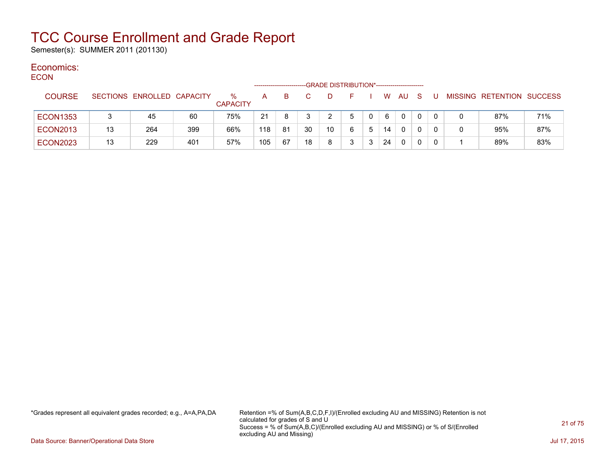Semester(s): SUMMER 2011 (201130)

#### Economics: ECON

| <b>ECON</b> |                 |    |                            |     |                         |     |    |    | -GRADE DISTRIBUTION*---------------------- |    |   |          |              |              |   |                           |     |
|-------------|-----------------|----|----------------------------|-----|-------------------------|-----|----|----|--------------------------------------------|----|---|----------|--------------|--------------|---|---------------------------|-----|
|             | <b>COURSE</b>   |    | SECTIONS ENROLLED CAPACITY |     | $\%$<br><b>CAPACITY</b> | A   | B. |    | D                                          | F. |   | <b>W</b> | AU.          | <sub>S</sub> |   | MISSING RETENTION SUCCESS |     |
|             | <b>ECON1353</b> |    | 45                         | 60  | 75%                     | 21  | 8  |    |                                            | 5  |   | 6        | $\mathbf{0}$ | 0            | 0 | 87%                       | 71% |
|             | <b>ECON2013</b> | 13 | 264                        | 399 | 66%                     | 118 | 81 | 30 | 10 <sup>°</sup>                            | 6  | 5 | 14       | 0            | 0            |   | 95%                       | 87% |
|             | <b>ECON2023</b> | 13 | 229                        | 401 | 57%                     | 105 | 67 | 18 | 8                                          | 3  | 3 | 24       | 0            | 0            | 0 | 89%                       | 83% |

\*Grades represent all equivalent grades recorded; e.g., A=A,PA,DA Retention =% of Sum(A,B,C,D,F,I)/(Enrolled excluding AU and MISSING) Retention is not calculated for grades of S and U Success = % of Sum(A,B,C)/(Enrolled excluding AU and MISSING) or % of S/(Enrolled excluding AU and Missing)

Data Source: Banner/Operational Data Store Jul 17, 2015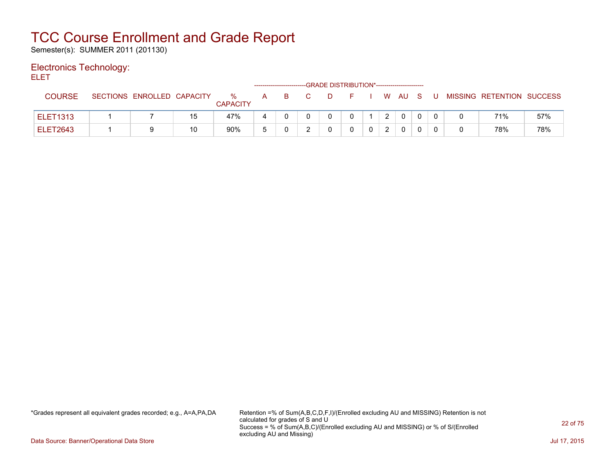Semester(s): SUMMER 2011 (201130)

### Electronics Technology:

ELET

|                 |                            |    |                      |   | ------------------------- | -GRADE DISTRIBUTION*----------------------- |  |                |              |     |     |                           |     |
|-----------------|----------------------------|----|----------------------|---|---------------------------|---------------------------------------------|--|----------------|--------------|-----|-----|---------------------------|-----|
| <b>COURSE</b>   | SECTIONS ENROLLED CAPACITY |    | %<br><b>CAPACITY</b> | А |                           | D                                           |  |                | . W AU       | - S | - U | MISSING RETENTION SUCCESS |     |
| <b>ELET1313</b> |                            | 15 | 47%                  |   |                           |                                             |  | $\overline{2}$ | $\mathbf 0$  |     |     | 71%                       | 57% |
| <b>ELET2643</b> |                            | 10 | 90%                  |   |                           |                                             |  |                | $\mathbf{0}$ |     |     | 78%                       | 78% |

\*Grades represent all equivalent grades recorded; e.g., A=A,PA,DA Retention =% of Sum(A,B,C,D,F,I)/(Enrolled excluding AU and MISSING) Retention is not calculated for grades of S and U Success = % of Sum(A,B,C)/(Enrolled excluding AU and MISSING) or % of S/(Enrolled excluding AU and Missing)

Data Source: Banner/Operational Data Store Jul 17, 2015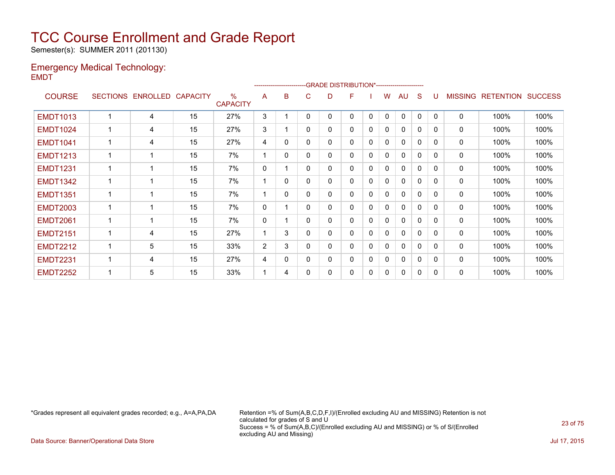Semester(s): SUMMER 2011 (201130)

### Emergency Medical Technology: EMDT

|                 |                 |          |                 |                                  |              |              | ------------------------GRADE                DISTRIBUTION*---------------------- |   |   |              |   |              |              |              |                |                  |                |
|-----------------|-----------------|----------|-----------------|----------------------------------|--------------|--------------|----------------------------------------------------------------------------------|---|---|--------------|---|--------------|--------------|--------------|----------------|------------------|----------------|
| <b>COURSE</b>   | <b>SECTIONS</b> | ENROLLED | <b>CAPACITY</b> | $\frac{0}{0}$<br><b>CAPACITY</b> | A            | B            | C.                                                                               | D | F |              | w | AU           | S            |              | <b>MISSING</b> | <b>RETENTION</b> | <b>SUCCESS</b> |
| <b>EMDT1013</b> |                 | 4        | 15              | 27%                              | 3            |              | $\Omega$                                                                         | 0 | 0 | $\mathbf{0}$ | 0 | $\mathbf{0}$ | 0            | $\Omega$     | $\mathbf{0}$   | 100%             | 100%           |
| <b>EMDT1024</b> | 1               | 4        | 15              | 27%                              | 3            |              | $\mathbf{0}$                                                                     | 0 | 0 | 0            | 0 | 0            | $\mathbf{0}$ | $\Omega$     | 0              | 100%             | 100%           |
| <b>EMDT1041</b> |                 | 4        | 15              | 27%                              | 4            | 0            | 0                                                                                | 0 | 0 | 0            | 0 | $\mathbf{0}$ | $\mathbf{0}$ | $\Omega$     | 0              | 100%             | 100%           |
| <b>EMDT1213</b> | 1               | 1        | 15              | 7%                               |              | 0            | 0                                                                                | 0 | 0 | 0            | 0 | $\mathbf{0}$ | $\mathbf{0}$ | $\Omega$     | 0              | 100%             | 100%           |
| <b>EMDT1231</b> | 1               | 1        | 15              | 7%                               | $\mathbf 0$  |              | 0                                                                                | 0 | 0 | 0            | 0 | $\mathbf{0}$ | $\mathbf{0}$ | $\Omega$     | $\mathbf{0}$   | 100%             | 100%           |
| <b>EMDT1342</b> | 1               | 1        | 15              | 7%                               |              | $\mathbf{0}$ | $\Omega$                                                                         | 0 | 0 | $\mathbf 0$  | 0 | $\mathbf{0}$ | $\mathbf{0}$ | $\Omega$     | 0              | 100%             | 100%           |
| <b>EMDT1351</b> | 1               | 1        | 15              | 7%                               |              | $\Omega$     | $\Omega$                                                                         | 0 | 0 | $\mathbf{0}$ | 0 | $\mathbf{0}$ | $\mathbf{0}$ | $\Omega$     | 0              | 100%             | 100%           |
| <b>EMDT2003</b> | 1               | 1        | 15              | 7%                               | $\mathbf{0}$ |              | $\Omega$                                                                         | 0 | 0 | $\mathbf{0}$ | 0 | $\mathbf{0}$ | $\mathbf 0$  | <sup>0</sup> | 0              | 100%             | 100%           |
| <b>EMDT2061</b> |                 | 1        | 15              | 7%                               | 0            |              | $\Omega$                                                                         | 0 | 0 | 0            | 0 | $\mathbf{0}$ | $\mathbf 0$  | $\Omega$     | 0              | 100%             | 100%           |
| <b>EMDT2151</b> |                 | 4        | 15              | 27%                              |              | 3            | 0                                                                                | 0 | 0 | $\mathbf{0}$ | 0 | $\mathbf{0}$ | 0            | $\Omega$     | 0              | 100%             | 100%           |
| <b>EMDT2212</b> | 1               | 5        | 15              | 33%                              | 2            | 3            | $\mathbf{0}$                                                                     | 0 | 0 | 0            | 0 | $\mathbf{0}$ | $\mathbf{0}$ | $\Omega$     | 0              | 100%             | 100%           |
| <b>EMDT2231</b> | 1               | 4        | 15              | 27%                              | 4            | 0            | 0                                                                                | 0 | 0 | 0            | 0 | 0            | 0            | $\Omega$     | 0              | 100%             | 100%           |
| <b>EMDT2252</b> |                 | 5        | 15              | 33%                              |              | 4            | $\Omega$                                                                         | 0 | 0 | 0            | 0 | $\mathbf{0}$ | 0            | $\Omega$     | 0              | 100%             | 100%           |

\*Grades represent all equivalent grades recorded; e.g., A=A,PA,DA Retention =% of Sum(A,B,C,D,F,I)/(Enrolled excluding AU and MISSING) Retention is not calculated for grades of S and U Success = % of Sum(A,B,C)/(Enrolled excluding AU and MISSING) or % of S/(Enrolled excluding AU and Missing)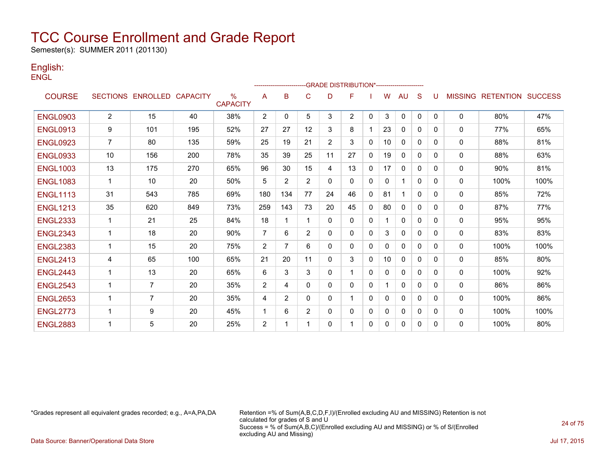Semester(s): SUMMER 2011 (201130)

### English: **ENGL**

|                 |                |                            |     |                         |     |                |                |                | -GRADE DISTRIBUTION*---------------------- |              |          |              |              |          |                |                          |      |
|-----------------|----------------|----------------------------|-----|-------------------------|-----|----------------|----------------|----------------|--------------------------------------------|--------------|----------|--------------|--------------|----------|----------------|--------------------------|------|
| <b>COURSE</b>   |                | SECTIONS ENROLLED CAPACITY |     | $\%$<br><b>CAPACITY</b> | A   | B              | C              | D              | F                                          |              | w        | AU           | S            | U        | <b>MISSING</b> | <b>RETENTION SUCCESS</b> |      |
| <b>ENGL0903</b> | $\overline{2}$ | 15                         | 40  | 38%                     | 2   | 0              | 5              | 3              | $\overline{2}$                             | $\mathbf{0}$ | 3        | $\mathbf{0}$ | $\mathbf{0}$ | $\Omega$ | $\mathbf{0}$   | 80%                      | 47%  |
| <b>ENGL0913</b> | 9              | 101                        | 195 | 52%                     | 27  | 27             | 12             | 3              | 8                                          |              | 23       | $\mathbf{0}$ | $\Omega$     | 0        | $\mathbf{0}$   | 77%                      | 65%  |
| <b>ENGL0923</b> | $\overline{7}$ | 80                         | 135 | 59%                     | 25  | 19             | 21             | $\overline{2}$ | 3                                          | $\Omega$     | 10       | $\mathbf{0}$ | $\Omega$     | $\Omega$ | $\Omega$       | 88%                      | 81%  |
| <b>ENGL0933</b> | 10             | 156                        | 200 | 78%                     | 35  | 39             | 25             | 11             | 27                                         | $\Omega$     | 19       | $\mathbf{0}$ | $\Omega$     | 0        | 0              | 88%                      | 63%  |
| <b>ENGL1003</b> | 13             | 175                        | 270 | 65%                     | 96  | 30             | 15             | 4              | 13                                         | 0            | 17       | $\mathbf{0}$ | $\mathbf{0}$ | 0        | 0              | 90%                      | 81%  |
| <b>ENGL1083</b> | $\mathbf 1$    | 10                         | 20  | 50%                     | 5   | $\overline{2}$ | $\overline{2}$ | $\mathbf{0}$   | 0                                          | $\Omega$     | 0        |              | $\Omega$     | $\Omega$ | 0              | 100%                     | 100% |
| <b>ENGL1113</b> | 31             | 543                        | 785 | 69%                     | 180 | 134            | 77             | 24             | 46                                         | 0            | 81       |              | 0            | 0        | 0              | 85%                      | 72%  |
| <b>ENGL1213</b> | 35             | 620                        | 849 | 73%                     | 259 | 143            | 73             | 20             | 45                                         | 0            | 80       | $\mathbf{0}$ | 0            | 0        | 0              | 87%                      | 77%  |
| <b>ENGL2333</b> | 1              | 21                         | 25  | 84%                     | 18  |                | 1              | $\mathbf{0}$   | 0                                          | $\mathbf{0}$ |          | $\mathbf{0}$ | $\Omega$     | $\Omega$ | 0              | 95%                      | 95%  |
| <b>ENGL2343</b> | 1              | 18                         | 20  | 90%                     | 7   | 6              | $\overline{2}$ | $\Omega$       | 0                                          | $\Omega$     | 3        | $\mathbf{0}$ | 0            | 0        | 0              | 83%                      | 83%  |
| <b>ENGL2383</b> | 1              | 15                         | 20  | 75%                     | 2   |                | 6              | $\Omega$       | 0                                          | $\Omega$     | $\Omega$ | $\mathbf{0}$ | $\Omega$     | 0        | 0              | 100%                     | 100% |
| <b>ENGL2413</b> | 4              | 65                         | 100 | 65%                     | 21  | 20             | 11             | $\Omega$       | 3                                          | $\Omega$     | 10       | $\mathbf{0}$ | 0            | 0        | $\mathbf{0}$   | 85%                      | 80%  |
| <b>ENGL2443</b> | 1              | 13                         | 20  | 65%                     | 6   | 3              | 3              | 0              |                                            | $\Omega$     | $\Omega$ | 0            | 0            | 0        | $\mathbf{0}$   | 100%                     | 92%  |
| <b>ENGL2543</b> | -1             | $\overline{7}$             | 20  | 35%                     | 2   | 4              | 0              | 0              | 0                                          | $\Omega$     |          | $\mathbf{0}$ | 0            | 0        | 0              | 86%                      | 86%  |
| <b>ENGL2653</b> | 1              | $\overline{7}$             | 20  | 35%                     | 4   | 2              | 0              | 0              |                                            | 0            | 0        | $\mathbf{0}$ | 0            | 0        | 0              | 100%                     | 86%  |
| <b>ENGL2773</b> | 1              | 9                          | 20  | 45%                     | 1   | 6              | $\overline{2}$ | 0              | 0                                          | 0            | 0        | 0            | 0            | 0        | 0              | 100%                     | 100% |
| <b>ENGL2883</b> | 1              | 5                          | 20  | 25%                     | 2   |                |                | 0              |                                            | 0            | 0        | 0            | 0            | 0        | 0              | 100%                     | 80%  |
|                 |                |                            |     |                         |     |                |                |                |                                            |              |          |              |              |          |                |                          |      |

\*Grades represent all equivalent grades recorded; e.g., A=A,PA,DA Retention =% of Sum(A,B,C,D,F,I)/(Enrolled excluding AU and MISSING) Retention is not calculated for grades of S and U Success = % of Sum(A,B,C)/(Enrolled excluding AU and MISSING) or % of S/(Enrolled excluding AU and Missing)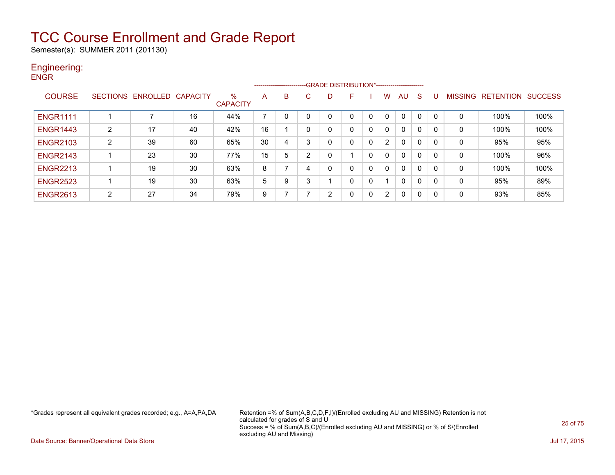Semester(s): SUMMER 2011 (201130)

### Engineering: **ENGR**

|                 |                 |                   |    |                      |    |   |                |   | ------------------------GRADE DISTRIBUTION*----------------------- |              |   |              |              |   |          |                   |                |
|-----------------|-----------------|-------------------|----|----------------------|----|---|----------------|---|--------------------------------------------------------------------|--------------|---|--------------|--------------|---|----------|-------------------|----------------|
| <b>COURSE</b>   | <b>SECTIONS</b> | ENROLLED CAPACITY |    | ℅<br><b>CAPACITY</b> | A  | в | C.             | D | F                                                                  |              | W | AU           | S            |   |          | MISSING RETENTION | <b>SUCCESS</b> |
| <b>ENGR1111</b> |                 |                   | 16 | 44%                  | 7  | 0 | 0              | 0 |                                                                    | 0            | 0 | 0            | $\Omega$     | 0 | $\Omega$ | 100%              | 100%           |
| <b>ENGR1443</b> | $\overline{2}$  | 17                | 40 | 42%                  | 16 |   | 0              | 0 | 0                                                                  | 0            | 0 | 0            | $\mathbf 0$  | 0 | 0        | 100%              | 100%           |
| <b>ENGR2103</b> | 2               | 39                | 60 | 65%                  | 30 | 4 | 3              | 0 | 0                                                                  | 0            | 2 | 0            | $\mathbf{0}$ | 0 | 0        | 95%               | 95%            |
| <b>ENGR2143</b> |                 | 23                | 30 | 77%                  | 15 | 5 | $\overline{2}$ | 0 |                                                                    | 0            | 0 | 0            | $\Omega$     | 0 | 0        | 100%              | 96%            |
| <b>ENGR2213</b> |                 | 19                | 30 | 63%                  | 8  | ⇁ | 4              | 0 | 0                                                                  | $\mathbf{0}$ | 0 | $\mathbf{0}$ | $\mathbf{0}$ | 0 | 0        | 100%              | 100%           |
| <b>ENGR2523</b> |                 | 19                | 30 | 63%                  | 5  | 9 | 3              |   | 0                                                                  | 0            |   | 0            | $\Omega$     | 0 | 0        | 95%               | 89%            |
| <b>ENGR2613</b> | 2               | 27                | 34 | 79%                  | 9  |   |                | 2 | 0                                                                  | 0            | 2 | 0            | $\mathbf{0}$ | 0 | 0        | 93%               | 85%            |

\*Grades represent all equivalent grades recorded; e.g., A=A,PA,DA Retention =% of Sum(A,B,C,D,F,I)/(Enrolled excluding AU and MISSING) Retention is not calculated for grades of S and U Success = % of Sum(A,B,C)/(Enrolled excluding AU and MISSING) or % of S/(Enrolled excluding AU and Missing)

Data Source: Banner/Operational Data Store Jul 17, 2015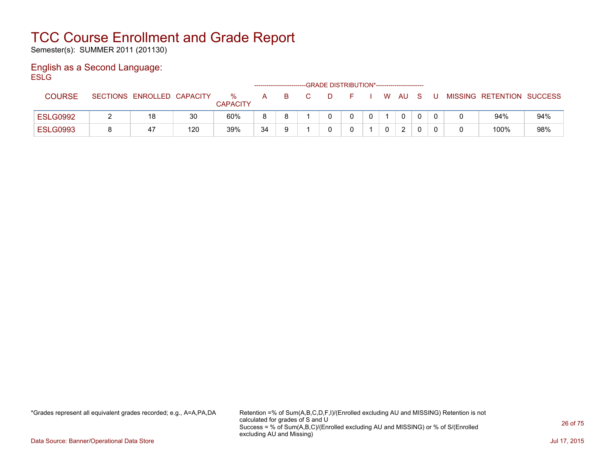Semester(s): SUMMER 2011 (201130)

### English as a Second Language: **ESLG**

|                 |                            |     |                      | ------------------- |  | -GRADE DISTRIBUTION*----------------------- |   |               |   |   |                           |     |
|-----------------|----------------------------|-----|----------------------|---------------------|--|---------------------------------------------|---|---------------|---|---|---------------------------|-----|
| <b>COURSE</b>   | SECTIONS ENROLLED CAPACITY |     | %<br><b>CAPACITY</b> | A                   |  |                                             | W | AU            |   | U | MISSING RETENTION SUCCESS |     |
| <b>ESLG0992</b> | 18                         | 30  | 60%                  |                     |  |                                             |   | 0             | 0 |   | 94%                       | 94% |
| <b>ESLG0993</b> | 47                         | 120 | 39%                  | 34                  |  |                                             |   | $\mathcal{D}$ |   |   | 100%                      | 98% |

\*Grades represent all equivalent grades recorded; e.g., A=A,PA,DA Retention =% of Sum(A,B,C,D,F,I)/(Enrolled excluding AU and MISSING) Retention is not calculated for grades of S and U Success = % of Sum(A,B,C)/(Enrolled excluding AU and MISSING) or % of S/(Enrolled excluding AU and Missing)

Data Source: Banner/Operational Data Store Jul 17, 2015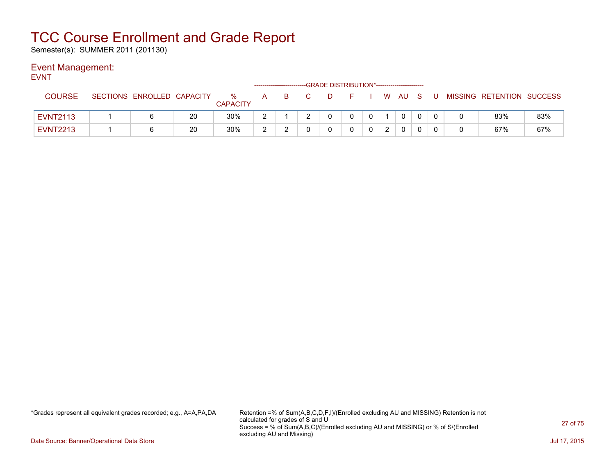Semester(s): SUMMER 2011 (201130)

### Event Management:

EVNT

|                 |                            |    |                      |             |    |  | -GRADE DISTRIBUTION*----------------------- |                |        |  |                           |     |
|-----------------|----------------------------|----|----------------------|-------------|----|--|---------------------------------------------|----------------|--------|--|---------------------------|-----|
| <b>COURSE</b>   | SECTIONS ENROLLED CAPACITY |    | %<br><b>CAPACITY</b> | A           | B. |  |                                             |                | . WAUS |  | MISSING RETENTION SUCCESS |     |
| <b>EVNT2113</b> |                            | 20 | 30%                  | $\sim$      |    |  |                                             | $\overline{0}$ |        |  | 83%                       | 83% |
| <b>EVNT2213</b> |                            | 20 | 30%                  | $\sim$<br>▃ | -  |  |                                             |                |        |  | 67%                       | 67% |

\*Grades represent all equivalent grades recorded; e.g., A=A,PA,DA Retention =% of Sum(A,B,C,D,F,I)/(Enrolled excluding AU and MISSING) Retention is not calculated for grades of S and U Success = % of Sum(A,B,C)/(Enrolled excluding AU and MISSING) or % of S/(Enrolled excluding AU and Missing)

Data Source: Banner/Operational Data Store Jul 17, 2015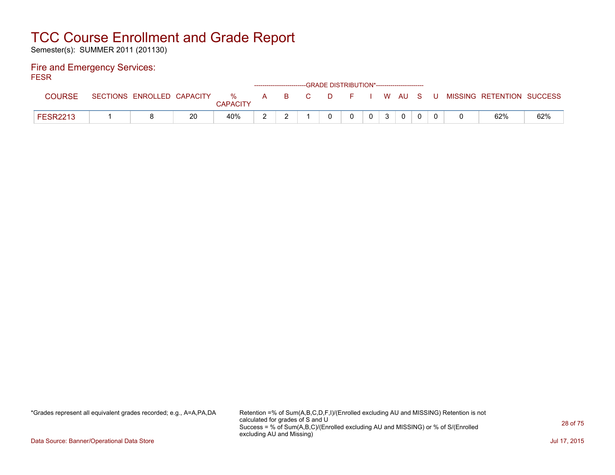Semester(s): SUMMER 2011 (201130)

#### Fire and Emergency Services: FESR

| .               |                            |    |                         |                |    | ------------------------GRADE DISTRIBUTION*----------------------- |        |    |   |              |     |                           |     |
|-----------------|----------------------------|----|-------------------------|----------------|----|--------------------------------------------------------------------|--------|----|---|--------------|-----|---------------------------|-----|
| <b>COURSE</b>   | SECTIONS ENROLLED CAPACITY |    | $\%$<br><b>CAPACITY</b> | $\overline{A}$ | B. | C.                                                                 | $\Box$ | F. |   | WAUS         | . U | MISSING RETENTION SUCCESS |     |
| <b>FESR2213</b> |                            | 20 | 40%                     |                |    |                                                                    |        |    | 0 | $\mathbf{0}$ |     | 62%                       | 62% |

\*Grades represent all equivalent grades recorded; e.g., A=A,PA,DA Retention =% of Sum(A,B,C,D,F,I)/(Enrolled excluding AU and MISSING) Retention is not calculated for grades of S and U Success = % of Sum(A,B,C)/(Enrolled excluding AU and MISSING) or % of S/(Enrolled excluding AU and Missing)

Data Source: Banner/Operational Data Store Jul 17, 2015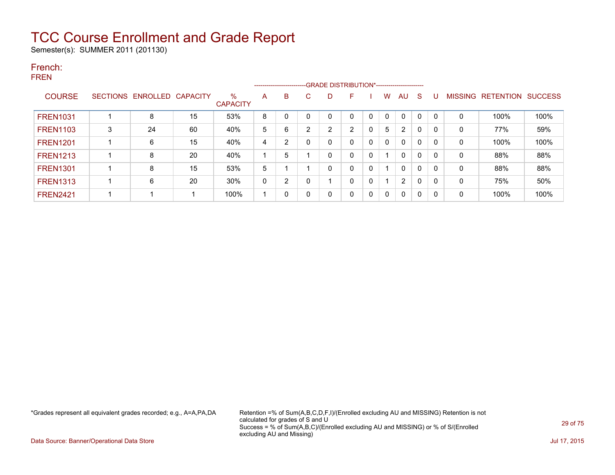Semester(s): SUMMER 2011 (201130)

### French: FREN

|                 |   |                            |    |                      |   |              |                | --------------------------GRADE DISTRIBUTION*----------------------- |          |              |          |                |              |              |   |                   |                |
|-----------------|---|----------------------------|----|----------------------|---|--------------|----------------|----------------------------------------------------------------------|----------|--------------|----------|----------------|--------------|--------------|---|-------------------|----------------|
| <b>COURSE</b>   |   | SECTIONS ENROLLED CAPACITY |    | %<br><b>CAPACITY</b> | A | B            | C              | D                                                                    | F        |              | W        | AU             | S            | U            |   | MISSING RETENTION | <b>SUCCESS</b> |
| <b>FREN1031</b> |   | 8                          | 15 | 53%                  | 8 | $\Omega$     | $\mathbf 0$    |                                                                      |          | 0            |          | 0              | $\mathbf{0}$ | $\mathbf{0}$ | 0 | 100%              | 100%           |
| <b>FREN1103</b> | 3 | 24                         | 60 | 40%                  | 5 | 6            | $\overline{2}$ | 2                                                                    | 2        | 0            | 5        | $\overline{2}$ | 0            | 0            | 0 | 77%               | 59%            |
| <b>FREN1201</b> |   | 6                          | 15 | 40%                  | 4 | 2            | 0              | 0                                                                    |          | $\mathbf{0}$ | $\Omega$ | $\mathbf{0}$   | 0            | 0            | 0 | 100%              | 100%           |
| <b>FREN1213</b> |   | 8                          | 20 | 40%                  |   | 5            |                | 0                                                                    |          | 0            |          | $\mathbf{0}$   | $\Omega$     | 0            | 0 | 88%               | 88%            |
| <b>FREN1301</b> |   | 8                          | 15 | 53%                  | 5 |              |                | 0                                                                    |          | 0            |          | 0              | 0            | 0            | 0 | 88%               | 88%            |
| <b>FREN1313</b> |   | 6                          | 20 | 30%                  | 0 | 2            | 0              |                                                                      |          | 0            |          | $\overline{2}$ | 0            | 0            | 0 | 75%               | 50%            |
| <b>FREN2421</b> |   | 1                          |    | 100%                 |   | $\mathbf{0}$ | 0              | 0                                                                    | $\Omega$ | 0            | $\Omega$ | $\mathbf{0}$   | 0            | 0            | 0 | 100%              | 100%           |

\*Grades represent all equivalent grades recorded; e.g., A=A,PA,DA Retention =% of Sum(A,B,C,D,F,I)/(Enrolled excluding AU and MISSING) Retention is not calculated for grades of S and U Success = % of Sum(A,B,C)/(Enrolled excluding AU and MISSING) or % of S/(Enrolled excluding AU and Missing)

Data Source: Banner/Operational Data Store Jul 17, 2015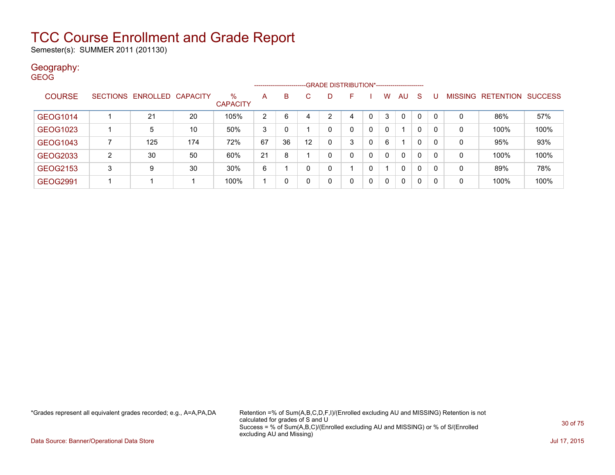Semester(s): SUMMER 2011 (201130)

#### Geography: GEOG

|                 |                 |          |          |                         |    |    |    |   | ------------------------GRADE DISTRIBUTION*----------------------- |              |             |              |              |          |                |                  |                |
|-----------------|-----------------|----------|----------|-------------------------|----|----|----|---|--------------------------------------------------------------------|--------------|-------------|--------------|--------------|----------|----------------|------------------|----------------|
| <b>COURSE</b>   | <b>SECTIONS</b> | ENROLLED | CAPACITY | $\%$<br><b>CAPACITY</b> | A  | B  | С  | D | F                                                                  |              | W           | AU           | <sub>S</sub> |          | <b>MISSING</b> | <b>RETENTION</b> | <b>SUCCESS</b> |
| GEOG1014        |                 | 21       | 20       | 105%                    | 2  | 6  |    | ົ | 4                                                                  | 0            | 3           | 0            | 0            |          | 0              | 86%              | 57%            |
| GEOG1023        |                 | 5        | 10       | 50%                     | 3  |    |    | 0 | 0                                                                  | 0            | $\Omega$    | 1            | 0            | 0        | 0              | 100%             | 100%           |
| <b>GEOG1043</b> |                 | 125      | 174      | 72%                     | 67 | 36 | 12 | 0 | 3                                                                  | 0            | 6           | 1            | 0            | 0        | 0              | 95%              | 93%            |
| GEOG2033        | 2               | 30       | 50       | 60%                     | 21 | 8  |    | 0 | 0                                                                  | 0            | $\Omega$    | $\mathbf{0}$ | 0            | $\Omega$ | 0              | 100%             | 100%           |
| GEOG2153        | 3               | 9        | 30       | 30%                     | 6  |    |    | 0 |                                                                    | 0            |             | $\mathbf{0}$ | 0            | -0       | 0              | 89%              | 78%            |
| <b>GEOG2991</b> |                 |          |          | 100%                    |    |    |    | 0 | 0                                                                  | $\mathbf{0}$ | $\mathbf 0$ | 0            | 0            | -0       | 0              | 100%             | 100%           |

\*Grades represent all equivalent grades recorded; e.g., A=A,PA,DA Retention =% of Sum(A,B,C,D,F,I)/(Enrolled excluding AU and MISSING) Retention is not calculated for grades of S and U Success = % of Sum(A,B,C)/(Enrolled excluding AU and MISSING) or % of S/(Enrolled excluding AU and Missing)

Data Source: Banner/Operational Data Store Jul 17, 2015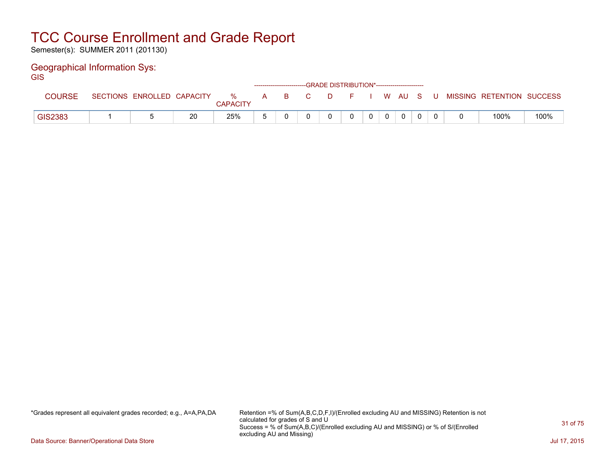Semester(s): SUMMER 2011 (201130)

### Geographical Information Sys:

**GIS** 

|         |                            |    |               |       | ------------------------GRADE DISTRIBUTION*----------------------- |            |  |          |       |                           |      |
|---------|----------------------------|----|---------------|-------|--------------------------------------------------------------------|------------|--|----------|-------|---------------------------|------|
| COURSE  | SECTIONS ENROLLED CAPACITY |    | %<br>CAPACITY | A B C |                                                                    | D F I WAUS |  |          | . U . | MISSING RETENTION SUCCESS |      |
| GIS2383 |                            | 20 | 25%           |       |                                                                    |            |  | $\Omega$ |       | 100%                      | 100% |

\*Grades represent all equivalent grades recorded; e.g., A=A,PA,DA Retention =% of Sum(A,B,C,D,F,I)/(Enrolled excluding AU and MISSING) Retention is not calculated for grades of S and U Success = % of Sum(A,B,C)/(Enrolled excluding AU and MISSING) or % of S/(Enrolled excluding AU and Missing)

Data Source: Banner/Operational Data Store Jul 17, 2015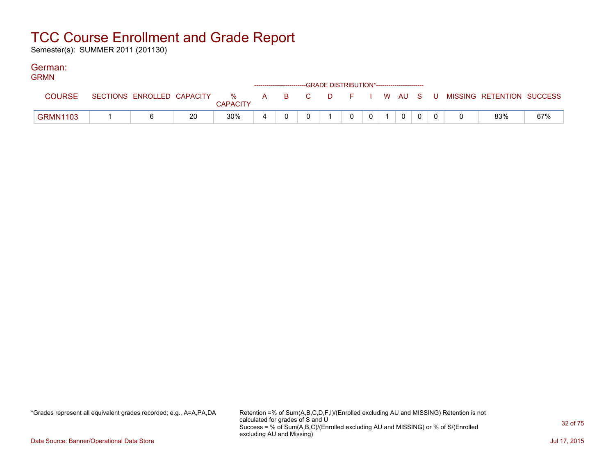Semester(s): SUMMER 2011 (201130)

#### German: GRMN

| <b>GRMN</b>     |                            |    |                      | ------------------------GRADE DISTRIBUTION*----------------------- |  |  |              |  |                                          |     |
|-----------------|----------------------------|----|----------------------|--------------------------------------------------------------------|--|--|--------------|--|------------------------------------------|-----|
| <b>COURSE</b>   | SECTIONS ENROLLED CAPACITY |    | %<br><b>CAPACITY</b> | A B C                                                              |  |  |              |  | D F I W AU S U MISSING RETENTION SUCCESS |     |
| <b>GRMN1103</b> |                            | 20 | 30%                  |                                                                    |  |  | $\mathbf{0}$ |  | 83%                                      | 67% |

\*Grades represent all equivalent grades recorded; e.g., A=A,PA,DA Retention =% of Sum(A,B,C,D,F,I)/(Enrolled excluding AU and MISSING) Retention is not calculated for grades of S and U Success = % of Sum(A,B,C)/(Enrolled excluding AU and MISSING) or % of S/(Enrolled excluding AU and Missing)

Data Source: Banner/Operational Data Store Jul 17, 2015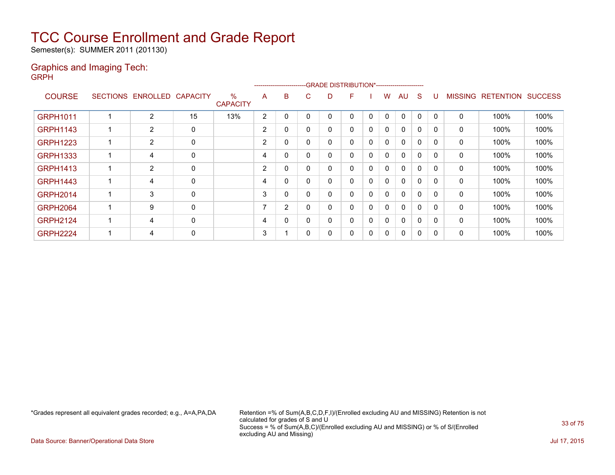Semester(s): SUMMER 2011 (201130)

### Graphics and Imaging Tech: GRPH

|                 |   |                            |             |                         |                |   |          | ------------------------GRADE                DISTRIBUTION*---------------------- |   |              |              |              |              |              |                |                  |                |
|-----------------|---|----------------------------|-------------|-------------------------|----------------|---|----------|----------------------------------------------------------------------------------|---|--------------|--------------|--------------|--------------|--------------|----------------|------------------|----------------|
| <b>COURSE</b>   |   | SECTIONS ENROLLED CAPACITY |             | $\%$<br><b>CAPACITY</b> | A              | B | C.       | D                                                                                | F |              | W            | AU           | S            | U            | <b>MISSING</b> | <b>RETENTION</b> | <b>SUCCESS</b> |
| <b>GRPH1011</b> | 1 | 2                          | 15          | 13%                     | $\overline{2}$ | 0 | $\Omega$ |                                                                                  | 0 | $\mathbf{0}$ | $\mathbf{0}$ | $\mathbf{0}$ | $\mathbf 0$  | $\Omega$     | 0              | 100%             | 100%           |
| <b>GRPH1143</b> |   | $\overline{2}$             | 0           |                         | 2              | 0 | $\Omega$ |                                                                                  | 0 | 0            | 0            | $\mathbf{0}$ | 0            | 0            | 0              | 100%             | 100%           |
| <b>GRPH1223</b> | 1 | $\overline{2}$             | 0           |                         | 2              | 0 | $\Omega$ |                                                                                  | 0 | 0            | $\mathbf{0}$ | $\mathbf{0}$ | $\mathbf 0$  | ∩            | 0              | 100%             | 100%           |
| <b>GRPH1333</b> | 1 | 4                          | 0           |                         | 4              | 0 | 0        |                                                                                  | 0 | 0            | 0            | $\mathbf{0}$ | $\mathbf 0$  | $\Omega$     | 0              | 100%             | 100%           |
| <b>GRPH1413</b> | 1 | 2                          | $\mathbf 0$ |                         | $\overline{2}$ | 0 | 0        | 0                                                                                | 0 | 0            | 0            | $\mathbf{0}$ | $\mathbf 0$  | $\Omega$     | 0              | 100%             | 100%           |
| <b>GRPH1443</b> | 1 | 4                          | 0           |                         | 4              | 0 | 0        | 0                                                                                | 0 | 0            | $\mathbf{0}$ | $\mathbf{0}$ | $\Omega$     | $\Omega$     | 0              | 100%             | 100%           |
| <b>GRPH2014</b> | 1 | 3                          | 0           |                         | 3              | 0 | 0        | 0                                                                                | 0 | $\mathbf{0}$ | 0            | $\mathbf{0}$ | $\Omega$     | n            | 0              | 100%             | 100%           |
| <b>GRPH2064</b> | 1 | 9                          | 0           |                         |                | 2 | $\Omega$ |                                                                                  | 0 | 0            | 0            | $\mathbf{0}$ | $\Omega$     | <sup>0</sup> | 0              | 100%             | 100%           |
| <b>GRPH2124</b> | 1 | 4                          | 0           |                         | 4              | 0 | 0        | 0                                                                                | 0 | 0            | $\mathbf{0}$ | $\mathbf{0}$ | $\mathbf{0}$ | $\Omega$     | $\mathbf{0}$   | 100%             | 100%           |
| <b>GRPH2224</b> | 1 | 4                          | 0           |                         | 3              |   | 0        |                                                                                  | 0 | 0            | 0            | $\mathbf{0}$ | 0            | <sup>0</sup> | 0              | 100%             | 100%           |

\*Grades represent all equivalent grades recorded; e.g., A=A,PA,DA Retention =% of Sum(A,B,C,D,F,I)/(Enrolled excluding AU and MISSING) Retention is not calculated for grades of S and U Success = % of Sum(A,B,C)/(Enrolled excluding AU and MISSING) or % of S/(Enrolled excluding AU and Missing)

Data Source: Banner/Operational Data Store Jul 17, 2015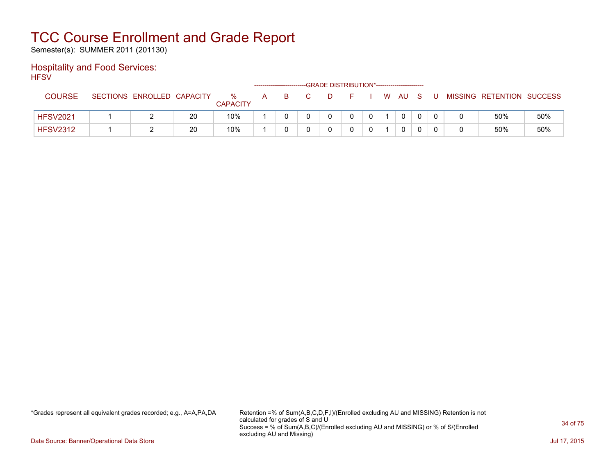Semester(s): SUMMER 2011 (201130)

### Hospitality and Food Services: **HFSV**

| .               |                            |    |                      |   | ------------------------- |  | -GRADE DISTRIBUTION*----------------------- |  |              |     |   |                           |     |
|-----------------|----------------------------|----|----------------------|---|---------------------------|--|---------------------------------------------|--|--------------|-----|---|---------------------------|-----|
| <b>COURSE</b>   | SECTIONS ENROLLED CAPACITY |    | %<br><b>CAPACITY</b> | A | B.                        |  |                                             |  | W AU         | - S | U | MISSING RETENTION SUCCESS |     |
| <b>HFSV2021</b> |                            | 20 | 10%                  |   |                           |  |                                             |  | $\mathbf{0}$ |     |   | 50%                       | 50% |
| <b>HFSV2312</b> |                            | 20 | 10%                  |   |                           |  |                                             |  | 0            |     |   | 50%                       | 50% |

\*Grades represent all equivalent grades recorded; e.g., A=A,PA,DA Retention =% of Sum(A,B,C,D,F,I)/(Enrolled excluding AU and MISSING) Retention is not calculated for grades of S and U Success = % of Sum(A,B,C)/(Enrolled excluding AU and MISSING) or % of S/(Enrolled excluding AU and Missing)

Data Source: Banner/Operational Data Store Jul 17, 2015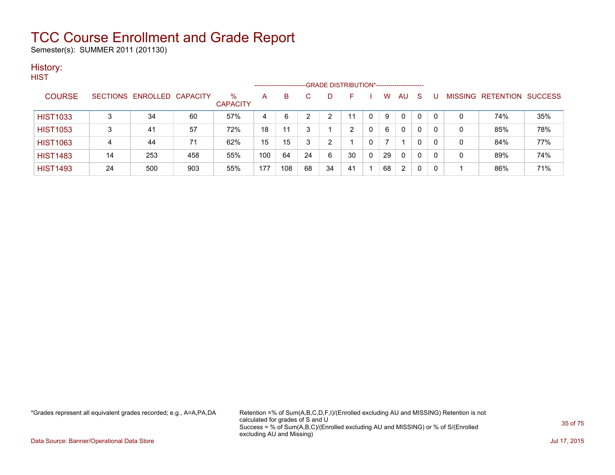Semester(s): SUMMER 2011 (201130)

### History: **HIST**

|                 |    |                            |     |                         | --------------------- |     |    | -GRADE DISTRIBUTION*----------------------- |    |          |    |                |    |              |   |                           |     |
|-----------------|----|----------------------------|-----|-------------------------|-----------------------|-----|----|---------------------------------------------|----|----------|----|----------------|----|--------------|---|---------------------------|-----|
| <b>COURSE</b>   |    | SECTIONS ENROLLED CAPACITY |     | $\%$<br><b>CAPACITY</b> | A                     | B   |    |                                             | F  |          | W  | AU             | -S | U            |   | MISSING RETENTION SUCCESS |     |
| <b>HIST1033</b> |    | 34                         | 60  | 57%                     | 4                     | 6   |    |                                             | 11 |          | 9  | 0              | 0  | $\mathbf{0}$ | 0 | 74%                       | 35% |
| <b>HIST1053</b> |    | 41                         | 57  | 72%                     | 18                    | 11  | 3  |                                             | າ  | $\Omega$ | 6  | 0              | 0  | 0            | 0 | 85%                       | 78% |
| <b>HIST1063</b> | 4  | 44                         | 71  | 62%                     | 15                    | 15  | 3  | 2                                           |    |          |    |                | 0  | $\mathbf{0}$ | 0 | 84%                       | 77% |
| <b>HIST1483</b> | 14 | 253                        | 458 | 55%                     | 100                   | 64  | 24 | 6                                           | 30 | $\Omega$ | 29 | $\mathbf{0}$   | 0  | $\mathbf{0}$ | 0 | 89%                       | 74% |
| <b>HIST1493</b> | 24 | 500                        | 903 | 55%                     | 177                   | 108 | 68 | 34                                          | 41 |          | 68 | $\overline{2}$ | 0  | 0            |   | 86%                       | 71% |

\*Grades represent all equivalent grades recorded; e.g., A=A,PA,DA Retention =% of Sum(A,B,C,D,F,I)/(Enrolled excluding AU and MISSING) Retention is not calculated for grades of S and U Success = % of Sum(A,B,C)/(Enrolled excluding AU and MISSING) or % of S/(Enrolled excluding AU and Missing)

Data Source: Banner/Operational Data Store Jul 17, 2015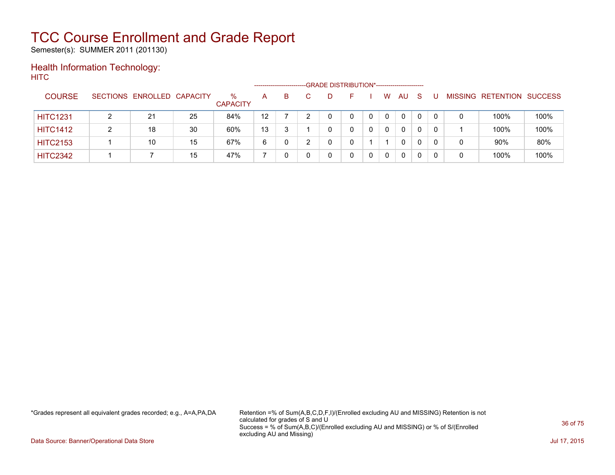Semester(s): SUMMER 2011 (201130)

### Health Information Technology: **HITC**

|                 |                            |    | -GRADE DISTRIBUTION*-----------------------<br>---------------------- |         |    |  |    |  |   |              |          |          |          |   |                   |                |  |
|-----------------|----------------------------|----|-----------------------------------------------------------------------|---------|----|--|----|--|---|--------------|----------|----------|----------|---|-------------------|----------------|--|
| <b>COURSE</b>   | SECTIONS ENROLLED CAPACITY |    | %<br><b>CAPACITY</b>                                                  | A       | B. |  | D. |  |   | W            | AU       | -S       |          |   | MISSING RETENTION | <b>SUCCESS</b> |  |
| <b>HITC1231</b> | 21                         | 25 | 84%                                                                   | $12 \,$ |    |  | 0  |  | 0 | $\mathbf{0}$ | $\Omega$ | $\Omega$ | $\Omega$ | 0 | 100%              | 100%           |  |
| <b>HITC1412</b> | 18                         | 30 | 60%                                                                   | 13      |    |  |    |  | 0 | 0            | 0        |          | $\Omega$ |   | 100%              | 100%           |  |
| <b>HITC2153</b> | 10                         | 15 | 67%                                                                   | 6       |    |  |    |  |   |              | 0        |          | 0        | 0 | 90%               | 80%            |  |
| <b>HITC2342</b> |                            | 15 | 47%                                                                   |         |    |  |    |  |   |              | 0        |          |          | 0 | 100%              | 100%           |  |

\*Grades represent all equivalent grades recorded; e.g., A=A,PA,DA Retention =% of Sum(A,B,C,D,F,I)/(Enrolled excluding AU and MISSING) Retention is not calculated for grades of S and U Success = % of Sum(A,B,C)/(Enrolled excluding AU and MISSING) or % of S/(Enrolled excluding AU and Missing)

Data Source: Banner/Operational Data Store Jul 17, 2015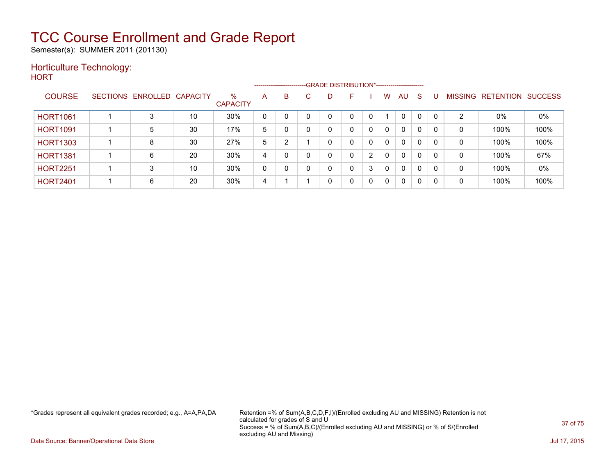Semester(s): SUMMER 2011 (201130)

### Horticulture Technology:

**HORT** 

|                 |                 |          |                 |                         |   | ------------------------ |   | -GRADE DISTRIBUTION*----------------------- |   |   |              |              |              |              |                |                  |                |
|-----------------|-----------------|----------|-----------------|-------------------------|---|--------------------------|---|---------------------------------------------|---|---|--------------|--------------|--------------|--------------|----------------|------------------|----------------|
| <b>COURSE</b>   | <b>SECTIONS</b> | ENROLLED | <b>CAPACITY</b> | $\%$<br><b>CAPACITY</b> | A | B                        | C | D                                           |   |   | w            | AU           | <sub>S</sub> |              | <b>MISSING</b> | <b>RETENTION</b> | <b>SUCCESS</b> |
| <b>HORT1061</b> |                 |          | 10              | 30%                     | 0 |                          |   | $\mathbf{0}$                                | 0 | 0 |              | $\Omega$     |              | $\mathbf{0}$ | 2              | 0%               | 0%             |
| <b>HORT1091</b> |                 | 5        | 30              | 17%                     | 5 |                          |   | 0                                           | 0 | 0 | 0            | 0            | 0            | $\Omega$     | 0              | 100%             | 100%           |
| <b>HORT1303</b> |                 | 8        | 30              | 27%                     | 5 | $\overline{2}$           |   | 0                                           | 0 | 0 | $\mathbf{0}$ | $\Omega$     | $\Omega$     | 0            | 0              | 100%             | 100%           |
| <b>HORT1381</b> |                 | 6        | 20              | 30%                     | 4 |                          | ∩ | 0                                           | 0 | 2 | 0            | $\Omega$     | $\mathbf{0}$ | $\Omega$     | 0              | 100%             | 67%            |
| <b>HORT2251</b> |                 | 3        | 10              | 30%                     | 0 |                          |   | $\mathbf 0$                                 | 0 | 3 | 0            | $\mathbf{0}$ | $\Omega$     | 0            | 0              | 100%             | $0\%$          |
| <b>HORT2401</b> |                 | 6        | 20              | 30%                     | 4 |                          |   | 0                                           | 0 | 0 | 0            | 0            | 0            | 0            | 0              | 100%             | 100%           |

\*Grades represent all equivalent grades recorded; e.g., A=A,PA,DA Retention =% of Sum(A,B,C,D,F,I)/(Enrolled excluding AU and MISSING) Retention is not calculated for grades of S and U Success = % of Sum(A,B,C)/(Enrolled excluding AU and MISSING) or % of S/(Enrolled excluding AU and Missing)

Data Source: Banner/Operational Data Store Jul 17, 2015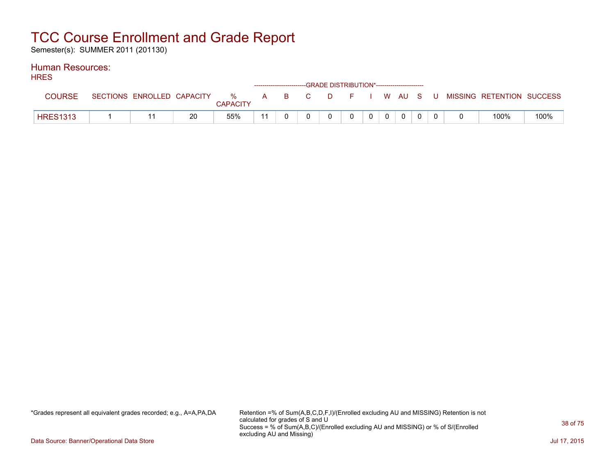Semester(s): SUMMER 2011 (201130)

#### Human Resources: **HDES**

| <b>NNEO</b>     |  |    |                 |  |          | ------------------------GRADE DISTRIBUTION*------------------------ |       |             |  |                                                                             |      |
|-----------------|--|----|-----------------|--|----------|---------------------------------------------------------------------|-------|-------------|--|-----------------------------------------------------------------------------|------|
| COURSE          |  |    | <b>CAPACITY</b> |  |          |                                                                     |       |             |  | SECTIONS ENROLLED CAPACITY % A B C D F I W AU S U MISSING RETENTION SUCCESS |      |
| <b>HRES1313</b> |  | 20 | 55%             |  | $\Omega$ | $\mathbf{0}$                                                        | $0$ 0 | $\mathbf 0$ |  | 100%                                                                        | 100% |

\*Grades represent all equivalent grades recorded; e.g., A=A,PA,DA Retention =% of Sum(A,B,C,D,F,I)/(Enrolled excluding AU and MISSING) Retention is not calculated for grades of S and U Success = % of Sum(A,B,C)/(Enrolled excluding AU and MISSING) or % of S/(Enrolled excluding AU and Missing)

Data Source: Banner/Operational Data Store Jul 17, 2015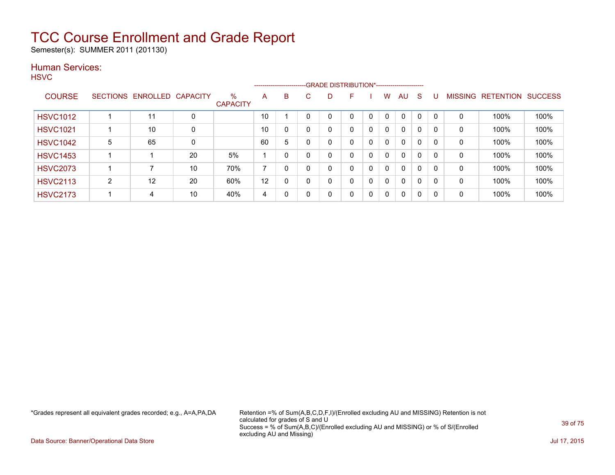Semester(s): SUMMER 2011 (201130)

### Human Services:

**HSVC** 

|                 |   |                   |                 |                         |    |          |    |   | --------------------------GRADE DISTRIBUTION*----------------------- |   |              |              |          |              |                |                  |                |
|-----------------|---|-------------------|-----------------|-------------------------|----|----------|----|---|----------------------------------------------------------------------|---|--------------|--------------|----------|--------------|----------------|------------------|----------------|
| <b>COURSE</b>   |   | SECTIONS ENROLLED | <b>CAPACITY</b> | $\%$<br><b>CAPACITY</b> | A  | B        | C. | D | E                                                                    |   | W            | AU           | S        | U            | <b>MISSING</b> | <b>RETENTION</b> | <b>SUCCESS</b> |
| <b>HSVC1012</b> |   | 11                | 0               |                         | 10 |          |    | 0 | 0                                                                    |   | 0            | $\Omega$     | $\Omega$ | $\mathbf{0}$ | 0              | 100%             | 100%           |
| <b>HSVC1021</b> |   | 10                | 0               |                         | 10 |          |    | 0 | 0                                                                    | 0 | $\mathbf{0}$ | $\mathbf{0}$ | $\Omega$ |              | 0              | 100%             | 100%           |
| <b>HSVC1042</b> | 5 | 65                | 0               |                         | 60 | 5        |    | 0 | $\Omega$                                                             | 0 | $\mathbf{0}$ | $\mathbf{0}$ | $\Omega$ |              | 0              | 100%             | 100%           |
| <b>HSVC1453</b> |   |                   | 20              | 5%                      |    |          |    | 0 | 0                                                                    | 0 | $\mathbf{0}$ | $\mathbf{0}$ | $\Omega$ |              | 0              | 100%             | 100%           |
| <b>HSVC2073</b> |   |                   | 10              | 70%                     |    |          |    | 0 | 0                                                                    | 0 | 0            | $\mathbf{0}$ | $\Omega$ |              | 0              | 100%             | 100%           |
| <b>HSVC2113</b> | C | 12                | 20              | 60%                     | 12 | $\Omega$ |    | 0 | 0                                                                    | 0 | 0            | $\Omega$     | $\Omega$ | 0            | $\mathbf{0}$   | 100%             | 100%           |
| <b>HSVC2173</b> |   | 4                 | 10              | 40%                     | 4  | $\Omega$ |    | 0 | 0                                                                    | 0 | 0            | $\Omega$     | 0        | 0            | 0              | 100%             | 100%           |

\*Grades represent all equivalent grades recorded; e.g., A=A,PA,DA Retention =% of Sum(A,B,C,D,F,I)/(Enrolled excluding AU and MISSING) Retention is not calculated for grades of S and U Success = % of Sum(A,B,C)/(Enrolled excluding AU and MISSING) or % of S/(Enrolled excluding AU and Missing)

Data Source: Banner/Operational Data Store Jul 17, 2015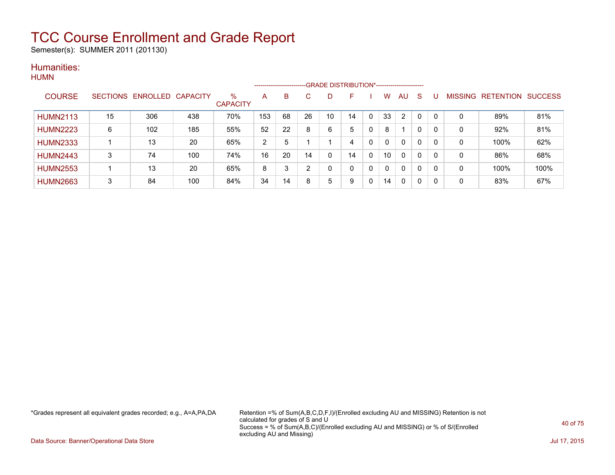Semester(s): SUMMER 2011 (201130)

### Humanities: **HUMN**

|                 |    |                            |     |                      |     |    | ------------------------GRADE DISTRIBUTION*----------------------- |    |    |          |    |                |          |          |   |                                  |      |
|-----------------|----|----------------------------|-----|----------------------|-----|----|--------------------------------------------------------------------|----|----|----------|----|----------------|----------|----------|---|----------------------------------|------|
| <b>COURSE</b>   |    | SECTIONS ENROLLED CAPACITY |     | %<br><b>CAPACITY</b> | A   | B  | С                                                                  | D  |    |          | w  | AU             | S        |          |   | <b>MISSING RETENTION SUCCESS</b> |      |
| <b>HUMN2113</b> | 15 | 306                        | 438 | 70%                  | 153 | 68 | 26                                                                 | 10 | 14 | $\Omega$ | 33 | $\overline{2}$ | $\Omega$ | - 0      | 0 | 89%                              | 81%  |
| <b>HUMN2223</b> | 6  | 102                        | 185 | 55%                  | 52  | 22 | 8                                                                  | 6  | 5  | 0        | 8  |                | 0        | 0        | 0 | 92%                              | 81%  |
| <b>HUMN2333</b> |    | 13                         | 20  | 65%                  | 2   | 5  |                                                                    |    | 4  | 0        | 0  | $\mathbf{0}$   | 0        | $\Omega$ | 0 | 100%                             | 62%  |
| <b>HUMN2443</b> | 3  | 74                         | 100 | 74%                  | 16  | 20 | 14                                                                 | 0  | 14 | 0        | 10 | $\mathbf{0}$   | 0        | $\Omega$ | 0 | 86%                              | 68%  |
| <b>HUMN2553</b> |    | 13                         | 20  | 65%                  | 8   | 3  | ົ                                                                  | 0  | 0  | 0        | 0  | $\Omega$       | 0        | 0        | 0 | 100%                             | 100% |
| <b>HUMN2663</b> | 3  | 84                         | 100 | 84%                  | 34  | 14 | 8                                                                  | 5  | 9  | 0        | 14 | 0              | 0        | 0        | 0 | 83%                              | 67%  |

\*Grades represent all equivalent grades recorded; e.g., A=A,PA,DA Retention =% of Sum(A,B,C,D,F,I)/(Enrolled excluding AU and MISSING) Retention is not calculated for grades of S and U Success = % of Sum(A,B,C)/(Enrolled excluding AU and MISSING) or % of S/(Enrolled excluding AU and Missing)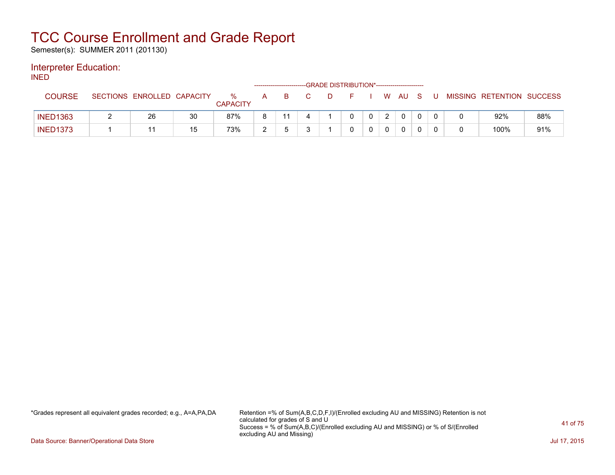Semester(s): SUMMER 2011 (201130)

### Interpreter Education:

INED

|                 |                            |    |                      |   | ------------------------ |  | -GRADE DISTRIBUTION*----------------------- |           |              |              |  |                           |     |
|-----------------|----------------------------|----|----------------------|---|--------------------------|--|---------------------------------------------|-----------|--------------|--------------|--|---------------------------|-----|
| <b>COURSE</b>   | SECTIONS ENROLLED CAPACITY |    | %<br><b>CAPACITY</b> |   |                          |  |                                             |           | W AU         | - S          |  | MISSING RETENTION SUCCESS |     |
| <b>INED1363</b> | 26                         | 30 | 87%                  |   |                          |  |                                             | $2 \cdot$ | $\mathbf{0}$ | $\mathbf{0}$ |  | 92%                       | 88% |
| <b>INED1373</b> |                            | 15 | 73%                  | ົ |                          |  |                                             |           | 0            | $\cap$       |  | 100%                      | 91% |

\*Grades represent all equivalent grades recorded; e.g., A=A,PA,DA Retention =% of Sum(A,B,C,D,F,I)/(Enrolled excluding AU and MISSING) Retention is not calculated for grades of S and U Success = % of Sum(A,B,C)/(Enrolled excluding AU and MISSING) or % of S/(Enrolled excluding AU and Missing)

Data Source: Banner/Operational Data Store Jul 17, 2015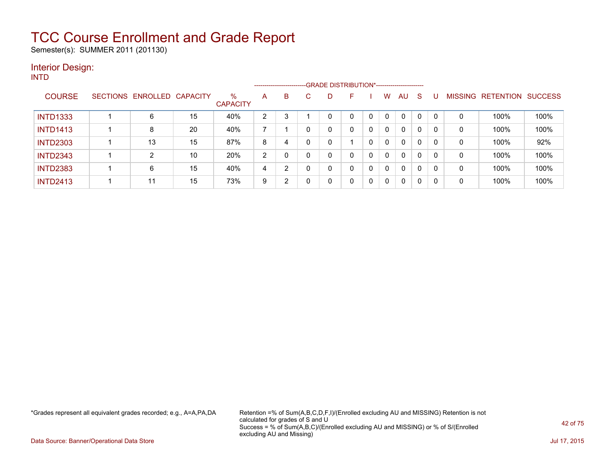Semester(s): SUMMER 2011 (201130)

#### Interior Design: INTD

|                 |                   |                 |                         |                | -------------------- |    |   | -GRADE DISTRIBUTION*----------------------- |              |          |              |    |          |                |                  |                |
|-----------------|-------------------|-----------------|-------------------------|----------------|----------------------|----|---|---------------------------------------------|--------------|----------|--------------|----|----------|----------------|------------------|----------------|
| <b>COURSE</b>   | SECTIONS ENROLLED | <b>CAPACITY</b> | $\%$<br><b>CAPACITY</b> | A              | B                    | C. | D | F                                           |              | w        | AU           | -S |          | <b>MISSING</b> | <b>RETENTION</b> | <b>SUCCESS</b> |
| <b>INTD1333</b> | 6                 | 15              | 40%                     | $\overline{2}$ | 3                    |    |   | 0                                           |              | 0        | $\mathbf{0}$ | 0  |          | 0              | 100%             | 100%           |
| <b>INTD1413</b> | 8                 | 20              | 40%                     |                |                      |    |   | 0                                           | 0            | 0        | $\mathbf{0}$ | 0  |          | 0              | 100%             | 100%           |
| <b>INTD2303</b> | 13                | 15              | 87%                     | 8              | 4                    |    |   |                                             |              | $\Omega$ | $\mathbf{0}$ | 0  | $\Omega$ | 0              | 100%             | 92%            |
| <b>INTD2343</b> | $\overline{2}$    | 10              | 20%                     | 2              |                      |    |   | 0                                           |              | $\Omega$ | 0            | 0  | 0        | 0              | 100%             | 100%           |
| <b>INTD2383</b> | 6                 | 15              | 40%                     | 4              | っ                    |    |   | 0                                           | 0            | 0        | $\mathbf{0}$ | 0  | 0        | 0              | 100%             | 100%           |
| <b>INTD2413</b> | 11                | 15              | 73%                     | 9              | 2                    |    |   | 0                                           | $\mathbf{0}$ | 0        | 0            | 0  | 0        | 0              | 100%             | 100%           |

\*Grades represent all equivalent grades recorded; e.g., A=A,PA,DA Retention =% of Sum(A,B,C,D,F,I)/(Enrolled excluding AU and MISSING) Retention is not calculated for grades of S and U Success = % of Sum(A,B,C)/(Enrolled excluding AU and MISSING) or % of S/(Enrolled excluding AU and Missing)

Data Source: Banner/Operational Data Store Jul 17, 2015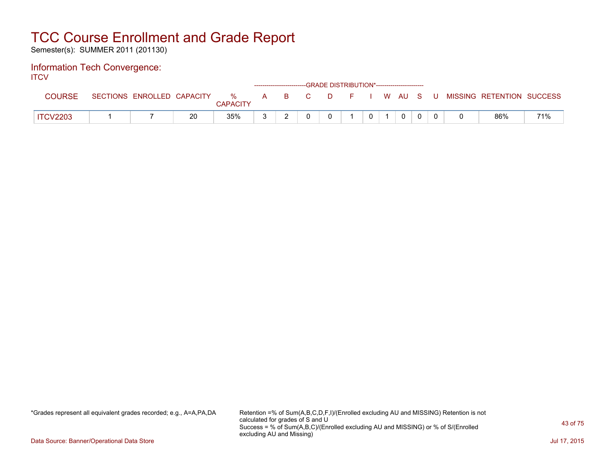Semester(s): SUMMER 2011 (201130)

#### Information Tech Convergence: **ITCV**

| .               |                            |    |                      |       | ------------------------GRADE DISTRIBUTION*----------------------- |  |             |  |                                          |     |
|-----------------|----------------------------|----|----------------------|-------|--------------------------------------------------------------------|--|-------------|--|------------------------------------------|-----|
| COURSE          | SECTIONS ENROLLED CAPACITY |    | %<br><b>CAPACITY</b> | A B C |                                                                    |  |             |  | D F I W AU S U MISSING RETENTION SUCCESS |     |
| <b>ITCV2203</b> |                            | 20 | 35%                  |       |                                                                    |  | $\mathbf 0$ |  | 86%                                      | 71% |

\*Grades represent all equivalent grades recorded; e.g., A=A,PA,DA Retention =% of Sum(A,B,C,D,F,I)/(Enrolled excluding AU and MISSING) Retention is not calculated for grades of S and U Success = % of Sum(A,B,C)/(Enrolled excluding AU and MISSING) or % of S/(Enrolled excluding AU and Missing)

Data Source: Banner/Operational Data Store Jul 17, 2015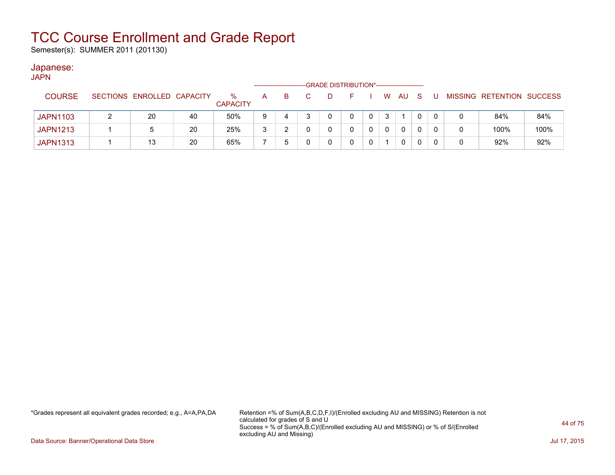Semester(s): SUMMER 2011 (201130)

### Japanese:

| <b>JAPN</b>     |                            |    |                         |   |   | -GRADE DISTRIBUTION*----------------------- |    |          |     |     |   |   |                           |      |
|-----------------|----------------------------|----|-------------------------|---|---|---------------------------------------------|----|----------|-----|-----|---|---|---------------------------|------|
| <b>COURSE</b>   | SECTIONS ENROLLED CAPACITY |    | $\%$<br><b>CAPACITY</b> | A | B | D                                           | E. | <b>W</b> | AU. | - S | U |   | MISSING RETENTION SUCCESS |      |
| <b>JAPN1103</b> | 20                         | 40 | 50%                     | 9 | 4 |                                             | 0  | 3        |     |     | 0 |   | 84%                       | 84%  |
| <b>JAPN1213</b> | 5                          | 20 | 25%                     | 3 |   |                                             |    |          | 0   |     |   | 0 | 100%                      | 100% |
| <b>JAPN1313</b> | 13                         | 20 | 65%                     |   |   |                                             |    |          | 0   |     | 0 | 0 | 92%                       | 92%  |

\*Grades represent all equivalent grades recorded; e.g., A=A,PA,DA Retention =% of Sum(A,B,C,D,F,I)/(Enrolled excluding AU and MISSING) Retention is not calculated for grades of S and U Success = % of Sum(A,B,C)/(Enrolled excluding AU and MISSING) or % of S/(Enrolled excluding AU and Missing)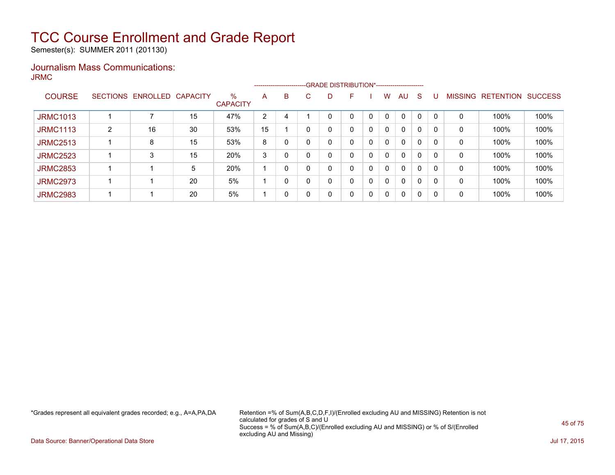Semester(s): SUMMER 2011 (201130)

### Journalism Mass Communications: JRMC

|                 |   |                   |          |                      |                |   |    | ------------------------GRADE                DISTRIBUTION*---------------------- |   |              |              |              |              |          |                |                  |                |
|-----------------|---|-------------------|----------|----------------------|----------------|---|----|----------------------------------------------------------------------------------|---|--------------|--------------|--------------|--------------|----------|----------------|------------------|----------------|
| <b>COURSE</b>   |   | SECTIONS ENROLLED | CAPACITY | %<br><b>CAPACITY</b> | A              | B | C. | D                                                                                | F |              | W            | AU           | <sub>S</sub> | U        | <b>MISSING</b> | <b>RETENTION</b> | <b>SUCCESS</b> |
| <b>JRMC1013</b> |   |                   | 15       | 47%                  | $\overline{2}$ | 4 |    |                                                                                  | 0 |              | $\mathbf{0}$ | 0            | 0            |          | 0              | 100%             | 100%           |
| <b>JRMC1113</b> | 2 | 16                | 30       | 53%                  | 15             |   |    | 0                                                                                | 0 | $\mathbf{0}$ | $\Omega$     | $\mathbf{0}$ | 0            | $\Omega$ | 0              | 100%             | 100%           |
| <b>JRMC2513</b> |   | 8                 | 15       | 53%                  | 8              |   |    | 0                                                                                | 0 | $\mathbf{0}$ | $\Omega$     | $\mathbf{0}$ | 0            | $\Omega$ | 0              | 100%             | 100%           |
| <b>JRMC2523</b> |   | 3                 | 15       | 20%                  | 3              | 0 |    | 0                                                                                | 0 | $\mathbf{0}$ | $\Omega$     | $\mathbf{0}$ | 0            | 0        | 0              | 100%             | 100%           |
| <b>JRMC2853</b> |   |                   | 5        | 20%                  |                | 0 |    | 0                                                                                | 0 | $\mathbf{0}$ | $\Omega$     | $\mathbf{0}$ | 0            | $\Omega$ | 0              | 100%             | 100%           |
| <b>JRMC2973</b> |   |                   | 20       | 5%                   |                | 0 |    | 0                                                                                | 0 | 0            | $\Omega$     | $\mathbf{0}$ | 0            | 0        | 0              | 100%             | 100%           |
| <b>JRMC2983</b> |   |                   | 20       | 5%                   |                | 0 |    | 0                                                                                | 0 | $\mathbf{0}$ | $\mathbf{0}$ | $\mathbf{0}$ | $\mathbf{0}$ | $\Omega$ | 0              | 100%             | 100%           |

\*Grades represent all equivalent grades recorded; e.g., A=A,PA,DA Retention =% of Sum(A,B,C,D,F,I)/(Enrolled excluding AU and MISSING) Retention is not calculated for grades of S and U Success = % of Sum(A,B,C)/(Enrolled excluding AU and MISSING) or % of S/(Enrolled excluding AU and Missing)

Data Source: Banner/Operational Data Store Jul 17, 2015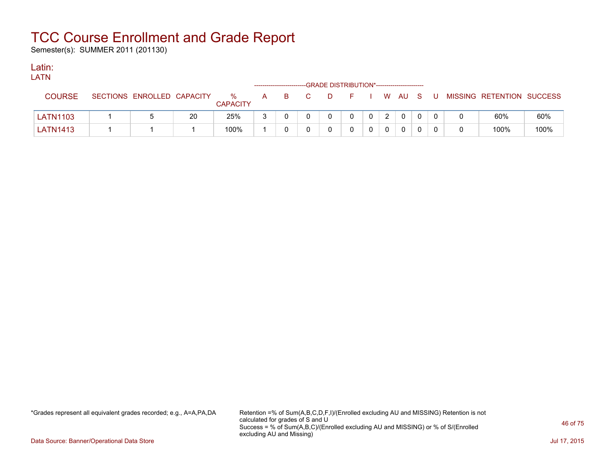Semester(s): SUMMER 2011 (201130)

### Latin:

| LATN            |                            |    |                      |   |    |    |                                             |              |   |              |  |                           |      |
|-----------------|----------------------------|----|----------------------|---|----|----|---------------------------------------------|--------------|---|--------------|--|---------------------------|------|
|                 |                            |    |                      |   |    |    | -GRADE DISTRIBUTION*----------------------- |              |   |              |  |                           |      |
| <b>COURSE</b>   | SECTIONS ENROLLED CAPACITY |    | %<br><b>CAPACITY</b> | A | B. | C. | D.                                          |              |   | F I W AU S U |  | MISSING RETENTION SUCCESS |      |
| <b>LATN1103</b> |                            | 20 | 25%                  | ຈ |    |    | $\mathbf{0}$                                | $\mathbf{0}$ | 2 |              |  | 60%                       | 60%  |
| <b>LATN1413</b> |                            |    | 100%                 |   |    |    | 0                                           | $\mathbf{0}$ |   |              |  | 100%                      | 100% |

\*Grades represent all equivalent grades recorded; e.g., A=A,PA,DA Retention =% of Sum(A,B,C,D,F,I)/(Enrolled excluding AU and MISSING) Retention is not calculated for grades of S and U Success = % of Sum(A,B,C)/(Enrolled excluding AU and MISSING) or % of S/(Enrolled excluding AU and Missing)

Data Source: Banner/Operational Data Store Jul 17, 2015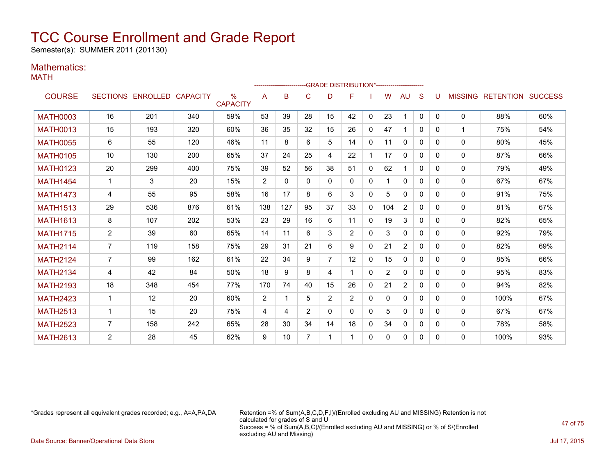Semester(s): SUMMER 2011 (201130)

### Mathematics:

MATH

|                 |                 |                            |     |                      |                |     |                |                | -- GRADE DISTRIBUTION*----------------------- |              |     |                |              |          |              |                                  |     |
|-----------------|-----------------|----------------------------|-----|----------------------|----------------|-----|----------------|----------------|-----------------------------------------------|--------------|-----|----------------|--------------|----------|--------------|----------------------------------|-----|
| <b>COURSE</b>   |                 | SECTIONS ENROLLED CAPACITY |     | %<br><b>CAPACITY</b> | A              | B   | C              | D              | F                                             |              | W   | AU             | S            |          |              | <b>MISSING RETENTION SUCCESS</b> |     |
| <b>MATH0003</b> | 16              | 201                        | 340 | 59%                  | 53             | 39  | 28             | 15             | 42                                            | $\mathbf{0}$ | 23  | $\mathbf 1$    | $\mathbf{0}$ | 0        | $\mathbf{0}$ | 88%                              | 60% |
| <b>MATH0013</b> | 15              | 193                        | 320 | 60%                  | 36             | 35  | 32             | 15             | 26                                            | $\mathbf{0}$ | 47  | 1              | $\Omega$     | $\Omega$ | 1            | 75%                              | 54% |
| <b>MATH0055</b> | 6               | 55                         | 120 | 46%                  | 11             | 8   | 6              | 5              | 14                                            | $\mathbf{0}$ | 11  | $\mathbf{0}$   | $\Omega$     | $\Omega$ | $\mathbf{0}$ | 80%                              | 45% |
| <b>MATH0105</b> | 10 <sup>1</sup> | 130                        | 200 | 65%                  | 37             | 24  | 25             | 4              | 22                                            |              | 17  | 0              | 0            | $\Omega$ | $\mathbf{0}$ | 87%                              | 66% |
| <b>MATH0123</b> | 20              | 299                        | 400 | 75%                  | 39             | 52  | 56             | 38             | 51                                            | $\mathbf{0}$ | 62  | 1              | 0            | 0        | $\mathbf{0}$ | 79%                              | 49% |
| <b>MATH1454</b> | 1               | 3                          | 20  | 15%                  | 2              | 0   | $\Omega$       | 0              | $\Omega$                                      | $\mathbf{0}$ |     | $\Omega$       | $\Omega$     | $\Omega$ | $\mathbf{0}$ | 67%                              | 67% |
| <b>MATH1473</b> | 4               | 55                         | 95  | 58%                  | 16             | 17  | 8              | 6              | 3                                             | $\mathbf{0}$ | 5   | $\Omega$       | $\Omega$     | $\Omega$ | $\mathbf{0}$ | 91%                              | 75% |
| <b>MATH1513</b> | 29              | 536                        | 876 | 61%                  | 138            | 127 | 95             | 37             | 33                                            | $\mathbf{0}$ | 104 | $\overline{2}$ | $\Omega$     | 0        | $\mathbf{0}$ | 81%                              | 67% |
| <b>MATH1613</b> | 8               | 107                        | 202 | 53%                  | 23             | 29  | 16             | 6              | 11                                            | $\mathbf{0}$ | 19  | 3              | 0            | 0        | 0            | 82%                              | 65% |
| <b>MATH1715</b> | $\overline{2}$  | 39                         | 60  | 65%                  | 14             | 11  | 6              | 3              | $\overline{2}$                                | $\mathbf{0}$ | 3   | $\mathbf{0}$   | $\Omega$     | $\Omega$ | $\mathbf{0}$ | 92%                              | 79% |
| <b>MATH2114</b> | $\overline{7}$  | 119                        | 158 | 75%                  | 29             | 31  | 21             | 6              | 9                                             | $\mathbf{0}$ | 21  | $\overline{2}$ | 0            | $\Omega$ | $\mathbf{0}$ | 82%                              | 69% |
| <b>MATH2124</b> | $\overline{7}$  | 99                         | 162 | 61%                  | 22             | 34  | 9              | $\overline{7}$ | 12                                            | $\mathbf{0}$ | 15  | $\mathbf{0}$   | 0            | 0        | $\mathbf{0}$ | 85%                              | 66% |
| <b>MATH2134</b> | 4               | 42                         | 84  | 50%                  | 18             | 9   | 8              | 4              |                                               | $\mathbf{0}$ | 2   | $\mathbf{0}$   | 0            | $\Omega$ | $\mathbf{0}$ | 95%                              | 83% |
| <b>MATH2193</b> | 18              | 348                        | 454 | 77%                  | 170            | 74  | 40             | 15             | 26                                            | $\mathbf{0}$ | 21  | $\overline{2}$ | $\Omega$     | $\Omega$ | $\mathbf{0}$ | 94%                              | 82% |
| <b>MATH2423</b> | $\mathbf 1$     | 12                         | 20  | 60%                  | $\overline{2}$ | -1  | 5              | $\overline{2}$ | $\overline{2}$                                | $\mathbf{0}$ | 0   | $\mathbf{0}$   | $\Omega$     | $\Omega$ | $\mathbf{0}$ | 100%                             | 67% |
| <b>MATH2513</b> | $\overline{1}$  | 15                         | 20  | 75%                  | 4              | 4   | 2              | $\Omega$       | 0                                             | $\mathbf{0}$ | 5   | $\mathbf{0}$   | 0            | $\Omega$ | $\mathbf{0}$ | 67%                              | 67% |
| <b>MATH2523</b> | $\overline{7}$  | 158                        | 242 | 65%                  | 28             | 30  | 34             | 14             | 18                                            | $\mathbf{0}$ | 34  | $\mathbf{0}$   | $\Omega$     | $\Omega$ | 0            | 78%                              | 58% |
| <b>MATH2613</b> | 2               | 28                         | 45  | 62%                  | 9              | 10  | $\overline{7}$ |                |                                               | $\mathbf{0}$ | 0   | 0              | 0            | 0        | $\Omega$     | 100%                             | 93% |

\*Grades represent all equivalent grades recorded; e.g., A=A,PA,DA Retention =% of Sum(A,B,C,D,F,I)/(Enrolled excluding AU and MISSING) Retention is not calculated for grades of S and U Success = % of Sum(A,B,C)/(Enrolled excluding AU and MISSING) or % of S/(Enrolled excluding AU and Missing)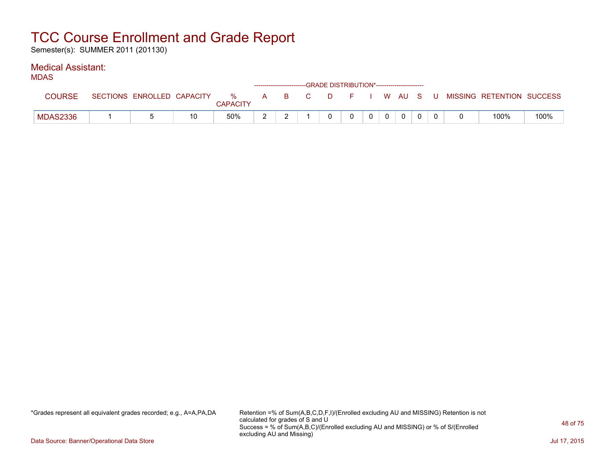Semester(s): SUMMER 2011 (201130)

### Medical Assistant:

| .             |                            |    |               |   |       |  | ------------------------GRADE DISTRIBUTION*----------------------- |  |         |  |                           |      |
|---------------|----------------------------|----|---------------|---|-------|--|--------------------------------------------------------------------|--|---------|--|---------------------------|------|
| <b>COURSE</b> | SECTIONS ENROLLED CAPACITY |    | %<br>CAPACITY |   | A B C |  | D F I                                                              |  | . WAUSU |  | MISSING RETENTION SUCCESS |      |
| MDAS2336      |                            | 10 | 50%           | - |       |  |                                                                    |  |         |  | 100%                      | 100% |

\*Grades represent all equivalent grades recorded; e.g., A=A,PA,DA Retention =% of Sum(A,B,C,D,F,I)/(Enrolled excluding AU and MISSING) Retention is not calculated for grades of S and U Success = % of Sum(A,B,C)/(Enrolled excluding AU and MISSING) or % of S/(Enrolled excluding AU and Missing)

Data Source: Banner/Operational Data Store Jul 17, 2015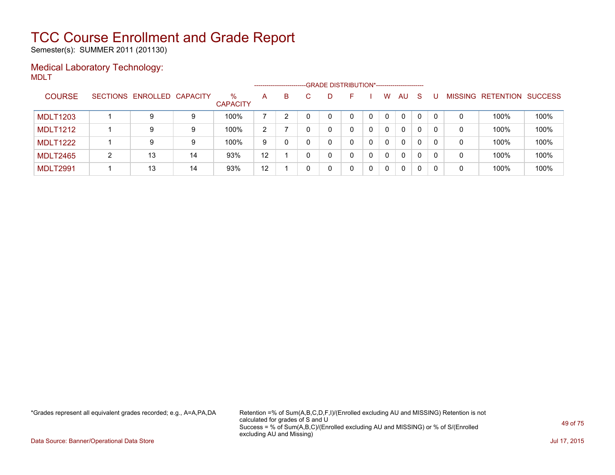Semester(s): SUMMER 2011 (201130)

### Medical Laboratory Technology: MDLT

|                 |   |                            |    |                         |    | ----------------------- | -GRADE DISTRIBUTION*----------------------- |   |              |   |          |              |              |                |                  |                |
|-----------------|---|----------------------------|----|-------------------------|----|-------------------------|---------------------------------------------|---|--------------|---|----------|--------------|--------------|----------------|------------------|----------------|
| <b>COURSE</b>   |   | SECTIONS ENROLLED CAPACITY |    | $\%$<br><b>CAPACITY</b> | A  | B                       | D                                           |   |              | W | AU       | -S           |              | <b>MISSING</b> | <b>RETENTION</b> | <b>SUCCESS</b> |
| <b>MDLT1203</b> |   | 9                          | 9  | 100%                    |    |                         | 0                                           |   |              | 0 | 0        | $\mathbf{0}$ | $\mathbf{0}$ | 0              | 100%             | 100%           |
| <b>MDLT1212</b> |   | 9                          | 9  | 100%                    | 2  |                         | 0                                           |   |              | 0 | $\Omega$ | 0            | 0            | 0              | 100%             | 100%           |
| <b>MDLT1222</b> |   | 9                          | 9  | 100%                    | 9  |                         | 0                                           |   | 0            | 0 | $\Omega$ | $\Omega$     | 0            | 0              | 100%             | 100%           |
| <b>MDLT2465</b> | 2 | 13                         | 14 | 93%                     | 12 |                         | 0                                           | 0 | <sup>n</sup> | 0 | $\Omega$ | 0            | 0            | 0              | 100%             | 100%           |
| <b>MDLT2991</b> |   | 13                         | 14 | 93%                     | 12 |                         | 0                                           | 0 |              | 0 | $\Omega$ | $\mathbf{0}$ | 0            | 0              | 100%             | 100%           |

\*Grades represent all equivalent grades recorded; e.g., A=A,PA,DA Retention =% of Sum(A,B,C,D,F,I)/(Enrolled excluding AU and MISSING) Retention is not calculated for grades of S and U Success = % of Sum(A,B,C)/(Enrolled excluding AU and MISSING) or % of S/(Enrolled excluding AU and Missing)

Data Source: Banner/Operational Data Store Jul 17, 2015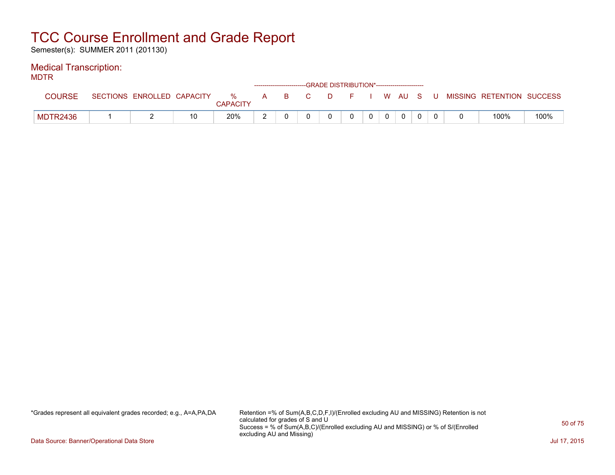Semester(s): SUMMER 2011 (201130)

### Medical Transcription:

MDTR

| .        |                            |    |                      | ---------------------------- |  | -GRADE DISTRIBUTION*----------------------- |              |                |              |  |                           |      |
|----------|----------------------------|----|----------------------|------------------------------|--|---------------------------------------------|--------------|----------------|--------------|--|---------------------------|------|
| COURSE   | SECTIONS ENROLLED CAPACITY |    | %<br><b>CAPACITY</b> | A B C                        |  | DFIWAUSU                                    |              |                |              |  | MISSING RETENTION SUCCESS |      |
| MDTR2436 |                            | 10 | 20%                  |                              |  |                                             | $\mathbf{0}$ | $\overline{0}$ | $\mathbf{0}$ |  | 100%                      | 100% |

\*Grades represent all equivalent grades recorded; e.g., A=A,PA,DA Retention =% of Sum(A,B,C,D,F,I)/(Enrolled excluding AU and MISSING) Retention is not calculated for grades of S and U Success = % of Sum(A,B,C)/(Enrolled excluding AU and MISSING) or % of S/(Enrolled excluding AU and Missing)

Data Source: Banner/Operational Data Store Jul 17, 2015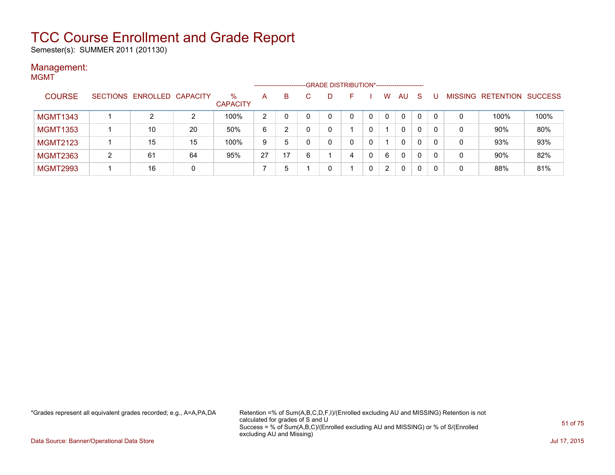Semester(s): SUMMER 2011 (201130)

#### Management: MGMT

| .               |   |                            |    |                         |                | ---------------------- |   | ---- GRADE DISTRIBUTION*------------------------ |   |          |              |          |                |                          |      |
|-----------------|---|----------------------------|----|-------------------------|----------------|------------------------|---|--------------------------------------------------|---|----------|--------------|----------|----------------|--------------------------|------|
| <b>COURSE</b>   |   | SECTIONS ENROLLED CAPACITY |    | $\%$<br><b>CAPACITY</b> | A              | B                      |   | D                                                |   | W        | AU.          | <b>S</b> | <b>MISSING</b> | <b>RETENTION SUCCESS</b> |      |
| <b>MGMT1343</b> |   |                            | 2  | 100%                    | $\overline{2}$ |                        |   |                                                  | 0 | $\Omega$ | 0            | 0        |                | 100%                     | 100% |
| <b>MGMT1353</b> |   | 10                         | 20 | 50%                     | 6              | 2                      |   |                                                  |   |          | 0            | 0        | 0              | 90%                      | 80%  |
| <b>MGMT2123</b> |   | 15                         | 15 | 100%                    | 9              | 5                      |   |                                                  | 0 |          | $\mathbf{0}$ | 0        | 0              | 93%                      | 93%  |
| <b>MGMT2363</b> | າ | 61                         | 64 | 95%                     | 27             | 17                     | ĥ |                                                  | 4 | 6        | $\mathbf{0}$ | 0        | 0              | 90%                      | 82%  |
| <b>MGMT2993</b> |   | 16                         | 0  |                         |                | b                      |   |                                                  |   | 2        | 0            | 0        | 0              | 88%                      | 81%  |

\*Grades represent all equivalent grades recorded; e.g., A=A,PA,DA Retention =% of Sum(A,B,C,D,F,I)/(Enrolled excluding AU and MISSING) Retention is not calculated for grades of S and U Success = % of Sum(A,B,C)/(Enrolled excluding AU and MISSING) or % of S/(Enrolled excluding AU and Missing)

Data Source: Banner/Operational Data Store Jul 17, 2015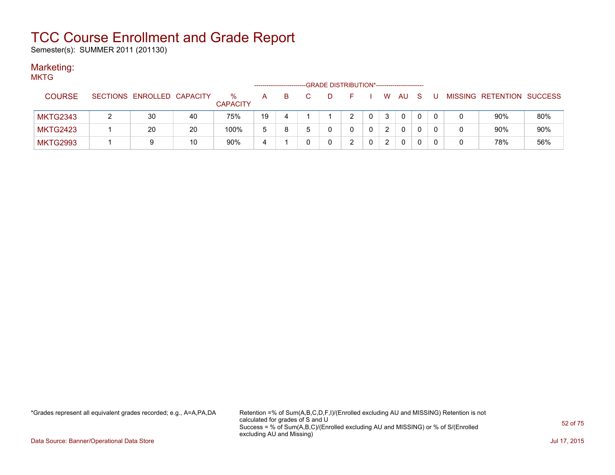Semester(s): SUMMER 2011 (201130)

### Marketing:

| <b>MKTG</b>     |                            |    |                         |    |    |   | -GRADE DISTRIBUTION*----------------------- |   |          |     |     |   |   |                           |     |
|-----------------|----------------------------|----|-------------------------|----|----|---|---------------------------------------------|---|----------|-----|-----|---|---|---------------------------|-----|
| <b>COURSE</b>   | SECTIONS ENROLLED CAPACITY |    | $\%$<br><b>CAPACITY</b> | A  | B. | D | E.                                          |   | <b>W</b> | AU. | - S | U |   | MISSING RETENTION SUCCESS |     |
| <b>MKTG2343</b> | 30                         | 40 | 75%                     | 19 | 4  |   | 2                                           |   | 3        | 0   |     | 0 |   | 90%                       | 80% |
| <b>MKTG2423</b> | 20                         | 20 | 100%                    | 5  | 8  |   |                                             | 0 | 2        | 0   | 0   | 0 | 0 | 90%                       | 90% |
| <b>MKTG2993</b> |                            | 10 | 90%                     | 4  |    |   | າ                                           |   | 2        | 0   |     | 0 | 0 | 78%                       | 56% |

\*Grades represent all equivalent grades recorded; e.g., A=A,PA,DA Retention =% of Sum(A,B,C,D,F,I)/(Enrolled excluding AU and MISSING) Retention is not calculated for grades of S and U Success = % of Sum(A,B,C)/(Enrolled excluding AU and MISSING) or % of S/(Enrolled excluding AU and Missing)

Data Source: Banner/Operational Data Store Jul 17, 2015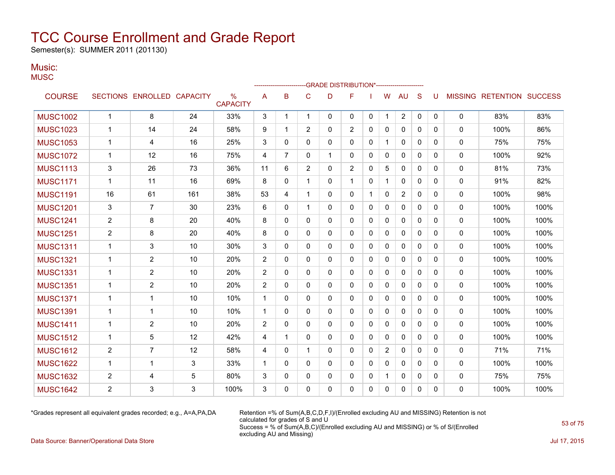Semester(s): SUMMER 2011 (201130)

### Music:

| Ml |  |  |
|----|--|--|
| M  |  |  |

|                 |                |                            |     |                                  |                |                |                | <b>GRADE DISTRIBUTION*-----------------------</b> |                |              |                |                |              |              |                |                          |      |
|-----------------|----------------|----------------------------|-----|----------------------------------|----------------|----------------|----------------|---------------------------------------------------|----------------|--------------|----------------|----------------|--------------|--------------|----------------|--------------------------|------|
| <b>COURSE</b>   |                | SECTIONS ENROLLED CAPACITY |     | $\frac{0}{0}$<br><b>CAPACITY</b> | Α              | B              | C              | D                                                 | F              |              | W              | AU             | S            | U            | <b>MISSING</b> | <b>RETENTION SUCCESS</b> |      |
| <b>MUSC1002</b> | $\mathbf{1}$   | 8                          | 24  | 33%                              | 3              | $\mathbf 1$    | $\mathbf{1}$   | $\mathbf{0}$                                      | $\mathbf{0}$   | $\mathbf{0}$ | 1              | $\overline{2}$ | $\mathbf 0$  | $\mathbf{0}$ | $\mathbf{0}$   | 83%                      | 83%  |
| <b>MUSC1023</b> | $\mathbf{1}$   | 14                         | 24  | 58%                              | 9              | -1             | 2              | 0                                                 | $\overline{2}$ | 0            | 0              | $\mathbf{0}$   | $\mathbf{0}$ | 0            | $\mathbf{0}$   | 100%                     | 86%  |
| <b>MUSC1053</b> | $\mathbf{1}$   | $\overline{4}$             | 16  | 25%                              | 3              | $\Omega$       | $\Omega$       | 0                                                 | 0              | $\mathbf{0}$ | $\mathbf{1}$   | $\mathbf{0}$   | $\mathbf{0}$ | $\Omega$     | 0              | 75%                      | 75%  |
| <b>MUSC1072</b> | $\mathbf{1}$   | 12                         | 16  | 75%                              | 4              | $\overline{7}$ | 0              | 1                                                 | 0              | $\mathbf{0}$ | 0              | 0              | $\mathbf{0}$ | $\Omega$     | 0              | 100%                     | 92%  |
| <b>MUSC1113</b> | 3              | 26                         | 73  | 36%                              | 11             | 6              | $\overline{2}$ | 0                                                 | $\overline{2}$ | 0            | 5              | $\mathbf{0}$   | $\mathbf{0}$ | $\Omega$     | 0              | 81%                      | 73%  |
| <b>MUSC1171</b> | $\mathbf 1$    | 11                         | 16  | 69%                              | 8              | $\Omega$       | 1              | 0                                                 | $\mathbf{1}$   | $\Omega$     | $\mathbf 1$    | $\Omega$       | $\Omega$     | $\Omega$     | $\Omega$       | 91%                      | 82%  |
| <b>MUSC1191</b> | 16             | 61                         | 161 | 38%                              | 53             | 4              | 1              | $\mathbf{0}$                                      | 0              | 1            | 0              | $\overline{2}$ | $\mathbf{0}$ | $\mathbf{0}$ | 0              | 100%                     | 98%  |
| <b>MUSC1201</b> | 3              | $\overline{7}$             | 30  | 23%                              | 6              | $\mathbf{0}$   | 1              | 0                                                 | 0              | $\Omega$     | $\Omega$       | $\Omega$       | $\Omega$     | $\Omega$     | 0              | 100%                     | 100% |
| <b>MUSC1241</b> | $\overline{2}$ | 8                          | 20  | 40%                              | 8              | $\Omega$       | $\Omega$       | 0                                                 | $\Omega$       | $\Omega$     | $\Omega$       | $\mathbf{0}$   | $\Omega$     | $\Omega$     | 0              | 100%                     | 100% |
| <b>MUSC1251</b> | $\overline{2}$ | 8                          | 20  | 40%                              | 8              | $\mathbf{0}$   | $\mathbf{0}$   | 0                                                 | 0              | 0            | 0              | 0              | 0            | 0            | 0              | 100%                     | 100% |
| <b>MUSC1311</b> | 1              | 3                          | 10  | 30%                              | 3              | $\Omega$       | $\Omega$       | 0                                                 | 0              | $\mathbf{0}$ | 0              | $\mathbf{0}$   | $\mathbf{0}$ | 0            | 0              | 100%                     | 100% |
| <b>MUSC1321</b> | $\mathbf 1$    | $\overline{2}$             | 10  | 20%                              | $\overline{2}$ | $\mathbf{0}$   | $\Omega$       | 0                                                 | 0              | $\mathbf{0}$ | 0              | $\mathbf{0}$   | $\mathbf{0}$ | 0            | $\mathbf{0}$   | 100%                     | 100% |
| <b>MUSC1331</b> | $\mathbf 1$    | $\overline{2}$             | 10  | 20%                              | 2              | $\mathbf{0}$   | $\mathbf{0}$   | 0                                                 | $\mathbf{0}$   | 0            | 0              | 0              | $\mathbf{0}$ | 0            | 0              | 100%                     | 100% |
| <b>MUSC1351</b> | $\mathbf{1}$   | $\overline{2}$             | 10  | 20%                              | $\overline{2}$ | $\Omega$       | $\mathbf{0}$   | 0                                                 | 0              | 0            | 0              | $\mathbf{0}$   | $\mathbf{0}$ | 0            | 0              | 100%                     | 100% |
| <b>MUSC1371</b> | $\mathbf{1}$   | $\mathbf{1}$               | 10  | 10%                              | $\mathbf{1}$   | $\mathbf{0}$   | $\Omega$       | 0                                                 | $\Omega$       | $\mathbf{0}$ | $\Omega$       | $\Omega$       | $\mathbf{0}$ | $\Omega$     | $\Omega$       | 100%                     | 100% |
| <b>MUSC1391</b> | $\mathbf 1$    | $\mathbf 1$                | 10  | 10%                              | $\mathbf 1$    | $\mathbf{0}$   | 0              | 0                                                 | 0              | 0            | 0              | 0              | $\mathbf{0}$ | 0            | 0              | 100%                     | 100% |
| <b>MUSC1411</b> | $\mathbf 1$    | 2                          | 10  | 20%                              | 2              | $\Omega$       | $\Omega$       | 0                                                 | $\Omega$       | $\Omega$     | $\Omega$       | $\Omega$       | $\Omega$     | $\Omega$     | $\Omega$       | 100%                     | 100% |
| <b>MUSC1512</b> | $\mathbf 1$    | 5                          | 12  | 42%                              | 4              | $\overline{1}$ | $\Omega$       | 0                                                 | 0              | $\mathbf{0}$ | 0              | 0              | $\mathbf{0}$ | 0            | 0              | 100%                     | 100% |
| <b>MUSC1612</b> | $\overline{c}$ | $\overline{7}$             | 12  | 58%                              | 4              | $\mathbf{0}$   | 1              | 0                                                 | $\Omega$       | 0            | $\overline{c}$ | $\Omega$       | $\mathbf{0}$ | $\Omega$     | 0              | 71%                      | 71%  |
| <b>MUSC1622</b> | $\mathbf{1}$   | $\mathbf 1$                | 3   | 33%                              | $\mathbf 1$    | $\Omega$       | $\mathbf 0$    | $\Omega$                                          | $\Omega$       | $\Omega$     | $\Omega$       | $\Omega$       | $\Omega$     | $\Omega$     | $\mathbf{0}$   | 100%                     | 100% |
| <b>MUSC1632</b> | $\overline{2}$ | $\overline{4}$             | 5   | 80%                              | 3              | $\mathbf{0}$   | $\mathbf{0}$   | 0                                                 | 0              | $\mathbf{0}$ | 1              | 0              | $\mathbf{0}$ | $\mathbf{0}$ | 0              | 75%                      | 75%  |
| <b>MUSC1642</b> | $\overline{2}$ | 3                          | 3   | 100%                             | 3              | $\Omega$       | 0              | 0                                                 | $\Omega$       | $\mathbf{0}$ | $\Omega$       | 0              | $\mathbf{0}$ | $\Omega$     | 0              | 100%                     | 100% |

\*Grades represent all equivalent grades recorded; e.g., A=A,PA,DA Retention =% of Sum(A,B,C,D,F,I)/(Enrolled excluding AU and MISSING) Retention is not calculated for grades of S and U Success = % of Sum(A,B,C)/(Enrolled excluding AU and MISSING) or % of S/(Enrolled excluding AU and Missing)

Data Source: Banner/Operational Data Store Jul 17, 2015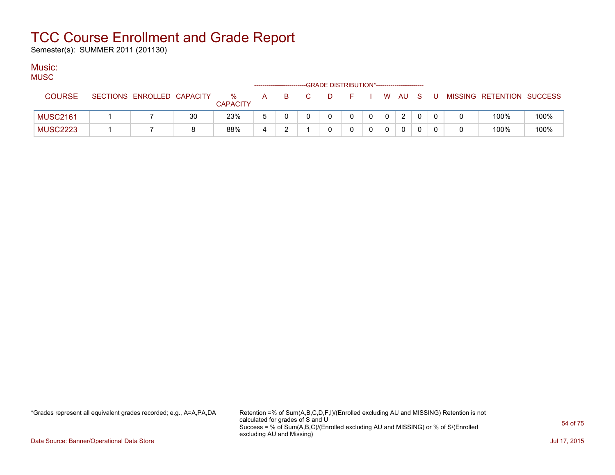Semester(s): SUMMER 2011 (201130)

### Music:

| MUSC            |                            |    |                         |              |    |                               |     |                                             |  |                |     |                           |      |
|-----------------|----------------------------|----|-------------------------|--------------|----|-------------------------------|-----|---------------------------------------------|--|----------------|-----|---------------------------|------|
|                 |                            |    |                         |              |    |                               |     | -GRADE DISTRIBUTION*----------------------- |  |                |     |                           |      |
| <b>COURSE</b>   | SECTIONS ENROLLED CAPACITY |    | $\%$<br><b>CAPACITY</b> | $\mathsf{A}$ | B. | $\mathbf{C}$ and $\mathbf{C}$ | - D | . <b>F</b> .                                |  | I WAUS         | - U | MISSING RETENTION SUCCESS |      |
| <b>MUSC2161</b> |                            | 30 | 23%                     | <sub>5</sub> |    |                               |     | 0                                           |  | $\overline{2}$ |     | 100%                      | 100% |
| <b>MUSC2223</b> |                            |    | 88%                     |              |    |                               |     |                                             |  |                |     | 100%                      | 100% |

\*Grades represent all equivalent grades recorded; e.g., A=A,PA,DA Retention =% of Sum(A,B,C,D,F,I)/(Enrolled excluding AU and MISSING) Retention is not calculated for grades of S and U Success = % of Sum(A,B,C)/(Enrolled excluding AU and MISSING) or % of S/(Enrolled excluding AU and Missing)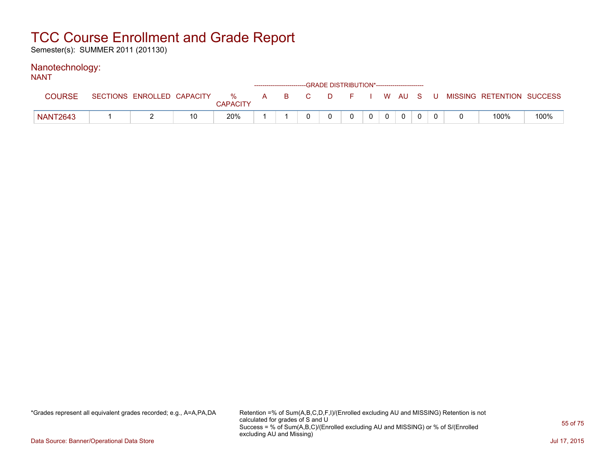Semester(s): SUMMER 2011 (201130)

#### Nanotechnology: NANT

| N/NI            |                            |    |                         |              |          |    |    | ------------------------GRADE DISTRIBUTION*----------------------- |          |              |  |                           |      |
|-----------------|----------------------------|----|-------------------------|--------------|----------|----|----|--------------------------------------------------------------------|----------|--------------|--|---------------------------|------|
| <b>COURSE</b>   | SECTIONS ENROLLED CAPACITY |    | $\%$<br><b>CAPACITY</b> | $\mathsf{A}$ | <b>B</b> | C. | D. |                                                                    |          | I W AU S     |  | MISSING RETENTION SUCCESS |      |
| <b>NANT2643</b> |                            | 10 | 20%                     |              |          |    |    |                                                                    | $\Omega$ | $\mathbf{0}$ |  | 100%                      | 100% |

\*Grades represent all equivalent grades recorded; e.g., A=A,PA,DA Retention =% of Sum(A,B,C,D,F,I)/(Enrolled excluding AU and MISSING) Retention is not calculated for grades of S and U Success = % of Sum(A,B,C)/(Enrolled excluding AU and MISSING) or % of S/(Enrolled excluding AU and Missing)

Data Source: Banner/Operational Data Store Jul 17, 2015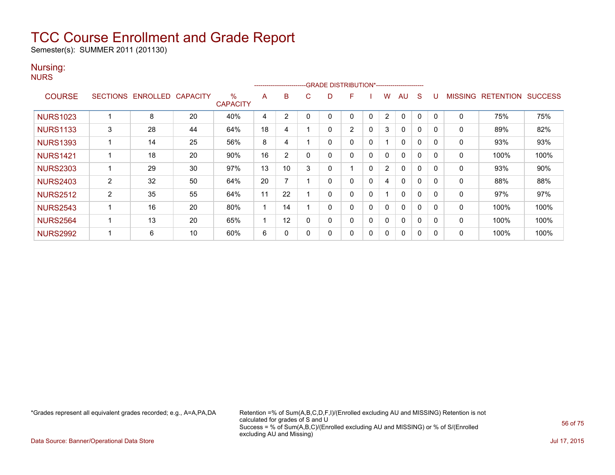Semester(s): SUMMER 2011 (201130)

### Nursing:

| v.<br>M<br>۰. | ۰. |
|---------------|----|
|---------------|----|

|                 |                 |          |                 |                         |    | ------------------------ |              |   | -GRADE DISTRIBUTION*----------------------- |             |                |              |   |          |                |                  |                |
|-----------------|-----------------|----------|-----------------|-------------------------|----|--------------------------|--------------|---|---------------------------------------------|-------------|----------------|--------------|---|----------|----------------|------------------|----------------|
| <b>COURSE</b>   | <b>SECTIONS</b> | ENROLLED | <b>CAPACITY</b> | $\%$<br><b>CAPACITY</b> | A  | B                        | C.           | D | F                                           |             | W              | AU           | S |          | <b>MISSING</b> | <b>RETENTION</b> | <b>SUCCESS</b> |
| <b>NURS1023</b> |                 | 8        | 20              | 40%                     | 4  | $\overline{2}$           | $\Omega$     |   | 0                                           | $\Omega$    | 2              | $\Omega$     | 0 |          | 0              | 75%              | 75%            |
| <b>NURS1133</b> | 3               | 28       | 44              | 64%                     | 18 | 4                        |              | 0 | $\overline{2}$                              | $\mathbf 0$ | 3              | $\Omega$     | 0 | $\Omega$ | 0              | 89%              | 82%            |
| <b>NURS1393</b> |                 | 14       | 25              | 56%                     | 8  | 4                        |              | 0 | 0                                           | 0           |                | 0            | 0 | 0        | 0              | 93%              | 93%            |
| <b>NURS1421</b> |                 | 18       | 20              | 90%                     | 16 | 2                        | $\mathbf{0}$ | 0 | 0                                           | $\Omega$    | 0              | $\mathbf{0}$ | 0 | 0        | 0              | 100%             | 100%           |
| <b>NURS2303</b> |                 | 29       | 30              | 97%                     | 13 | 10                       | 3            | 0 |                                             | $\Omega$    | $\overline{2}$ | 0            | 0 | 0        | 0              | 93%              | 90%            |
| <b>NURS2403</b> | 2               | 32       | 50              | 64%                     | 20 |                          |              | 0 | 0                                           | 0           | 4              | $\mathbf{0}$ | 0 | $\Omega$ | 0              | 88%              | 88%            |
| <b>NURS2512</b> | 2               | 35       | 55              | 64%                     | 11 | 22                       |              | 0 | 0                                           | $\mathbf 0$ |                | $\mathbf{0}$ | 0 |          | 0              | 97%              | 97%            |
| <b>NURS2543</b> |                 | 16       | 20              | 80%                     |    | 14                       |              |   | 0                                           | 0           | 0              | 0            | 0 |          | 0              | 100%             | 100%           |
| <b>NURS2564</b> |                 | 13       | 20              | 65%                     |    | 12                       | 0            | 0 | 0                                           | 0           | 0              | 0            | 0 | 0        | 0              | 100%             | 100%           |
| <b>NURS2992</b> |                 | 6        | 10              | 60%                     | 6  | 0                        | 0            | 0 | 0                                           | 0           | 0              | 0            | 0 | $\Omega$ | 0              | 100%             | 100%           |

\*Grades represent all equivalent grades recorded; e.g., A=A,PA,DA Retention =% of Sum(A,B,C,D,F,I)/(Enrolled excluding AU and MISSING) Retention is not calculated for grades of S and U Success = % of Sum(A,B,C)/(Enrolled excluding AU and MISSING) or % of S/(Enrolled excluding AU and Missing)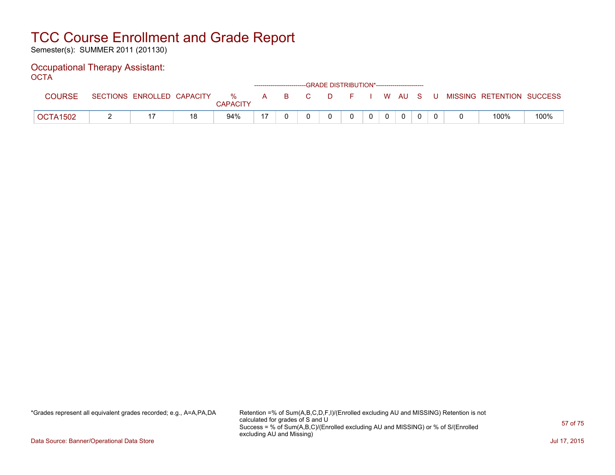Semester(s): SUMMER 2011 (201130)

#### Occupational Therapy Assistant: OCTA

| ----            |                            |    |                      |   |          | ------------------------GRADE DISTRIBUTION*----------------------- |    |  |      |    |   |                           |      |
|-----------------|----------------------------|----|----------------------|---|----------|--------------------------------------------------------------------|----|--|------|----|---|---------------------------|------|
| <b>COURSE</b>   | SECTIONS ENROLLED CAPACITY |    | %<br><b>CAPACITY</b> | A | <b>B</b> | C.                                                                 | D. |  | W AU | S. | U | MISSING RETENTION SUCCESS |      |
| <b>OCTA1502</b> |                            | 18 | 94%                  |   |          |                                                                    |    |  |      |    |   | 100%                      | 100% |

\*Grades represent all equivalent grades recorded; e.g., A=A,PA,DA Retention =% of Sum(A,B,C,D,F,I)/(Enrolled excluding AU and MISSING) Retention is not calculated for grades of S and U Success = % of Sum(A,B,C)/(Enrolled excluding AU and MISSING) or % of S/(Enrolled excluding AU and Missing)

Data Source: Banner/Operational Data Store Jul 17, 2015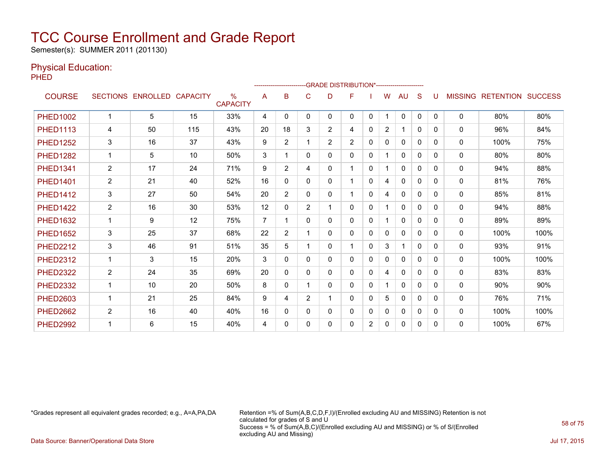Semester(s): SUMMER 2011 (201130)

### Physical Education:

PHED

|                 |                |                   |                 |                         |                |                |                |                | -------------------------GRADE DISTRIBUTION*---------------------- |              |                |              |              |              |                |                  |                |
|-----------------|----------------|-------------------|-----------------|-------------------------|----------------|----------------|----------------|----------------|--------------------------------------------------------------------|--------------|----------------|--------------|--------------|--------------|----------------|------------------|----------------|
| <b>COURSE</b>   |                | SECTIONS ENROLLED | <b>CAPACITY</b> | $\%$<br><b>CAPACITY</b> | A              | B              | C              | D              | F                                                                  |              | W              | AU           | S            | U            | <b>MISSING</b> | <b>RETENTION</b> | <b>SUCCESS</b> |
| <b>PHED1002</b> | $\mathbf 1$    | 5                 | 15              | 33%                     | 4              | 0              | 0              | 0              | 0                                                                  | $\mathbf{0}$ |                | $\Omega$     | $\mathbf{0}$ | $\Omega$     | $\mathbf{0}$   | 80%              | 80%            |
| <b>PHED1113</b> | 4              | 50                | 115             | 43%                     | 20             | 18             | 3              | $\overline{2}$ | 4                                                                  | $\Omega$     | $\overline{2}$ | 1            | $\Omega$     | $\Omega$     | $\Omega$       | 96%              | 84%            |
| <b>PHED1252</b> | 3              | 16                | 37              | 43%                     | 9              | $\overline{2}$ |                | $\overline{2}$ | $\overline{2}$                                                     | 0            | 0              | $\mathbf{0}$ | $\Omega$     | $\Omega$     | $\Omega$       | 100%             | 75%            |
| <b>PHED1282</b> | $\mathbf{1}$   | 5                 | 10              | 50%                     | 3              |                | $\Omega$       | 0              | 0                                                                  | 0            |                | $\mathbf 0$  | $\Omega$     | $\Omega$     | $\Omega$       | 80%              | 80%            |
| <b>PHED1341</b> | $\overline{2}$ | 17                | 24              | 71%                     | 9              | $\overline{2}$ | 4              | 0              | $\mathbf{1}$                                                       | 0            |                | $\mathbf 0$  | $\Omega$     | $\Omega$     | 0              | 94%              | 88%            |
| <b>PHED1401</b> | $\overline{2}$ | 21                | 40              | 52%                     | 16             | $\mathbf{0}$   | 0              | 0              | $\mathbf 1$                                                        | 0            | 4              | 0            | 0            | $\mathbf{0}$ | 0              | 81%              | 76%            |
| <b>PHED1412</b> | 3              | 27                | 50              | 54%                     | 20             | $\overline{2}$ | 0              | 0              | $\mathbf 1$                                                        | 0            | 4              | $\mathbf{0}$ | 0            | 0            | $\mathbf{0}$   | 85%              | 81%            |
| <b>PHED1422</b> | $\overline{2}$ | 16                | 30              | 53%                     | 12             | 0              | $\overline{2}$ | 1              | 0                                                                  | 0            |                | $\mathbf{0}$ | $\Omega$     | $\Omega$     | $\mathbf{0}$   | 94%              | 88%            |
| <b>PHED1632</b> | $\mathbf 1$    | 9                 | 12              | 75%                     | $\overline{7}$ |                | $\Omega$       | 0              | 0                                                                  | 0            |                | $\mathbf{0}$ | $\Omega$     | $\Omega$     | $\mathbf{0}$   | 89%              | 89%            |
| <b>PHED1652</b> | 3              | 25                | 37              | 68%                     | 22             | $\overline{2}$ |                | 0              | 0                                                                  | 0            | 0              | $\mathbf{0}$ | 0            | $\Omega$     | $\mathbf{0}$   | 100%             | 100%           |
| <b>PHED2212</b> | 3              | 46                | 91              | 51%                     | 35             | 5              |                | 0              | $\mathbf{1}$                                                       | 0            | 3              |              | 0            | $\Omega$     | 0              | 93%              | 91%            |
| <b>PHED2312</b> |                | 3                 | 15              | 20%                     | 3              | $\mathbf{0}$   | $\Omega$       | 0              | 0                                                                  | 0            | 0              | $\mathbf{0}$ | 0            | $\Omega$     | 0              | 100%             | 100%           |
| <b>PHED2322</b> | $\overline{2}$ | 24                | 35              | 69%                     | 20             | 0              | 0              | 0              | 0                                                                  | 0            | 4              | $\mathbf{0}$ | 0            | $\Omega$     | $\mathbf{0}$   | 83%              | 83%            |
| <b>PHED2332</b> | 1              | 10                | 20              | 50%                     | 8              | 0              |                | 0              | 0                                                                  | 0            |                | $\mathbf{0}$ | 0            | $\Omega$     | $\mathbf{0}$   | 90%              | 90%            |
| <b>PHED2603</b> | $\mathbf 1$    | 21                | 25              | 84%                     | 9              | 4              | $\overline{2}$ | 1              | $\Omega$                                                           | 0            | 5              | $\Omega$     | <sup>0</sup> | <sup>0</sup> | $\Omega$       | 76%              | 71%            |
| <b>PHED2662</b> | $\overline{2}$ | 16                | 40              | 40%                     | 16             | $\Omega$       | 0              | 0              | $\Omega$                                                           | 0            | 0              | $\Omega$     | $\Omega$     | $\Omega$     | $\mathbf{0}$   | 100%             | 100%           |
| <b>PHED2992</b> |                | 6                 | 15              | 40%                     | 4              | $\Omega$       | 0              | 0              | 0                                                                  | 2            | 0              | $\mathbf{0}$ | 0            | 0            | $\Omega$       | 100%             | 67%            |

\*Grades represent all equivalent grades recorded; e.g., A=A,PA,DA Retention =% of Sum(A,B,C,D,F,I)/(Enrolled excluding AU and MISSING) Retention is not calculated for grades of S and U Success = % of Sum(A,B,C)/(Enrolled excluding AU and MISSING) or % of S/(Enrolled excluding AU and Missing)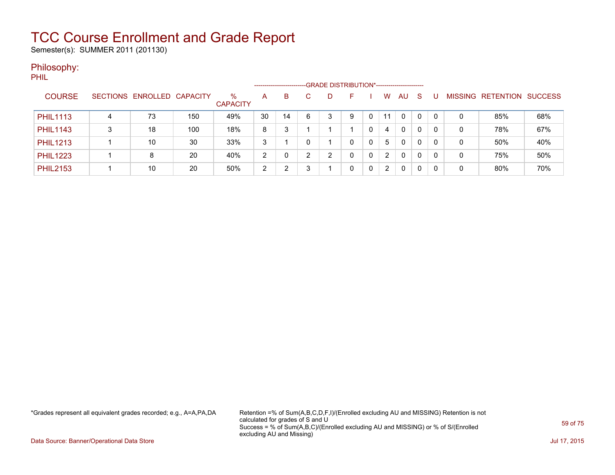Semester(s): SUMMER 2011 (201130)

### Philosophy:

PHIL

|                 |   |                            |     |                         | --------------------- |    |   | -GRADE DISTRIBUTION*---------------------- |   |   |                       |              |              |          |                |           |                |
|-----------------|---|----------------------------|-----|-------------------------|-----------------------|----|---|--------------------------------------------|---|---|-----------------------|--------------|--------------|----------|----------------|-----------|----------------|
| <b>COURSE</b>   |   | SECTIONS ENROLLED CAPACITY |     | $\%$<br><b>CAPACITY</b> | A                     | В  |   | D                                          |   |   | w                     | AU           | -S           |          | <b>MISSING</b> | RETENTION | <b>SUCCESS</b> |
| <b>PHIL1113</b> | 4 | 73                         | 150 | 49%                     | 30                    | 14 | 6 | 3                                          | 9 | 0 | 11                    | $\Omega$     | $\mathbf{0}$ | $\Omega$ | 0              | 85%       | 68%            |
| <b>PHIL1143</b> | ິ | 18                         | 100 | 18%                     | 8                     | າ  |   |                                            |   | 0 | 4                     | $\mathbf{0}$ | 0            | 0        | 0              | 78%       | 67%            |
| <b>PHIL1213</b> |   | 10                         | 30  | 33%                     | 3                     |    |   |                                            | 0 | 0 | 5                     | 0            | 0            | $\Omega$ | 0              | 50%       | 40%            |
| <b>PHIL1223</b> |   |                            | 20  | 40%                     | 2                     |    | ົ | ົ                                          | 0 | 0 | 2                     | 0            | $\Omega$     | 0        | 0              | 75%       | 50%            |
| <b>PHIL2153</b> |   | 10                         | 20  | 50%                     | 2                     | ົ  | 3 |                                            | 0 | 0 | $\mathbf{2}^{\prime}$ | 0            | $\Omega$     | 0        | 0              | 80%       | 70%            |

\*Grades represent all equivalent grades recorded; e.g., A=A,PA,DA Retention =% of Sum(A,B,C,D,F,I)/(Enrolled excluding AU and MISSING) Retention is not calculated for grades of S and U Success = % of Sum(A,B,C)/(Enrolled excluding AU and MISSING) or % of S/(Enrolled excluding AU and Missing)

Data Source: Banner/Operational Data Store Jul 17, 2015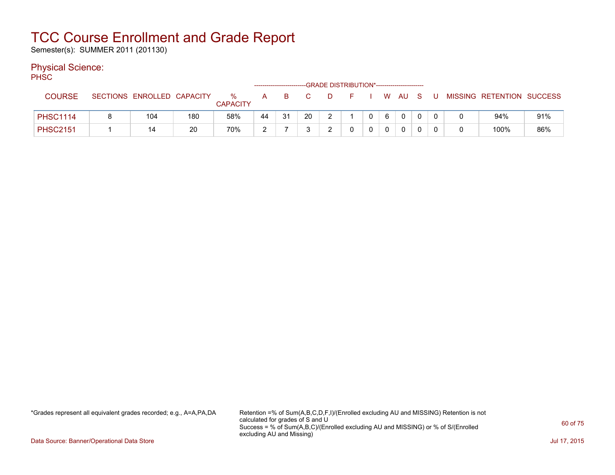Semester(s): SUMMER 2011 (201130)

### Physical Science:

PH<sub>SC</sub>

|                 |                            |     |                      | ------------------------- |    |            | -GRADE DISTRIBUTION*---------------------- |              |   |        |   |   |                           |     |
|-----------------|----------------------------|-----|----------------------|---------------------------|----|------------|--------------------------------------------|--------------|---|--------|---|---|---------------------------|-----|
| <b>COURSE</b>   | SECTIONS ENROLLED CAPACITY |     | %<br><b>CAPACITY</b> | A                         | B. | $-C$       | D.                                         |              |   | W AU S | U |   | MISSING RETENTION SUCCESS |     |
| <b>PHSC1114</b> | 104                        | 180 | 58%                  | 44                        | 31 | 20         |                                            | $\mathbf{0}$ | 6 |        |   |   | 94%                       | 91% |
| <b>PHSC2151</b> | 14                         | 20  | 70%                  | C<br>∸                    |    | $\sqrt{2}$ |                                            |              | 0 |        |   | 0 | 100%                      | 86% |

\*Grades represent all equivalent grades recorded; e.g., A=A,PA,DA Retention =% of Sum(A,B,C,D,F,I)/(Enrolled excluding AU and MISSING) Retention is not calculated for grades of S and U Success = % of Sum(A,B,C)/(Enrolled excluding AU and MISSING) or % of S/(Enrolled excluding AU and Missing)

Data Source: Banner/Operational Data Store Jul 17, 2015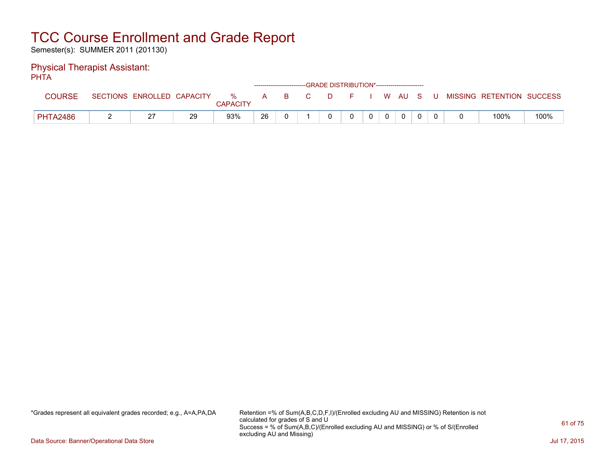Semester(s): SUMMER 2011 (201130)

#### Physical Therapist Assistant: PHTA

| .               |                            |    |                         |              |     | ------------------------GRADE DISTRIBUTION*----------------------- |  |              |       |                           |      |
|-----------------|----------------------------|----|-------------------------|--------------|-----|--------------------------------------------------------------------|--|--------------|-------|---------------------------|------|
| <b>COURSE</b>   | SECTIONS ENROLLED CAPACITY |    | $\%$<br><b>CAPACITY</b> | $\mathsf{A}$ | - B | D.                                                                 |  | WAUS.        | - U - | MISSING RETENTION SUCCESS |      |
| <b>PHTA2486</b> | ົ<br><u>.</u>              | 29 | 93%                     | 26           |     |                                                                    |  | $\mathbf{0}$ |       | 100%                      | 100% |

\*Grades represent all equivalent grades recorded; e.g., A=A,PA,DA Retention =% of Sum(A,B,C,D,F,I)/(Enrolled excluding AU and MISSING) Retention is not calculated for grades of S and U Success = % of Sum(A,B,C)/(Enrolled excluding AU and MISSING) or % of S/(Enrolled excluding AU and Missing)

Data Source: Banner/Operational Data Store Jul 17, 2015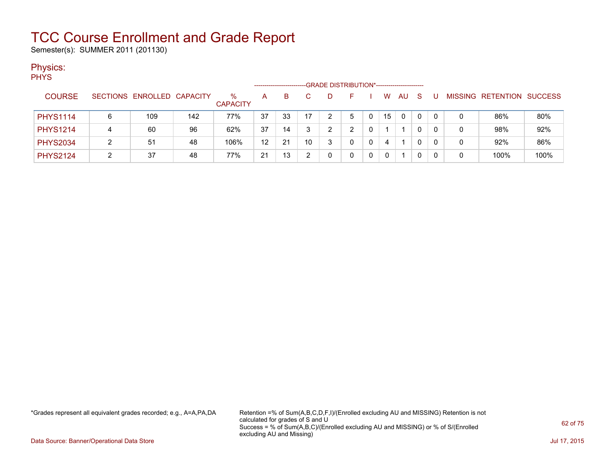Semester(s): SUMMER 2011 (201130)

### Physics:

| <b>PHYS</b>     |   |                            |     |                         |    |    |    |                                             |          |          |    |    |     |              |              |                           |      |
|-----------------|---|----------------------------|-----|-------------------------|----|----|----|---------------------------------------------|----------|----------|----|----|-----|--------------|--------------|---------------------------|------|
|                 |   |                            |     |                         |    |    |    | -GRADE DISTRIBUTION*----------------------- |          |          |    |    |     |              |              |                           |      |
| <b>COURSE</b>   |   | SECTIONS ENROLLED CAPACITY |     | $\%$<br><b>CAPACITY</b> | A  | B. |    | D                                           | <b>1</b> |          | W  | AU | - S | U            |              | MISSING RETENTION SUCCESS |      |
| <b>PHYS1114</b> | 6 | 109                        | 142 | 77%                     | 37 | 33 | 17 | 2                                           | 5        | $\Omega$ | 15 | 0  |     | $\mathbf{0}$ | 0            | 86%                       | 80%  |
| <b>PHYS1214</b> |   | 60                         | 96  | 62%                     | 37 | 14 | 3  | ົ                                           | 2        | 0        |    |    |     | 0            | $\mathbf{0}$ | 98%                       | 92%  |
| <b>PHYS2034</b> | າ | 51                         | 48  | 106%                    | 12 | 21 | 10 | 3                                           | 0        | 0        | 4  |    |     | 0            | 0            | 92%                       | 86%  |
| <b>PHYS2124</b> | າ | 37                         | 48  | 77%                     | 21 | 13 | ∩  | 0                                           | 0        | 0        | 0  |    |     | 0            | 0            | 100%                      | 100% |

\*Grades represent all equivalent grades recorded; e.g., A=A,PA,DA Retention =% of Sum(A,B,C,D,F,I)/(Enrolled excluding AU and MISSING) Retention is not calculated for grades of S and U Success = % of Sum(A,B,C)/(Enrolled excluding AU and MISSING) or % of S/(Enrolled excluding AU and Missing)

Data Source: Banner/Operational Data Store Jul 17, 2015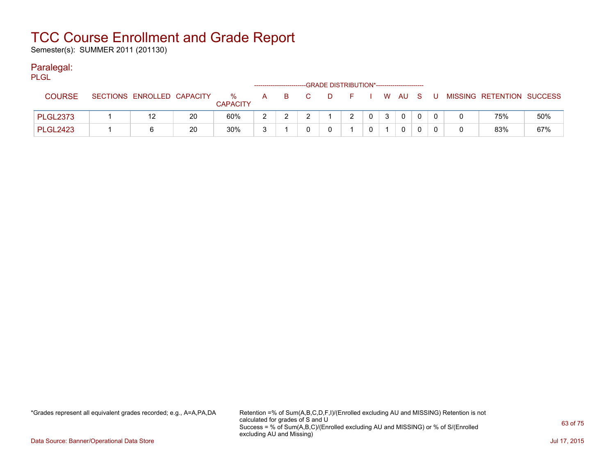Semester(s): SUMMER 2011 (201130)

### Paralegal:

| PLGL            |                            |    |                      |   |       | -GRADE DISTRIBUTION*----------------------- |                |    |          |  |                                          |     |
|-----------------|----------------------------|----|----------------------|---|-------|---------------------------------------------|----------------|----|----------|--|------------------------------------------|-----|
| <b>COURSE</b>   | SECTIONS ENROLLED CAPACITY |    | %<br><b>CAPACITY</b> |   | A B C |                                             |                |    |          |  | D F I W AU S U MISSING RETENTION SUCCESS |     |
| PLGL2373        |                            | 20 | 60%                  | ົ |       | 2                                           | 0 <sup>1</sup> | 3. | $\Omega$ |  | 75%                                      | 50% |
| <b>PLGL2423</b> |                            | 20 | 30%                  | ີ |       |                                             |                |    | 0        |  | 83%                                      | 67% |

\*Grades represent all equivalent grades recorded; e.g., A=A,PA,DA Retention =% of Sum(A,B,C,D,F,I)/(Enrolled excluding AU and MISSING) Retention is not calculated for grades of S and U Success = % of Sum(A,B,C)/(Enrolled excluding AU and MISSING) or % of S/(Enrolled excluding AU and Missing)

Data Source: Banner/Operational Data Store Jul 17, 2015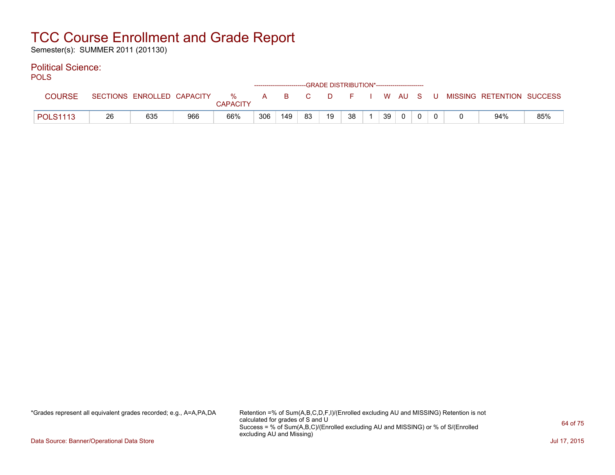Semester(s): SUMMER 2011 (201130)

### Political Science:

| <b>POLS</b>     |    |     |     |                 |     |     |    | -GRADE DISTRIBUTION*------------------------ |    |    |          |  |                                                                              |     |
|-----------------|----|-----|-----|-----------------|-----|-----|----|----------------------------------------------|----|----|----------|--|------------------------------------------------------------------------------|-----|
| <b>COURSE</b>   |    |     |     | <b>CAPACITY</b> |     |     |    |                                              |    |    |          |  | SECTIONS ENROLLED CAPACITY 36 A B C D F I W AU S U MISSING RETENTION SUCCESS |     |
| <b>POLS1113</b> | 26 | 635 | 966 | 66%             | 306 | 149 | 83 | 19                                           | 38 | 39 | $\Omega$ |  | 94%                                                                          | 85% |

\*Grades represent all equivalent grades recorded; e.g., A=A,PA,DA Retention =% of Sum(A,B,C,D,F,I)/(Enrolled excluding AU and MISSING) Retention is not calculated for grades of S and U Success = % of Sum(A,B,C)/(Enrolled excluding AU and MISSING) or % of S/(Enrolled excluding AU and Missing)

Data Source: Banner/Operational Data Store Jul 17, 2015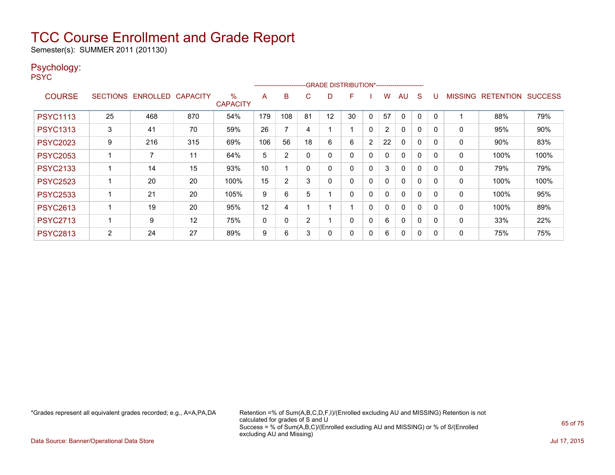Semester(s): SUMMER 2011 (201130)

### Psychology:

PSYC

|                 |                 |          |                 |                         |     | ------------------------ |                |    |    |                |                |              |             |              |                |                  |                |
|-----------------|-----------------|----------|-----------------|-------------------------|-----|--------------------------|----------------|----|----|----------------|----------------|--------------|-------------|--------------|----------------|------------------|----------------|
| <b>COURSE</b>   | <b>SECTIONS</b> | ENROLLED | <b>CAPACITY</b> | $\%$<br><b>CAPACITY</b> | A   | B                        | С              | D  | F  |                | w              | AU           | S           |              | <b>MISSING</b> | <b>RETENTION</b> | <b>SUCCESS</b> |
| <b>PSYC1113</b> | 25              | 468      | 870             | 54%                     | 179 | 108                      | 81             | 12 | 30 | 0              | 57             | 0            | $\Omega$    |              |                | 88%              | 79%            |
| <b>PSYC1313</b> | 3               | 41       | 70              | 59%                     | 26  | $\overline{\phantom{a}}$ | 4              |    |    | 0              | $\overline{2}$ | 0            | $\mathbf 0$ | <sup>0</sup> | 0              | 95%              | 90%            |
| <b>PSYC2023</b> | 9               | 216      | 315             | 69%                     | 106 | 56                       | 18             | 6  | 6  | $\overline{2}$ | 22             | 0            | $\Omega$    | <sup>0</sup> | 0              | 90%              | 83%            |
| <b>PSYC2053</b> |                 | 7        | 11              | 64%                     | 5   | 2                        |                | 0  | 0  | 0              | 0              | $\mathbf{0}$ | $\Omega$    | <sup>0</sup> | 0              | 100%             | 100%           |
| <b>PSYC2133</b> |                 | 14       | 15              | 93%                     | 10  |                          |                | 0  | 0  | $\Omega$       | 3              | $\mathbf{0}$ | $\Omega$    | 0            | 0              | 79%              | 79%            |
| <b>PSYC2523</b> |                 | 20       | 20              | 100%                    | 15  | 2                        | 3              | 0  | 0  | 0              | 0              | $\mathbf{0}$ | 0           | <sup>0</sup> | 0              | 100%             | 100%           |
| <b>PSYC2533</b> |                 | 21       | 20              | 105%                    | 9   | 6                        | 5              |    | 0  | 0              | 0              | 0            | 0           | O            | 0              | 100%             | 95%            |
| <b>PSYC2613</b> |                 | 19       | 20              | 95%                     | 12  | 4                        |                |    |    | 0              | 0              | 0            | $\Omega$    | $\Omega$     | 0              | 100%             | 89%            |
| <b>PSYC2713</b> |                 | 9        | 12              | 75%                     | 0   | 0                        | $\overline{2}$ |    | 0  | 0              | 6              | 0            | 0           | $\Omega$     | 0              | 33%              | 22%            |
| <b>PSYC2813</b> | 2               | 24       | 27              | 89%                     | 9   | 6                        | 3              | 0  | 0  | 0              | 6              | 0            | 0           | O            | 0              | 75%              | 75%            |

\*Grades represent all equivalent grades recorded; e.g., A=A,PA,DA Retention =% of Sum(A,B,C,D,F,I)/(Enrolled excluding AU and MISSING) Retention is not calculated for grades of S and U Success = % of Sum(A,B,C)/(Enrolled excluding AU and MISSING) or % of S/(Enrolled excluding AU and Missing)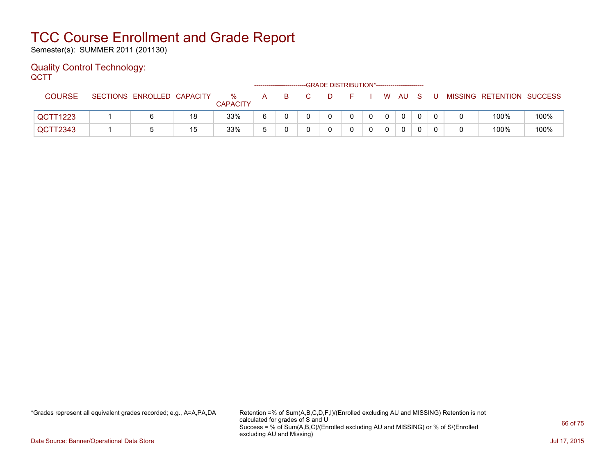Semester(s): SUMMER 2011 (201130)

#### Quality Control Technology: **OCTT**

| ---           |                            |    |                      |   | ------------------------- | -GRADE DISTRIBUTION*----------------------- |    |                |          |     |                           |      |
|---------------|----------------------------|----|----------------------|---|---------------------------|---------------------------------------------|----|----------------|----------|-----|---------------------------|------|
| <b>COURSE</b> | SECTIONS ENROLLED CAPACITY |    | %<br><b>CAPACITY</b> | A | B.                        | D.                                          | н. |                | W AU S   | . U | MISSING RETENTION SUCCESS |      |
| QCTT1223      |                            | 18 | 33%                  |   |                           |                                             |    | $\overline{0}$ | $\Omega$ |     | 100%                      | 100% |
| QCTT2343      |                            | 15 | 33%                  |   |                           |                                             |    |                | 0        |     | 100%                      | 100% |

\*Grades represent all equivalent grades recorded; e.g., A=A,PA,DA Retention =% of Sum(A,B,C,D,F,I)/(Enrolled excluding AU and MISSING) Retention is not calculated for grades of S and U Success = % of Sum(A,B,C)/(Enrolled excluding AU and MISSING) or % of S/(Enrolled excluding AU and Missing)

Data Source: Banner/Operational Data Store Jul 17, 2015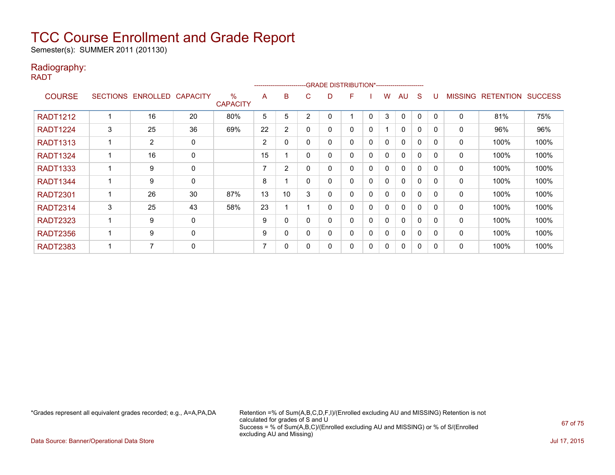Semester(s): SUMMER 2011 (201130)

### Radiography:

RADT

|                 |                 |                   |             |                                  |    | --------------------- |          |   | -GRADE DISTRIBUTION*---------------------- |              |              |              |   |          |                |                  |                |
|-----------------|-----------------|-------------------|-------------|----------------------------------|----|-----------------------|----------|---|--------------------------------------------|--------------|--------------|--------------|---|----------|----------------|------------------|----------------|
| <b>COURSE</b>   | <b>SECTIONS</b> | ENROLLED CAPACITY |             | $\frac{0}{0}$<br><b>CAPACITY</b> | A  | B                     | C        | D | F                                          |              | w            | AU           | S |          | <b>MISSING</b> | <b>RETENTION</b> | <b>SUCCESS</b> |
| <b>RADT1212</b> |                 | 16                | 20          | 80%                              | 5  | 5                     | 2        |   |                                            | $\mathbf 0$  | 3            | $\mathbf{0}$ | 0 | $\Omega$ | $\mathbf 0$    | 81%              | 75%            |
| <b>RADT1224</b> | 3               | 25                | 36          | 69%                              | 22 | $\overline{2}$        | $\Omega$ | ი | 0                                          | 0            |              | $\mathbf{0}$ | 0 | 0        | 0              | 96%              | 96%            |
| <b>RADT1313</b> |                 | 2                 | 0           |                                  | 2  | 0                     | $\Omega$ | ი | 0                                          | 0            | 0            | $\mathbf{0}$ | 0 | $\Omega$ | 0              | 100%             | 100%           |
| <b>RADT1324</b> |                 | 16                | $\mathbf 0$ |                                  | 15 |                       | 0        | 0 | 0                                          | 0            | $\mathbf{0}$ | 0            | 0 | $\Omega$ | 0              | 100%             | 100%           |
| <b>RADT1333</b> |                 | 9                 | 0           |                                  | 7  | 2                     | $\Omega$ | 0 | 0                                          | 0            | 0            | $\mathbf{0}$ | 0 | $\Omega$ | 0              | 100%             | 100%           |
| <b>RADT1344</b> |                 | 9                 | $\mathbf 0$ |                                  | 8  |                       | 0        | 0 | 0                                          | $\mathbf{0}$ | 0            | $\mathbf{0}$ | 0 | $\Omega$ | 0              | 100%             | 100%           |
| <b>RADT2301</b> |                 | 26                | 30          | 87%                              | 13 | 10                    | 3        |   | 0                                          | 0            | 0            | $\mathbf{0}$ | 0 | $\Omega$ | 0              | 100%             | 100%           |
| <b>RADT2314</b> | 3               | 25                | 43          | 58%                              | 23 |                       |          | 0 | 0                                          | 0            | 0            | $\mathbf{0}$ | 0 | $\Omega$ | 0              | 100%             | 100%           |
| <b>RADT2323</b> |                 | 9                 | 0           |                                  | 9  | 0                     | 0        | 0 | 0                                          | 0            | 0            | $\mathbf{0}$ | 0 | $\Omega$ | 0              | 100%             | 100%           |
| <b>RADT2356</b> |                 | 9                 | $\Omega$    |                                  | 9  | $\Omega$              | $\Omega$ | በ | 0                                          | $\mathbf 0$  | $\mathbf{0}$ | $\mathbf{0}$ | 0 | $\Omega$ | $\mathbf{0}$   | 100%             | 100%           |
| <b>RADT2383</b> |                 | $\overline{7}$    | $\mathbf 0$ |                                  | 7  | 0                     |          |   | 0                                          | 0            | 0            | 0            | 0 | $\Omega$ | 0              | 100%             | 100%           |

\*Grades represent all equivalent grades recorded; e.g., A=A,PA,DA Retention =% of Sum(A,B,C,D,F,I)/(Enrolled excluding AU and MISSING) Retention is not calculated for grades of S and U Success = % of Sum(A,B,C)/(Enrolled excluding AU and MISSING) or % of S/(Enrolled excluding AU and Missing)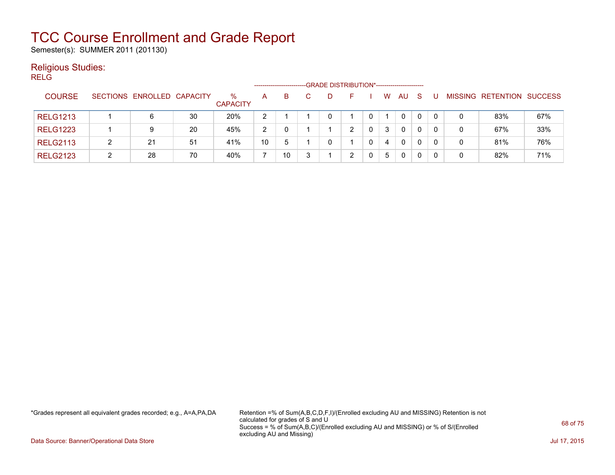Semester(s): SUMMER 2011 (201130)

### Religious Studies:

RELG

|                 |                            |    |                         |                |    |  | -GRADE DISTRIBUTION*----------------------- |   |   |              |              |   |                           |     |
|-----------------|----------------------------|----|-------------------------|----------------|----|--|---------------------------------------------|---|---|--------------|--------------|---|---------------------------|-----|
| <b>COURSE</b>   | SECTIONS ENROLLED CAPACITY |    | $\%$<br><b>CAPACITY</b> | A              | B. |  | н.                                          |   | w | AU.          | <sub>S</sub> |   | MISSING RETENTION SUCCESS |     |
| <b>RELG1213</b> | 6                          | 30 | 20%                     | $\overline{2}$ |    |  |                                             |   |   | $\mathbf{0}$ | $\mathbf{0}$ |   | 83%                       | 67% |
| <b>RELG1223</b> | 9                          | 20 | 45%                     | 2              | 0  |  | 2                                           | 0 | 3 | $\mathbf{0}$ | 0            | 0 | 67%                       | 33% |
| <b>RELG2113</b> | 21                         | 51 | 41%                     | 10             | -5 |  |                                             |   | 4 | $\mathbf{0}$ | 0            | 0 | 81%                       | 76% |
| <b>RELG2123</b> | 28                         | 70 | 40%                     |                | 10 |  | 2                                           |   | 5 | $\mathbf{0}$ | 0            | 0 | 82%                       | 71% |

\*Grades represent all equivalent grades recorded; e.g., A=A,PA,DA Retention =% of Sum(A,B,C,D,F,I)/(Enrolled excluding AU and MISSING) Retention is not calculated for grades of S and U Success = % of Sum(A,B,C)/(Enrolled excluding AU and MISSING) or % of S/(Enrolled excluding AU and Missing)

Data Source: Banner/Operational Data Store Jul 17, 2015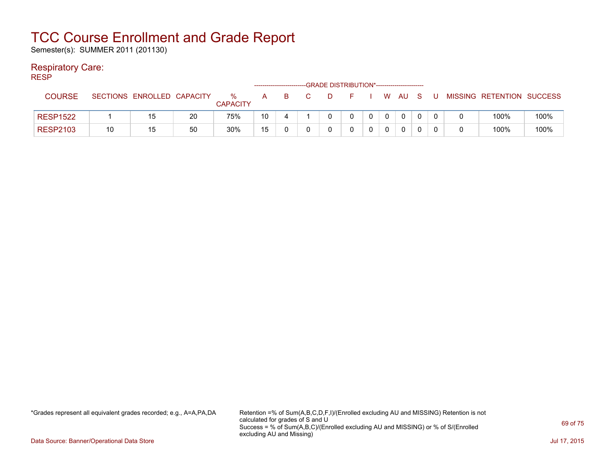Semester(s): SUMMER 2011 (201130)

### Respiratory Care:

RESP

|                 |    |                            |    |                      |                 |   |    | -GRADE DISTRIBUTION*----------------------- |              |      |  |                           |      |
|-----------------|----|----------------------------|----|----------------------|-----------------|---|----|---------------------------------------------|--------------|------|--|---------------------------|------|
| <b>COURSE</b>   |    | SECTIONS ENROLLED CAPACITY |    | %<br><b>CAPACITY</b> | A               | B | D. |                                             |              | W AU |  | MISSING RETENTION SUCCESS |      |
| <b>RESP1522</b> |    | 15                         | 20 | 75%                  | 10 <sup>°</sup> |   |    |                                             | $\mathbf{0}$ |      |  | 100%                      | 100% |
| <b>RESP2103</b> | 10 | 15                         | 50 | 30%                  | 15              |   |    |                                             |              |      |  | 100%                      | 100% |

\*Grades represent all equivalent grades recorded; e.g., A=A,PA,DA Retention =% of Sum(A,B,C,D,F,I)/(Enrolled excluding AU and MISSING) Retention is not calculated for grades of S and U Success = % of Sum(A,B,C)/(Enrolled excluding AU and MISSING) or % of S/(Enrolled excluding AU and Missing)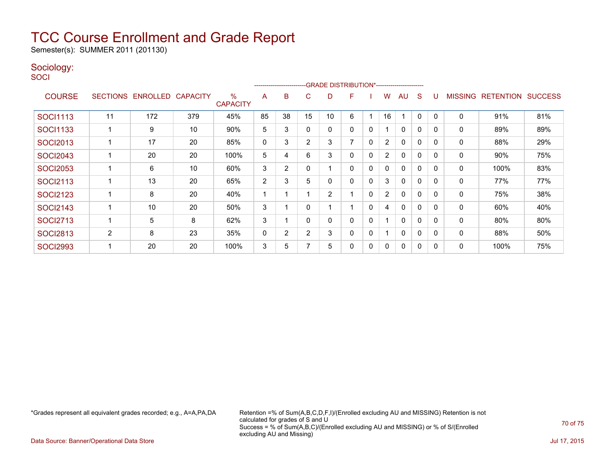Semester(s): SUMMER 2011 (201130)

### Sociology:

**SOCI** 

|                 |                 |                 |                 |                      | -GRADE DISTRIBUTION*----------------------<br>--------------------- |                |                |    |   |             |                |              |              |          |                |                  |                |
|-----------------|-----------------|-----------------|-----------------|----------------------|---------------------------------------------------------------------|----------------|----------------|----|---|-------------|----------------|--------------|--------------|----------|----------------|------------------|----------------|
| <b>COURSE</b>   | <b>SECTIONS</b> | <b>ENROLLED</b> | <b>CAPACITY</b> | %<br><b>CAPACITY</b> | A                                                                   | B              | C.             | D  | F |             | w              | AU           | S            |          | <b>MISSING</b> | <b>RETENTION</b> | <b>SUCCESS</b> |
| <b>SOCI1113</b> | 11              | 172             | 379             | 45%                  | 85                                                                  | 38             | 15             | 10 | 6 |             | 16             |              | 0            | $\Omega$ | 0              | 91%              | 81%            |
| <b>SOCI1133</b> |                 | 9               | 10              | 90%                  | 5                                                                   | 3              | $\Omega$       | 0  | 0 | 0           |                | $\mathbf{0}$ | 0            | 0        | 0              | 89%              | 89%            |
| <b>SOCI2013</b> |                 | 17              | 20              | 85%                  | 0                                                                   | 3              | $\overline{2}$ | 3  | 7 | 0           | $\overline{2}$ | $\mathbf{0}$ | 0            | 0        | 0              | 88%              | 29%            |
| <b>SOCI2043</b> |                 | 20              | 20              | 100%                 | 5                                                                   | 4              | 6              | 3  | 0 | $\mathbf 0$ | $\overline{2}$ | 0            | 0            | $\Omega$ | 0              | 90%              | 75%            |
| <b>SOCI2053</b> |                 | 6               | 10              | 60%                  | 3                                                                   | 2              | $\Omega$       |    | 0 | 0           | 0              | $\mathbf{0}$ | 0            | $\Omega$ | 0              | 100%             | 83%            |
| <b>SOCI2113</b> |                 | 13              | 20              | 65%                  | 2                                                                   | 3              | 5              | 0  | 0 | 0           | 3              | $\mathbf{0}$ | 0            | $\Omega$ | 0              | 77%              | 77%            |
| <b>SOCI2123</b> |                 | 8               | 20              | 40%                  |                                                                     |                |                | 2  |   | 0           | $\overline{2}$ | 0            | 0            | 0        | 0              | 75%              | 38%            |
| <b>SOCI2143</b> |                 | 10              | 20              | 50%                  | 3                                                                   |                | 0              |    |   | 0           | 4              | 0            | 0            | 0        | 0              | 60%              | 40%            |
| <b>SOCI2713</b> |                 | 5               | 8               | 62%                  | 3                                                                   |                | $\Omega$       | 0  | 0 | 0           |                | 0            | 0            | $\Omega$ | 0              | 80%              | 80%            |
| <b>SOCI2813</b> | $\overline{2}$  | 8               | 23              | 35%                  | 0                                                                   | $\overline{2}$ | $\overline{2}$ | 3  | 0 | 0           |                | $\mathbf{0}$ | $\mathbf{0}$ | $\Omega$ | 0              | 88%              | 50%            |
| <b>SOCI2993</b> |                 | 20              | 20              | 100%                 | 3                                                                   | 5              |                | 5  | 0 | 0           | 0              | $\mathbf{0}$ | 0            | $\Omega$ | 0              | 100%             | 75%            |

\*Grades represent all equivalent grades recorded; e.g., A=A,PA,DA Retention =% of Sum(A,B,C,D,F,I)/(Enrolled excluding AU and MISSING) Retention is not calculated for grades of S and U Success = % of Sum(A,B,C)/(Enrolled excluding AU and MISSING) or % of S/(Enrolled excluding AU and Missing)

Data Source: Banner/Operational Data Store Jul 17, 2015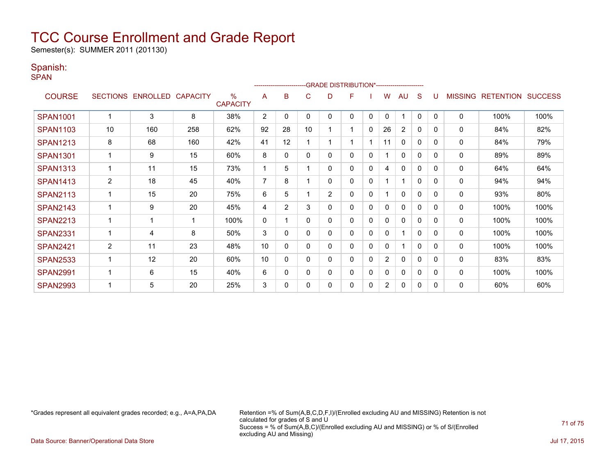Semester(s): SUMMER 2011 (201130)

### Spanish:

SPAN

|                 |    |                   |                 |                         | ------------------------GRADE                DISTRIBUTION*---------------------- |                |          |                |   |              |                |                |              |              |                |                  |                |
|-----------------|----|-------------------|-----------------|-------------------------|----------------------------------------------------------------------------------|----------------|----------|----------------|---|--------------|----------------|----------------|--------------|--------------|----------------|------------------|----------------|
| <b>COURSE</b>   |    | SECTIONS ENROLLED | <b>CAPACITY</b> | $\%$<br><b>CAPACITY</b> | A                                                                                | B              | C        | D              | F |              | w              | <b>AU</b>      | S            | U            | <b>MISSING</b> | <b>RETENTION</b> | <b>SUCCESS</b> |
| <b>SPAN1001</b> |    | 3                 | 8               | 38%                     | $\overline{2}$                                                                   | 0              | 0        | 0              | 0 | 0            | 0              | 1              | 0            | $\Omega$     | $\mathbf 0$    | 100%             | 100%           |
| <b>SPAN1103</b> | 10 | 160               | 258             | 62%                     | 92                                                                               | 28             | 10       |                | 1 | $\mathbf 0$  | 26             | $\overline{c}$ | 0            | 0            | $\mathbf 0$    | 84%              | 82%            |
| <b>SPAN1213</b> | 8  | 68                | 160             | 42%                     | 41                                                                               | 12             |          |                | 1 |              | 11             | $\mathbf{0}$   | $\mathbf{0}$ | $\Omega$     | 0              | 84%              | 79%            |
| <b>SPAN1301</b> |    | 9                 | 15              | 60%                     | 8                                                                                | 0              | 0        | 0              | 0 | 0            |                | $\mathbf{0}$   | $\mathbf{0}$ | 0            | 0              | 89%              | 89%            |
| <b>SPAN1313</b> |    | 11                | 15              | 73%                     |                                                                                  | 5              |          | 0              | 0 | 0            | 4              | $\mathbf{0}$   | 0            | $\Omega$     | 0              | 64%              | 64%            |
| <b>SPAN1413</b> | 2  | 18                | 45              | 40%                     | $\overline{7}$                                                                   | 8              |          | 0              | 0 | $\mathbf{0}$ |                | $\mathbf{1}$   | $\mathbf{0}$ | $\mathbf{0}$ | 0              | 94%              | 94%            |
| <b>SPAN2113</b> |    | 15                | 20              | 75%                     | 6                                                                                | 5              |          | $\overline{2}$ | 0 | 0            |                | 0              | $\Omega$     | $\Omega$     | 0              | 93%              | 80%            |
| <b>SPAN2143</b> |    | 9                 | 20              | 45%                     | 4                                                                                | $\overline{2}$ | 3        | 0              | 0 | 0            | 0              | $\Omega$       | 0            | 0            | $\mathbf{0}$   | 100%             | 100%           |
| <b>SPAN2213</b> |    | ٠                 |                 | 100%                    | $\mathbf 0$                                                                      |                | 0        | 0              | 0 | $\mathbf{0}$ | 0              | $\mathbf{0}$   | $\mathbf{0}$ | $\Omega$     | $\mathbf 0$    | 100%             | 100%           |
| <b>SPAN2331</b> |    | 4                 | 8               | 50%                     | 3                                                                                | $\Omega$       | 0        | 0              | 0 | $\Omega$     | 0              | 1              | $\mathbf{0}$ | $\Omega$     | $\mathbf 0$    | 100%             | 100%           |
| <b>SPAN2421</b> | 2  | 11                | 23              | 48%                     | 10                                                                               | 0              | 0        | 0              | 0 | 0            | 0              | 1              | $\mathbf{0}$ | 0            | $\mathbf{0}$   | 100%             | 100%           |
| <b>SPAN2533</b> |    | 12                | 20              | 60%                     | 10                                                                               | 0              | $\Omega$ | 0              | 0 | $\mathbf{0}$ | $\overline{2}$ | $\mathbf{0}$   | $\Omega$     | $\Omega$     | $\mathbf 0$    | 83%              | 83%            |
| <b>SPAN2991</b> |    | 6                 | 15              | 40%                     | 6                                                                                | 0              | $\Omega$ | 0              | 0 | $\mathbf{0}$ | 0              | $\mathbf{0}$   | $\mathbf{0}$ | $\Omega$     | $\mathbf{0}$   | 100%             | 100%           |
| <b>SPAN2993</b> |    | 5                 | 20              | 25%                     | 3                                                                                | 0              |          | 0              | 0 | 0            | $\overline{2}$ | 0              | 0            | $\Omega$     | $\Omega$       | 60%              | 60%            |

\*Grades represent all equivalent grades recorded; e.g., A=A,PA,DA Retention =% of Sum(A,B,C,D,F,I)/(Enrolled excluding AU and MISSING) Retention is not calculated for grades of S and U Success = % of Sum(A,B,C)/(Enrolled excluding AU and MISSING) or % of S/(Enrolled excluding AU and Missing)

Data Source: Banner/Operational Data Store Jul 17, 2015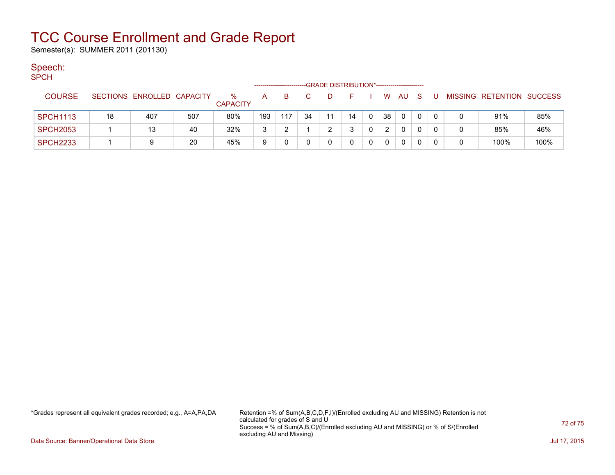Semester(s): SUMMER 2011 (201130)

### Speech:

| SPCH |  |  |
|------|--|--|
|      |  |  |

|                 | -GRADE DISTRIBUTION*----------------------- |                   |     |                      |     |     |    |    |    |             |    |     |              |  |   |                           |      |
|-----------------|---------------------------------------------|-------------------|-----|----------------------|-----|-----|----|----|----|-------------|----|-----|--------------|--|---|---------------------------|------|
| <b>COURSE</b>   | <b>SECTIONS</b>                             | ENROLLED CAPACITY |     | %<br><b>CAPACITY</b> | A   | в   |    |    |    |             | W  | AU. | -S           |  |   | MISSING RETENTION SUCCESS |      |
| <b>SPCH1113</b> | 18                                          | 407               | 507 | 80%                  | 193 | 117 | 34 | 11 | 14 | $\mathbf 0$ | 38 | 0   | $\mathbf{0}$ |  |   | 91%                       | 85%  |
| <b>SPCH2053</b> |                                             | 13                | 40  | 32%                  | 3   |     |    |    |    |             |    |     |              |  | 0 | 85%                       | 46%  |
| <b>SPCH2233</b> |                                             |                   | 20  | 45%                  | 9   |     |    |    |    |             | 0  | 0   |              |  | 0 | 100%                      | 100% |

\*Grades represent all equivalent grades recorded; e.g., A=A,PA,DA Retention =% of Sum(A,B,C,D,F,I)/(Enrolled excluding AU and MISSING) Retention is not calculated for grades of S and U Success = % of Sum(A,B,C)/(Enrolled excluding AU and MISSING) or % of S/(Enrolled excluding AU and Missing)

Data Source: Banner/Operational Data Store Jul 17, 2015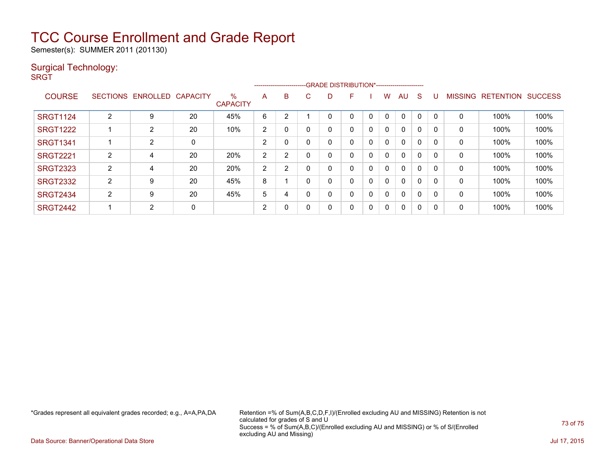# TCC Course Enrollment and Grade Report

Semester(s): SUMMER 2011 (201130)

### Surgical Technology:

**SRGT** 

|                 | -GRADE DISTRIBUTION*-----------------------<br>------------------------- |                   |                 |                         |                |   |    |   |   |             |              |              |              |          |                |                  |                |
|-----------------|--------------------------------------------------------------------------|-------------------|-----------------|-------------------------|----------------|---|----|---|---|-------------|--------------|--------------|--------------|----------|----------------|------------------|----------------|
| <b>COURSE</b>   |                                                                          | SECTIONS ENROLLED | <b>CAPACITY</b> | $\%$<br><b>CAPACITY</b> | A              | B | C. | D | F |             | w            | AU.          | <sub>S</sub> |          | <b>MISSING</b> | <b>RETENTION</b> | <b>SUCCESS</b> |
| <b>SRGT1124</b> | $\overline{2}$                                                           | 9                 | 20              | 45%                     | 6              | 2 |    |   |   |             | $\Omega$     | $\Omega$     | 0            |          | 0              | 100%             | 100%           |
| <b>SRGT1222</b> |                                                                          | $\overline{2}$    | 20              | 10%                     | 2              | 0 |    | 0 | 0 | 0           | 0            | $\mathbf{0}$ | 0            |          | 0              | 100%             | 100%           |
| <b>SRGT1341</b> |                                                                          | $\overline{2}$    | 0               |                         | $\overline{2}$ | 0 |    |   | 0 | $\mathbf 0$ | 0            | $\mathbf{0}$ | 0            |          | 0              | 100%             | 100%           |
| <b>SRGT2221</b> | 2                                                                        | 4                 | 20              | 20%                     | 2              | 2 |    | 0 | 0 | 0           | $\mathbf{0}$ | $\mathbf{0}$ | $\Omega$     |          | 0              | 100%             | 100%           |
| <b>SRGT2323</b> | 2                                                                        | 4                 | 20              | 20%                     | 2              | っ |    |   | 0 | 0           | 0            | $\mathbf{0}$ | $\Omega$     |          | 0              | 100%             | 100%           |
| <b>SRGT2332</b> | 2                                                                        | 9                 | 20              | 45%                     | 8              |   |    |   | 0 | 0           | 0            | $\mathbf{0}$ | 0            |          | 0              | 100%             | 100%           |
| <b>SRGT2434</b> | 2                                                                        | 9                 | 20              | 45%                     | 5              | 4 |    | 0 | 0 | 0           | 0            | $\mathbf{0}$ | $\Omega$     | $\Omega$ | $\mathbf{0}$   | 100%             | 100%           |
| <b>SRGT2442</b> |                                                                          | $\overline{2}$    | 0               |                         | 2              | 0 |    | 0 | 0 | 0           | 0            | $\mathbf{0}$ | 0            |          | 0              | 100%             | 100%           |

\*Grades represent all equivalent grades recorded; e.g., A=A,PA,DA Retention =% of Sum(A,B,C,D,F,I)/(Enrolled excluding AU and MISSING) Retention is not calculated for grades of S and U Success = % of Sum(A,B,C)/(Enrolled excluding AU and MISSING) or % of S/(Enrolled excluding AU and Missing)

Data Source: Banner/Operational Data Store Jul 17, 2015

73 of 75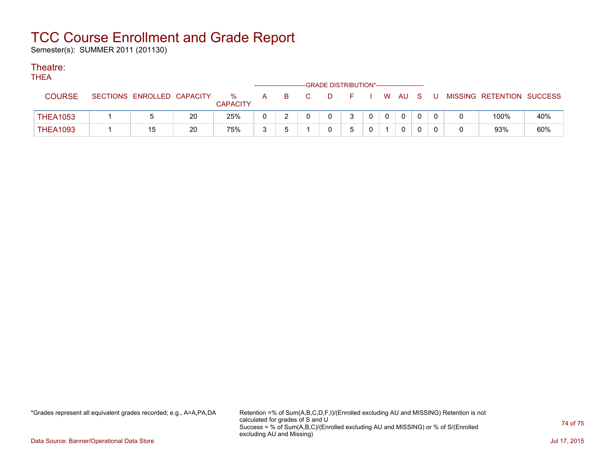# TCC Course Enrollment and Grade Report

Semester(s): SUMMER 2011 (201130)

### Theatre:

**THEA** 

| .               | -GRADE DISTRIBUTION*-----------------------<br>-------------------------- |                            |    |                      |              |    |                |     |  |              |          |              |  |   |                           |     |
|-----------------|---------------------------------------------------------------------------|----------------------------|----|----------------------|--------------|----|----------------|-----|--|--------------|----------|--------------|--|---|---------------------------|-----|
| COURSE          |                                                                           | SECTIONS ENROLLED CAPACITY |    | ℅<br><b>CAPACITY</b> | $\mathsf{A}$ | B. | $\overline{C}$ | D D |  |              |          | W AU S       |  | U | MISSING RETENTION SUCCESS |     |
| <b>THEA1053</b> |                                                                           |                            | 20 | 25%                  |              |    |                |     |  | $\mathbf{0}$ | $\Omega$ | $\mathbf{0}$ |  |   | 100%                      | 40% |
| <b>THEA1093</b> |                                                                           | 15                         | 20 | 75%                  | ຈ            |    |                |     |  |              |          |              |  |   | 93%                       | 60% |

\*Grades represent all equivalent grades recorded; e.g., A=A,PA,DA Retention =% of Sum(A,B,C,D,F,I)/(Enrolled excluding AU and MISSING) Retention is not calculated for grades of S and U Success = % of Sum(A,B,C)/(Enrolled excluding AU and MISSING) or % of S/(Enrolled excluding AU and Missing)

Data Source: Banner/Operational Data Store Jul 17, 2015

74 of 75